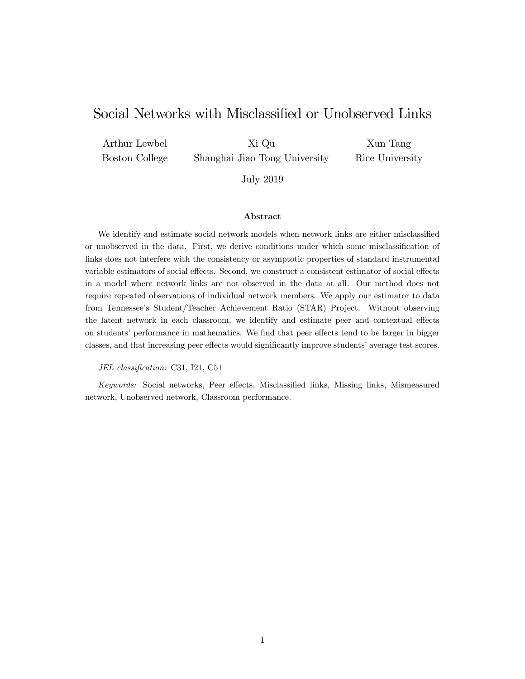# Social Networks with Misclassified or Unobserved Links

Arthur Lewbel Boston College Xi Qu Shanghai Jiao Tong University

Xun Tang Rice University

July 2019

#### Abstract

We identify and estimate social network models when network links are either misclassified or unobserved in the data. First, we derive conditions under which some misclassification of links does not interfere with the consistency or asymptotic properties of standard instrumental variable estimators of social effects. Second, we construct a consistent estimator of social effects in a model where network links are not observed in the data at all. Our method does not require repeated observations of individual network members. We apply our estimator to data from Tennesseeís Student/Teacher Achievement Ratio (STAR) Project. Without observing the latent network in each classroom, we identify and estimate peer and contextual effects on students' performance in mathematics. We find that peer effects tend to be larger in bigger classes, and that increasing peer effects would significantly improve students' average test scores.

JEL classification: C31, I21, C51

Keywords: Social networks, Peer effects, Misclassified links, Missing links, Mismeasured network, Unobserved network, Classroom performance.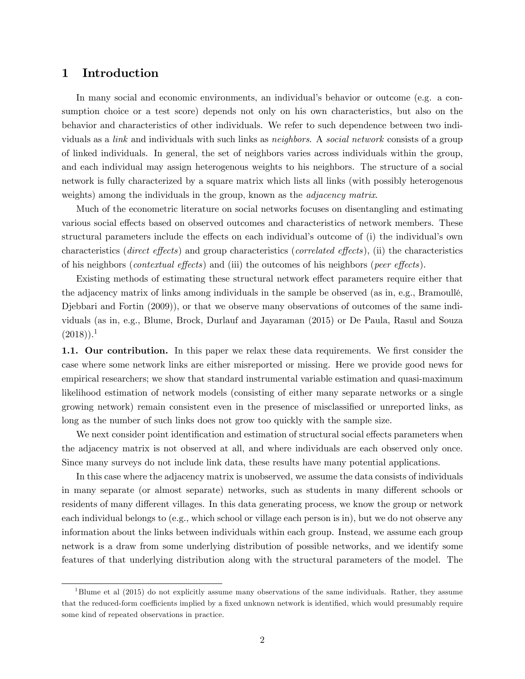### 1 Introduction

In many social and economic environments, an individual's behavior or outcome (e.g. a consumption choice or a test score) depends not only on his own characteristics, but also on the behavior and characteristics of other individuals. We refer to such dependence between two individuals as a link and individuals with such links as neighbors. A social network consists of a group of linked individuals. In general, the set of neighbors varies across individuals within the group, and each individual may assign heterogenous weights to his neighbors. The structure of a social network is fully characterized by a square matrix which lists all links (with possibly heterogenous weights) among the individuals in the group, known as the *adjacency matrix*.

Much of the econometric literature on social networks focuses on disentangling and estimating various social effects based on observed outcomes and characteristics of network members. These structural parameters include the effects on each individual's outcome of (i) the individual's own characteristics (direct effects) and group characteristics (correlated effects), (ii) the characteristics of his neighbors (*contextual effects*) and (iii) the outcomes of his neighbors (*peer effects*).

Existing methods of estimating these structural network effect parameters require either that the adjacency matrix of links among individuals in the sample be observed (as in, e.g., Bramoullé, Djebbari and Fortin (2009)), or that we observe many observations of outcomes of the same individuals (as in, e.g., Blume, Brock, Durlauf and Jayaraman (2015) or De Paula, Rasul and Souza  $(2018)$ .<sup>1</sup>

1.1. Our contribution. In this paper we relax these data requirements. We first consider the case where some network links are either misreported or missing. Here we provide good news for empirical researchers; we show that standard instrumental variable estimation and quasi-maximum likelihood estimation of network models (consisting of either many separate networks or a single growing network) remain consistent even in the presence of misclassified or unreported links, as long as the number of such links does not grow too quickly with the sample size.

We next consider point identification and estimation of structural social effects parameters when the adjacency matrix is not observed at all, and where individuals are each observed only once. Since many surveys do not include link data, these results have many potential applications.

In this case where the adjacency matrix is unobserved, we assume the data consists of individuals in many separate (or almost separate) networks, such as students in many different schools or residents of many different villages. In this data generating process, we know the group or network each individual belongs to (e.g., which school or village each person is in), but we do not observe any information about the links between individuals within each group. Instead, we assume each group network is a draw from some underlying distribution of possible networks, and we identify some features of that underlying distribution along with the structural parameters of the model. The

<sup>1</sup>Blume et al (2015) do not explicitly assume many observations of the same individuals. Rather, they assume that the reduced-form coefficients implied by a fixed unknown network is identified, which would presumably require some kind of repeated observations in practice.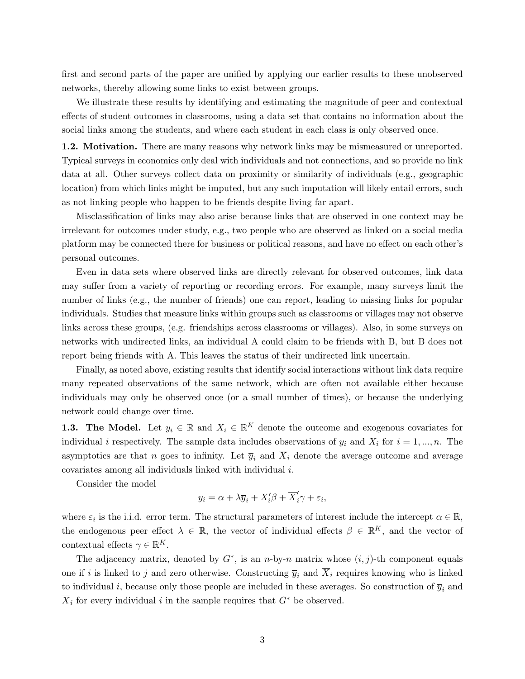first and second parts of the paper are unified by applying our earlier results to these unobserved networks, thereby allowing some links to exist between groups.

We illustrate these results by identifying and estimating the magnitude of peer and contextual effects of student outcomes in classrooms, using a data set that contains no information about the social links among the students, and where each student in each class is only observed once.

1.2. Motivation. There are many reasons why network links may be mismeasured or unreported. Typical surveys in economics only deal with individuals and not connections, and so provide no link data at all. Other surveys collect data on proximity or similarity of individuals (e.g., geographic location) from which links might be imputed, but any such imputation will likely entail errors, such as not linking people who happen to be friends despite living far apart.

Misclassification of links may also arise because links that are observed in one context may be irrelevant for outcomes under study, e.g., two people who are observed as linked on a social media platform may be connected there for business or political reasons, and have no effect on each other's personal outcomes.

Even in data sets where observed links are directly relevant for observed outcomes, link data may suffer from a variety of reporting or recording errors. For example, many surveys limit the number of links (e.g., the number of friends) one can report, leading to missing links for popular individuals. Studies that measure links within groups such as classrooms or villages may not observe links across these groups, (e.g. friendships across classrooms or villages). Also, in some surveys on networks with undirected links, an individual A could claim to be friends with B, but B does not report being friends with A. This leaves the status of their undirected link uncertain.

Finally, as noted above, existing results that identify social interactions without link data require many repeated observations of the same network, which are often not available either because individuals may only be observed once (or a small number of times), or because the underlying network could change over time.

**1.3. The Model.** Let  $y_i \in \mathbb{R}$  and  $X_i \in \mathbb{R}^K$  denote the outcome and exogenous covariates for individual i respectively. The sample data includes observations of  $y_i$  and  $X_i$  for  $i = 1, ..., n$ . The asymptotics are that n goes to infinity. Let  $\overline{y}_i$  and  $\overline{X}_i$  denote the average outcome and average covariates among all individuals linked with individual i.

Consider the model

$$
y_i = \alpha + \lambda \overline{y}_i + X'_i \beta + \overline{X}'_i \gamma + \varepsilon_i,
$$

where  $\varepsilon_i$  is the i.i.d. error term. The structural parameters of interest include the intercept  $\alpha \in \mathbb{R}$ , the endogenous peer effect  $\lambda \in \mathbb{R}$ , the vector of individual effects  $\beta \in \mathbb{R}^K$ , and the vector of contextual effects  $\gamma \in \mathbb{R}^K$ .

The adjacency matrix, denoted by  $G^*$ , is an *n*-by-*n* matrix whose  $(i, j)$ -th component equals one if i is linked to j and zero otherwise. Constructing  $\overline{y}_i$  and  $\overline{X}_i$  requires knowing who is linked to individual i, because only those people are included in these averages. So construction of  $\overline{y}_i$  and  $\overline{X}_i$  for every individual i in the sample requires that  $G^*$  be observed.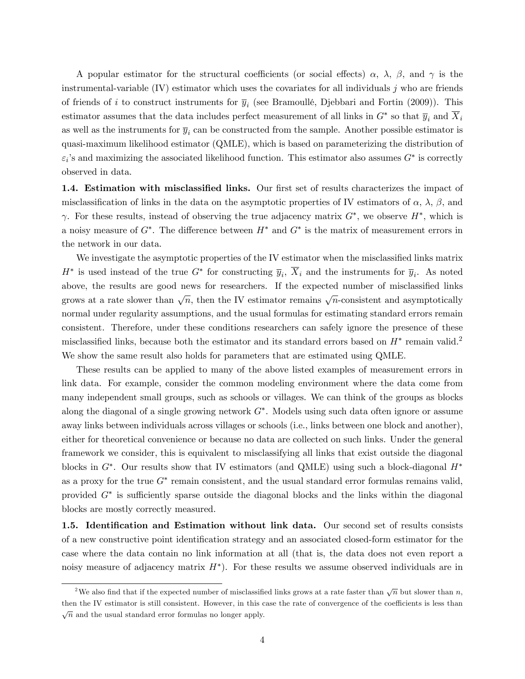A popular estimator for the structural coefficients (or social effects)  $\alpha$ ,  $\lambda$ ,  $\beta$ , and  $\gamma$  is the instrumental-variable  $(IV)$  estimator which uses the covariates for all individuals j who are friends of friends of i to construct instruments for  $\overline{y}_i$  (see Bramoullé, Djebbari and Fortin (2009)). This estimator assumes that the data includes perfect measurement of all links in  $G^*$  so that  $\overline{y}_i$  and  $X_i$ as well as the instruments for  $\bar{y}_i$  can be constructed from the sample. Another possible estimator is quasi-maximum likelihood estimator (QMLE), which is based on parameterizing the distribution of  $\varepsilon_i$ 's and maximizing the associated likelihood function. This estimator also assumes  $G^*$  is correctly observed in data.

1.4. Estimation with misclassified links. Our first set of results characterizes the impact of misclassification of links in the data on the asymptotic properties of IV estimators of  $\alpha$ ,  $\lambda$ ,  $\beta$ , and  $\gamma$ . For these results, instead of observing the true adjacency matrix  $G^*$ , we observe  $H^*$ , which is a noisy measure of  $G^*$ . The difference between  $H^*$  and  $G^*$  is the matrix of measurement errors in the network in our data.

We investigate the asymptotic properties of the IV estimator when the misclassified links matrix  $H^*$  is used instead of the true  $G^*$  for constructing  $\overline{y}_i$ ,  $X_i$  and the instruments for  $\overline{y}_i$ . As noted above, the results are good news for researchers. If the expected number of misclassified links grows at a rate slower than  $\sqrt{n}$ , then the IV estimator remains  $\sqrt{n}$ -consistent and asymptotically normal under regularity assumptions, and the usual formulas for estimating standard errors remain consistent. Therefore, under these conditions researchers can safely ignore the presence of these misclassified links, because both the estimator and its standard errors based on  $H^*$  remain valid.<sup>2</sup> We show the same result also holds for parameters that are estimated using QMLE.

These results can be applied to many of the above listed examples of measurement errors in link data. For example, consider the common modeling environment where the data come from many independent small groups, such as schools or villages. We can think of the groups as blocks along the diagonal of a single growing network  $G^*$ . Models using such data often ignore or assume away links between individuals across villages or schools (i.e., links between one block and another), either for theoretical convenience or because no data are collected on such links. Under the general framework we consider, this is equivalent to misclassifying all links that exist outside the diagonal blocks in  $G^*$ . Our results show that IV estimators (and QMLE) using such a block-diagonal  $H^*$ as a proxy for the true  $G^*$  remain consistent, and the usual standard error formulas remains valid, provided  $G^*$  is sufficiently sparse outside the diagonal blocks and the links within the diagonal blocks are mostly correctly measured.

1.5. Identification and Estimation without link data. Our second set of results consists of a new constructive point identification strategy and an associated closed-form estimator for the case where the data contain no link information at all (that is, the data does not even report a noisy measure of adjacency matrix  $H^*$ ). For these results we assume observed individuals are in

<sup>&</sup>lt;sup>2</sup>We also find that if the expected number of misclassified links grows at a rate faster than  $\sqrt{n}$  but slower than n, then the IV estimator is still consistent. However, in this case the rate of convergence of the coefficients is less than  $\sqrt{n}$  and the usual standard error formulas no longer apply.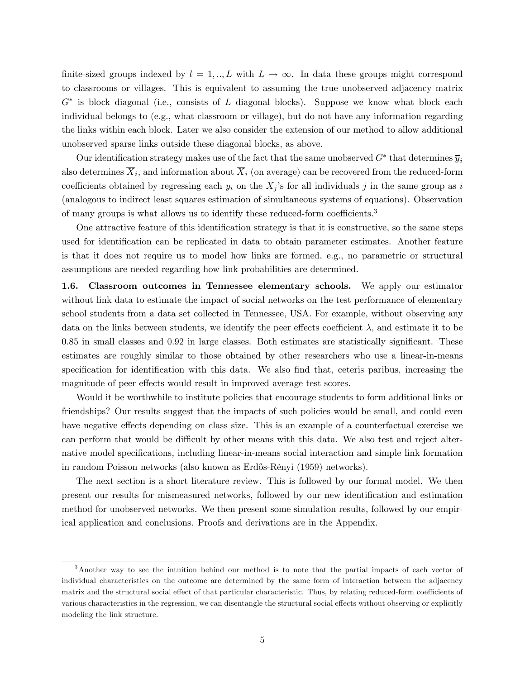finite-sized groups indexed by  $l = 1, ..., L$  with  $L \to \infty$ . In data these groups might correspond to classrooms or villages. This is equivalent to assuming the true unobserved adjacency matrix  $G^*$  is block diagonal (i.e., consists of  $L$  diagonal blocks). Suppose we know what block each individual belongs to (e.g., what classroom or village), but do not have any information regarding the links within each block. Later we also consider the extension of our method to allow additional unobserved sparse links outside these diagonal blocks, as above.

Our identification strategy makes use of the fact that the same unobserved  $G^*$  that determines  $\overline{y}_i$ also determines  $X_i$ , and information about  $X_i$  (on average) can be recovered from the reduced-form coefficients obtained by regressing each  $y_i$  on the  $X_j$ 's for all individuals j in the same group as i (analogous to indirect least squares estimation of simultaneous systems of equations). Observation of many groups is what allows us to identify these reduced-form coefficients.<sup>3</sup>

One attractive feature of this identification strategy is that it is constructive, so the same steps used for identification can be replicated in data to obtain parameter estimates. Another feature is that it does not require us to model how links are formed, e.g., no parametric or structural assumptions are needed regarding how link probabilities are determined.

1.6. Classroom outcomes in Tennessee elementary schools. We apply our estimator without link data to estimate the impact of social networks on the test performance of elementary school students from a data set collected in Tennessee, USA. For example, without observing any data on the links between students, we identify the peer effects coefficient  $\lambda$ , and estimate it to be  $0.85$  in small classes and  $0.92$  in large classes. Both estimates are statistically significant. These estimates are roughly similar to those obtained by other researchers who use a linear-in-means specification for identification with this data. We also find that, ceteris paribus, increasing the magnitude of peer effects would result in improved average test scores.

Would it be worthwhile to institute policies that encourage students to form additional links or friendships? Our results suggest that the impacts of such policies would be small, and could even have negative effects depending on class size. This is an example of a counterfactual exercise we can perform that would be difficult by other means with this data. We also test and reject alternative model specifications, including linear-in-means social interaction and simple link formation in random Poisson networks (also known as Erdős-Rényi (1959) networks).

The next section is a short literature review. This is followed by our formal model. We then present our results for mismeasured networks, followed by our new identification and estimation method for unobserved networks. We then present some simulation results, followed by our empirical application and conclusions. Proofs and derivations are in the Appendix.

<sup>3</sup>Another way to see the intuition behind our method is to note that the partial impacts of each vector of individual characteristics on the outcome are determined by the same form of interaction between the adjacency matrix and the structural social effect of that particular characteristic. Thus, by relating reduced-form coefficients of various characteristics in the regression, we can disentangle the structural social effects without observing or explicitly modeling the link structure.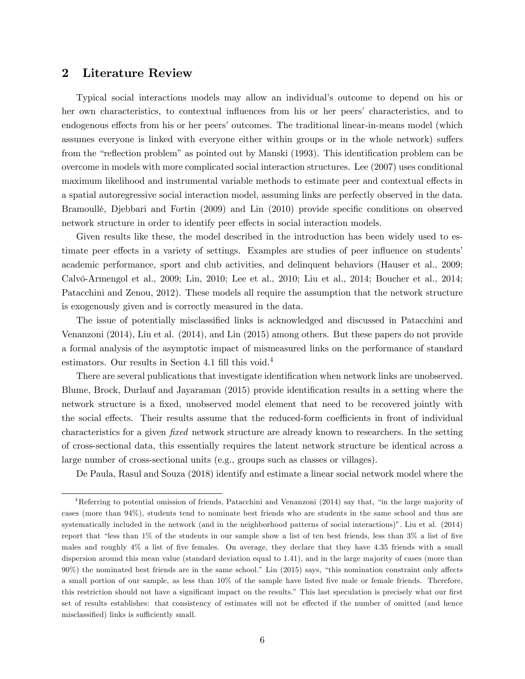### 2 Literature Review

Typical social interactions models may allow an individual's outcome to depend on his or her own characteristics, to contextual influences from his or her peers' characteristics, and to endogenous effects from his or her peers' outcomes. The traditional linear-in-means model (which assumes everyone is linked with everyone either within groups or in the whole network) suffers from the "reflection problem" as pointed out by Manski (1993). This identification problem can be overcome in models with more complicated social interaction structures. Lee (2007) uses conditional maximum likelihood and instrumental variable methods to estimate peer and contextual effects in a spatial autoregressive social interaction model, assuming links are perfectly observed in the data. Bramoullé, Djebbari and Fortin (2009) and Lin (2010) provide specific conditions on observed network structure in order to identify peer effects in social interaction models.

Given results like these, the model described in the introduction has been widely used to estimate peer effects in a variety of settings. Examples are studies of peer influence on students academic performance, sport and club activities, and delinquent behaviors (Hauser et al., 2009; Calvó-Armengol et al., 2009; Lin, 2010; Lee et al., 2010; Liu et al., 2014; Boucher et al., 2014; Patacchini and Zenou, 2012). These models all require the assumption that the network structure is exogenously given and is correctly measured in the data.

The issue of potentially misclassified links is acknowledged and discussed in Patacchini and Venanzoni (2014), Liu et al. (2014), and Lin (2015) among others. But these papers do not provide a formal analysis of the asymptotic impact of mismeasured links on the performance of standard estimators. Our results in Section 4.1 fill this void. $4$ 

There are several publications that investigate identification when network links are unobserved. Blume, Brock, Durlauf and Jayaraman (2015) provide identification results in a setting where the network structure is a fixed, unobserved model element that need to be recovered jointly with the social effects. Their results assume that the reduced-form coefficients in front of individual characteristics for a given *fixed* network structure are already known to researchers. In the setting of cross-sectional data, this essentially requires the latent network structure be identical across a large number of cross-sectional units (e.g., groups such as classes or villages).

De Paula, Rasul and Souza (2018) identify and estimate a linear social network model where the

<sup>&</sup>lt;sup>4</sup>Referring to potential omission of friends, Patacchini and Venanzoni (2014) say that, "in the large majority of cases (more than 94%), students tend to nominate best friends who are students in the same school and thus are systematically included in the network (and in the neighborhood patterns of social interactions)". Liu et al. (2014) report that "less than  $1\%$  of the students in our sample show a list of ten best friends, less than  $3\%$  a list of five males and roughly 4% a list of five females. On average, they declare that they have 4.35 friends with a small dispersion around this mean value (standard deviation equal to 1.41), and in the large majority of cases (more than  $90\%$ ) the nominated best friends are in the same school." Lin (2015) says, "this nomination constraint only affects a small portion of our sample, as less than 10% of the sample have listed five male or female friends. Therefore, this restriction should not have a significant impact on the results." This last speculation is precisely what our first set of results establishes: that consistency of estimates will not be effected if the number of omitted (and hence misclassified) links is sufficiently small.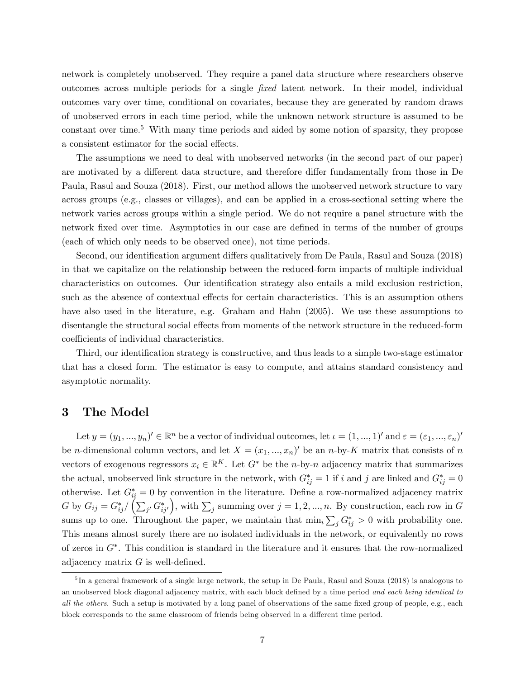network is completely unobserved. They require a panel data structure where researchers observe outcomes across multiple periods for a single fixed latent network. In their model, individual outcomes vary over time, conditional on covariates, because they are generated by random draws of unobserved errors in each time period, while the unknown network structure is assumed to be constant over time.<sup>5</sup> With many time periods and aided by some notion of sparsity, they propose a consistent estimator for the social effects.

The assumptions we need to deal with unobserved networks (in the second part of our paper) are motivated by a different data structure, and therefore differ fundamentally from those in De Paula, Rasul and Souza (2018). First, our method allows the unobserved network structure to vary across groups (e.g., classes or villages), and can be applied in a cross-sectional setting where the network varies across groups within a single period. We do not require a panel structure with the network fixed over time. Asymptotics in our case are defined in terms of the number of groups (each of which only needs to be observed once), not time periods.

Second, our identification argument differs qualitatively from De Paula, Rasul and Souza (2018) in that we capitalize on the relationship between the reduced-form impacts of multiple individual characteristics on outcomes. Our identification strategy also entails a mild exclusion restriction, such as the absence of contextual effects for certain characteristics. This is an assumption others have also used in the literature, e.g. Graham and Hahn (2005). We use these assumptions to disentangle the structural social effects from moments of the network structure in the reduced-form coefficients of individual characteristics.

Third, our identification strategy is constructive, and thus leads to a simple two-stage estimator that has a closed form. The estimator is easy to compute, and attains standard consistency and asymptotic normality.

### 3 The Model

Let  $y = (y_1, ..., y_n)' \in \mathbb{R}^n$  be a vector of individual outcomes, let  $\iota = (1, ..., 1)'$  and  $\varepsilon = (\varepsilon_1, ..., \varepsilon_n)'$ be *n*-dimensional column vectors, and let  $X = (x_1, ..., x_n)'$  be an *n*-by-K matrix that consists of *n* vectors of exogenous regressors  $x_i \in \mathbb{R}^K$ . Let  $G^*$  be the *n*-by-*n* adjacency matrix that summarizes the actual, unobserved link structure in the network, with  $G_{ij}^* = 1$  if i and j are linked and  $G_{ij}^* = 0$ otherwise. Let  $G_{ii}^* = 0$  by convention in the literature. Define a row-normalized adjacency matrix  $G\text{ by }G_{ij}=G_{ij}^*/\left(\sum_{j'}G_{ij'}^*\right)$ ), with  $\sum_j$  summing over  $j = 1, 2, ..., n$ . By construction, each row in G sums up to one. Throughout the paper, we maintain that  $\min_i \sum_j G_{ij}^* > 0$  with probability one. This means almost surely there are no isolated individuals in the network, or equivalently no rows of zeros in  $G^*$ . This condition is standard in the literature and it ensures that the row-normalized adjacency matrix  $G$  is well-defined.

<sup>&</sup>lt;sup>5</sup>In a general framework of a single large network, the setup in De Paula, Rasul and Souza (2018) is analogous to an unobserved block diagonal adjacency matrix, with each block defined by a time period and each being identical to all the others. Such a setup is motivated by a long panel of observations of the same fixed group of people, e.g., each block corresponds to the same classroom of friends being observed in a different time period.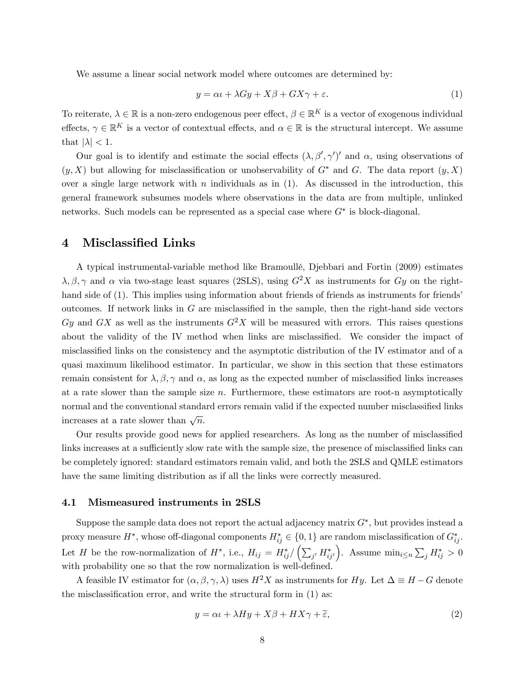We assume a linear social network model where outcomes are determined by:

$$
y = \alpha \iota + \lambda Gy + X\beta + GX\gamma + \varepsilon. \tag{1}
$$

To reiterate,  $\lambda \in \mathbb{R}$  is a non-zero endogenous peer effect,  $\beta \in \mathbb{R}^K$  is a vector of exogenous individual effects,  $\gamma \in \mathbb{R}^K$  is a vector of contextual effects, and  $\alpha \in \mathbb{R}$  is the structural intercept. We assume that  $|\lambda| < 1$ .

Our goal is to identify and estimate the social effects  $(\lambda, \beta', \gamma')'$  and  $\alpha$ , using observations of  $(y, X)$  but allowing for misclassification or unobservability of  $G^*$  and G. The data report  $(y, X)$ over a single large network with  $n$  individuals as in  $(1)$ . As discussed in the introduction, this general framework subsumes models where observations in the data are from multiple, unlinked networks. Such models can be represented as a special case where  $G^*$  is block-diagonal.

### 4 Misclassified Links

A typical instrumental-variable method like Bramoullé, Djebbari and Fortin (2009) estimates  $\lambda, \beta, \gamma$  and  $\alpha$  via two-stage least squares (2SLS), using  $G^2X$  as instruments for  $Gy$  on the righthand side of (1). This implies using information about friends of friends as instruments for friends<sup>7</sup> outcomes. If network links in  $G$  are misclassified in the sample, then the right-hand side vectors Gy and GX as well as the instruments  $G^2X$  will be measured with errors. This raises questions about the validity of the IV method when links are misclassified. We consider the impact of misclassified links on the consistency and the asymptotic distribution of the IV estimator and of a quasi maximum likelihood estimator. In particular, we show in this section that these estimators remain consistent for  $\lambda, \beta, \gamma$  and  $\alpha$ , as long as the expected number of misclassified links increases at a rate slower than the sample size n. Furthermore, these estimators are root-n asymptotically normal and the conventional standard errors remain valid if the expected number misclassified links increases at a rate slower than  $\sqrt{n}$ .

Our results provide good news for applied researchers. As long as the number of misclassified links increases at a sufficiently slow rate with the sample size, the presence of misclassified links can be completely ignored: standard estimators remain valid, and both the 2SLS and QMLE estimators have the same limiting distribution as if all the links were correctly measured.

#### 4.1 Mismeasured instruments in 2SLS

Suppose the sample data does not report the actual adjacency matrix  $G^*$ , but provides instead a proxy measure  $H^*$ , whose off-diagonal components  $H^*_{ij} \in \{0, 1\}$  are random misclassification of  $G^*_{ij}$ . Let H be the row-normalization of  $H^*$ , i.e.,  $H_{ij} = H^*_{ij}/\left(\sum_{j'} H^*_{ij'}\right)$ ). Assume  $\min_{i \leq n} \sum_j H^*_{ij} > 0$ with probability one so that the row normalization is well-defined.

A feasible IV estimator for  $(\alpha, \beta, \gamma, \lambda)$  uses  $H^2X$  as instruments for Hy. Let  $\Delta \equiv H - G$  denote the misclassification error, and write the structural form in  $(1)$  as:

$$
y = \alpha \iota + \lambda H y + X \beta + H X \gamma + \widetilde{\epsilon}, \tag{2}
$$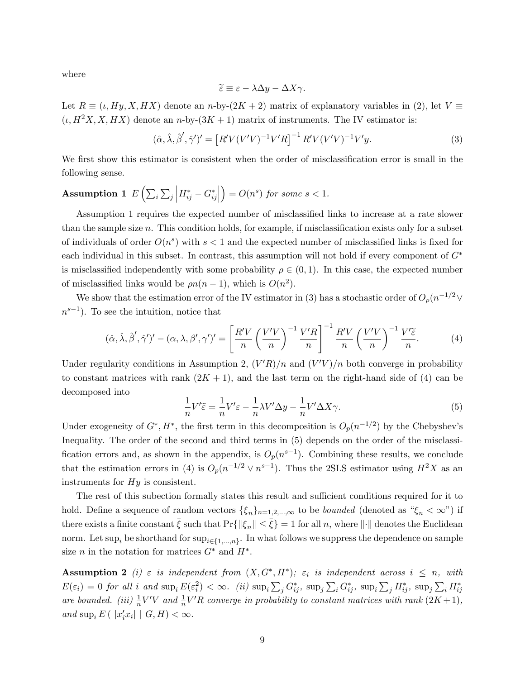where

$$
\widetilde{\varepsilon} \equiv \varepsilon - \lambda \Delta y - \Delta X \gamma.
$$

Let  $R \equiv (\iota, Hy, X, HX)$  denote an n-by- $(2K + 2)$  matrix of explanatory variables in (2), let  $V \equiv$  $(\iota, H^2X, X, HX)$  denote an n-by- $(3K+1)$  matrix of instruments. The IV estimator is:

$$
(\hat{\alpha}, \hat{\lambda}, \hat{\beta}', \hat{\gamma}')' = \left[ R'V(V'V)^{-1}V'R \right]^{-1} R'V(V'V)^{-1}V'y. \tag{3}
$$

We first show this estimator is consistent when the order of misclassification error is small in the following sense.

#### Assumption 1  $E\left(\sum_i\sum_j\right)$  $\Big| H^*_{ij} - G^*_{ij}$   $= O(n^s)$  for some  $s < 1$ .

Assumption 1 requires the expected number of misclassified links to increase at a rate slower than the sample size  $n$ . This condition holds, for example, if misclassification exists only for a subset of individuals of order  $O(n^s)$  with  $s < 1$  and the expected number of misclassified links is fixed for each individual in this subset. In contrast, this assumption will not hold if every component of  $G^*$ is misclassified independently with some probability  $\rho \in (0, 1)$ . In this case, the expected number of misclassified links would be  $\rho n(n-1)$ , which is  $O(n^2)$ .

We show that the estimation error of the IV estimator in (3) has a stochastic order of  $O_p(n^{-1/2} \vee$  $n^{s-1}$ ). To see the intuition, notice that

$$
(\hat{\alpha}, \hat{\lambda}, \hat{\beta}', \hat{\gamma}')' - (\alpha, \lambda, \beta', \gamma')' = \left[\frac{R'V}{n} \left(\frac{V'V}{n}\right)^{-1} \frac{V'R}{n}\right]^{-1} \frac{R'V}{n} \left(\frac{V'V}{n}\right)^{-1} \frac{V'\tilde{\varepsilon}}{n}.
$$
 (4)

Under regularity conditions in Assumption 2,  $(V'R)/n$  and  $(V'V)/n$  both converge in probability to constant matrices with rank  $(2K + 1)$ , and the last term on the right-hand side of (4) can be decomposed into

$$
\frac{1}{n}V'\tilde{\varepsilon} = \frac{1}{n}V'\varepsilon - \frac{1}{n}\lambda V'\Delta y - \frac{1}{n}V'\Delta X\gamma.
$$
\n(5)

Under exogeneity of  $G^*, H^*$ , the first term in this decomposition is  $O_p(n^{-1/2})$  by the Chebyshev's Inequality. The order of the second and third terms in (5) depends on the order of the misclassification errors and, as shown in the appendix, is  $O_p(n^{s-1})$ . Combining these results, we conclude that the estimation errors in (4) is  $O_p(n^{-1/2} \vee n^{s-1})$ . Thus the 2SLS estimator using  $H^2X$  as an instruments for  $Hy$  is consistent.

The rest of this subection formally states this result and sufficient conditions required for it to hold. Define a sequence of random vectors  $\{\xi_n\}_{n=1,2,\dots,\infty}$  to be *bounded* (denoted as " $\xi_n < \infty$ ") if there exists a finite constant  $\bar{\xi}$  such that  $Pr\{\|\xi_n\| \leq \bar{\xi}\} = 1$  for all n, where  $\|\cdot\|$  denotes the Euclidean norm. Let  $\sup_i$  be shorthand for  $\sup_{i\in\{1,...,n\}}$ . In what follows we suppress the dependence on sample size *n* in the notation for matrices  $G^*$  and  $H^*$ .

**Assumption 2** (i)  $\varepsilon$  is independent from  $(X, G^*, H^*)$ ;  $\varepsilon_i$  is independent across  $i \leq n$ , with  $E(\varepsilon_i) = 0$  for all i and  $\sup_i E(\varepsilon_i^2) < \infty$ . (ii)  $\sup_i \sum_j G_{ij}^*$ ,  $\sup_j \sum_i G_{ij}^*$ ,  $\sup_i \sum_j H_{ij}^*$ ,  $\sup_j \sum_i H_{ij}^*$ are bounded. (iii)  $\frac{1}{n}V'V$  and  $\frac{1}{n}V'R$  converge in probability to constant matrices with rank  $(2K+1)$ , and  $\sup_i E([x'_i x_i | G, H) < \infty$ .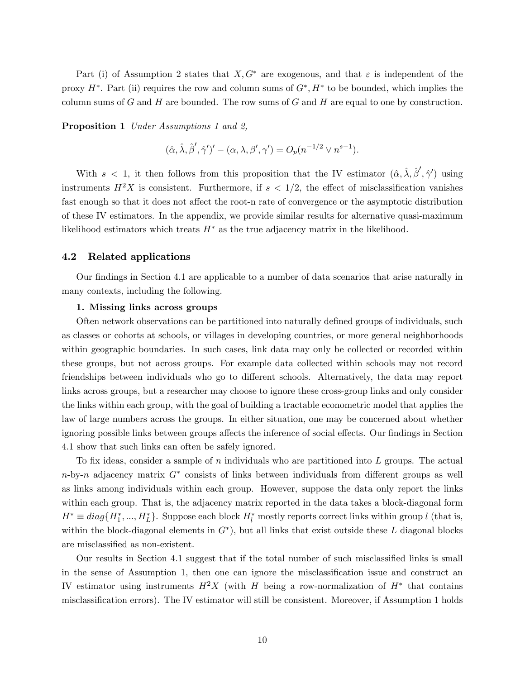Part (i) of Assumption 2 states that  $X, G^*$  are exogenous, and that  $\varepsilon$  is independent of the proxy  $H^*$ . Part (ii) requires the row and column sums of  $G^*, H^*$  to be bounded, which implies the column sums of G and H are bounded. The row sums of G and H are equal to one by construction.

Proposition 1 Under Assumptions 1 and 2,

$$
(\hat{\alpha}, \hat{\lambda}, \hat{\beta}', \hat{\gamma}')' - (\alpha, \lambda, \beta', \gamma') = O_p(n^{-1/2} \vee n^{s-1}).
$$

With  $s < 1$ , it then follows from this proposition that the IV estimator  $(\hat{\alpha}, \hat{\lambda}, \hat{\beta}', \hat{\gamma}')$  using instruments  $H^2X$  is consistent. Furthermore, if  $s < 1/2$ , the effect of misclassification vanishes fast enough so that it does not affect the root-n rate of convergence or the asymptotic distribution of these IV estimators. In the appendix, we provide similar results for alternative quasi-maximum likelihood estimators which treats  $H^*$  as the true adjacency matrix in the likelihood.

#### 4.2 Related applications

Our findings in Section 4.1 are applicable to a number of data scenarios that arise naturally in many contexts, including the following.

#### 1. Missing links across groups

Often network observations can be partitioned into naturally defined groups of individuals, such as classes or cohorts at schools, or villages in developing countries, or more general neighborhoods within geographic boundaries. In such cases, link data may only be collected or recorded within these groups, but not across groups. For example data collected within schools may not record friendships between individuals who go to different schools. Alternatively, the data may report links across groups, but a researcher may choose to ignore these cross-group links and only consider the links within each group, with the goal of building a tractable econometric model that applies the law of large numbers across the groups. In either situation, one may be concerned about whether ignoring possible links between groups affects the inference of social effects. Our findings in Section 4.1 show that such links can often be safely ignored.

To fix ideas, consider a sample of n individuals who are partitioned into  $L$  groups. The actual  $n$ -by-n adjacency matrix  $G^*$  consists of links between individuals from different groups as well as links among individuals within each group. However, suppose the data only report the links within each group. That is, the adjacency matrix reported in the data takes a block-diagonal form  $H^* \equiv diag\{H_1^*,...,H_L^*\}$ . Suppose each block  $H_l^*$  mostly reports correct links within group l (that is, within the block-diagonal elements in  $G^*$ ), but all links that exist outside these L diagonal blocks are misclassified as non-existent.

Our results in Section 4.1 suggest that if the total number of such misclassified links is small in the sense of Assumption 1, then one can ignore the misclassification issue and construct an IV estimator using instruments  $H^2X$  (with H being a row-normalization of  $H^*$  that contains misclassification errors). The IV estimator will still be consistent. Moreover, if Assumption 1 holds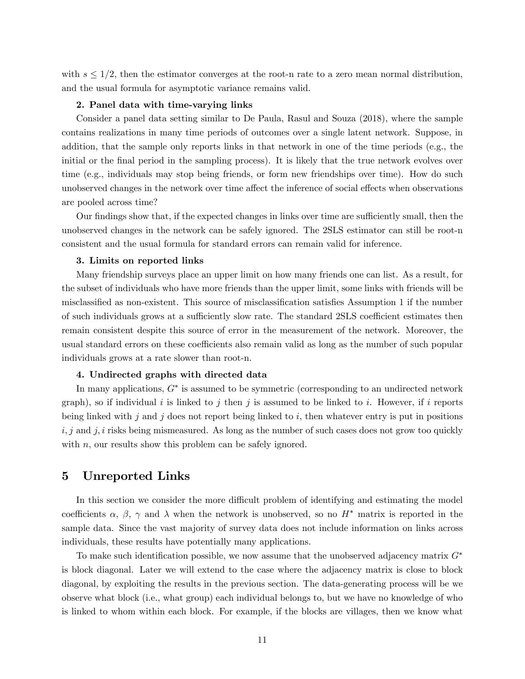with  $s \leq 1/2$ , then the estimator converges at the root-n rate to a zero mean normal distribution, and the usual formula for asymptotic variance remains valid.

#### 2. Panel data with time-varying links

Consider a panel data setting similar to De Paula, Rasul and Souza (2018), where the sample contains realizations in many time periods of outcomes over a single latent network. Suppose, in addition, that the sample only reports links in that network in one of the time periods (e.g., the initial or the final period in the sampling process). It is likely that the true network evolves over time (e.g., individuals may stop being friends, or form new friendships over time). How do such unobserved changes in the network over time affect the inference of social effects when observations are pooled across time?

Our findings show that, if the expected changes in links over time are sufficiently small, then the unobserved changes in the network can be safely ignored. The 2SLS estimator can still be root-n consistent and the usual formula for standard errors can remain valid for inference.

#### 3. Limits on reported links

Many friendship surveys place an upper limit on how many friends one can list. As a result, for the subset of individuals who have more friends than the upper limit, some links with friends will be misclassified as non-existent. This source of misclassification satisfies Assumption 1 if the number of such individuals grows at a sufficiently slow rate. The standard 2SLS coefficient estimates then remain consistent despite this source of error in the measurement of the network. Moreover, the usual standard errors on these coefficients also remain valid as long as the number of such popular individuals grows at a rate slower than root-n.

#### 4. Undirected graphs with directed data

In many applications,  $G^*$  is assumed to be symmetric (corresponding to an undirected network graph), so if individual i is linked to j then j is assumed to be linked to i. However, if i reports being linked with j and j does not report being linked to i, then whatever entry is put in positions  $i, j$  and  $j, i$  risks being mismeasured. As long as the number of such cases does not grow too quickly with  $n$ , our results show this problem can be safely ignored.

### 5 Unreported Links

In this section we consider the more difficult problem of identifying and estimating the model coefficients  $\alpha$ ,  $\beta$ ,  $\gamma$  and  $\lambda$  when the network is unobserved, so no  $H^*$  matrix is reported in the sample data. Since the vast majority of survey data does not include information on links across individuals, these results have potentially many applications.

To make such identification possible, we now assume that the unobserved adjacency matrix  $G^*$ is block diagonal. Later we will extend to the case where the adjacency matrix is close to block diagonal, by exploiting the results in the previous section. The data-generating process will be we observe what block (i.e., what group) each individual belongs to, but we have no knowledge of who is linked to whom within each block. For example, if the blocks are villages, then we know what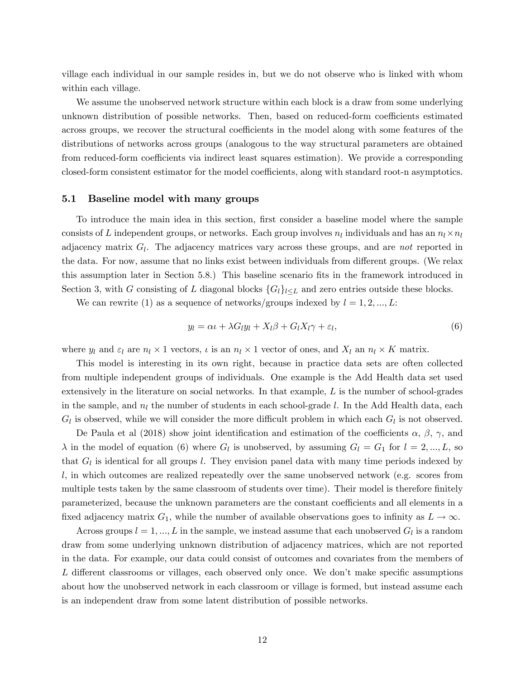village each individual in our sample resides in, but we do not observe who is linked with whom within each village.

We assume the unobserved network structure within each block is a draw from some underlying unknown distribution of possible networks. Then, based on reduced-form coefficients estimated across groups, we recover the structural coefficients in the model along with some features of the distributions of networks across groups (analogous to the way structural parameters are obtained from reduced-form coefficients via indirect least squares estimation). We provide a corresponding closed-form consistent estimator for the model coefficients, along with standard root-n asymptotics.

#### 5.1 Baseline model with many groups

To introduce the main idea in this section, first consider a baseline model where the sample consists of L independent groups, or networks. Each group involves  $n_l$  individuals and has an  $n_l \times n_l$ adjacency matrix  $G_l$ . The adjacency matrices vary across these groups, and are *not* reported in the data. For now, assume that no links exist between individuals from different groups. (We relax this assumption later in Section 5.8.) This baseline scenario Öts in the framework introduced in Section 3, with G consisting of L diagonal blocks  $\{G_l\}_{l \leq L}$  and zero entries outside these blocks.

We can rewrite (1) as a sequence of networks/groups indexed by  $l = 1, 2, ..., L$ :

$$
y_l = \alpha \iota + \lambda G_l y_l + X_l \beta + G_l X_l \gamma + \varepsilon_l, \tag{6}
$$

where  $y_l$  and  $\varepsilon_l$  are  $n_l \times 1$  vectors,  $\iota$  is an  $n_l \times 1$  vector of ones, and  $X_l$  an  $n_l \times K$  matrix.

This model is interesting in its own right, because in practice data sets are often collected from multiple independent groups of individuals. One example is the Add Health data set used extensively in the literature on social networks. In that example,  $L$  is the number of school-grades in the sample, and  $n_l$  the number of students in each school-grade l. In the Add Health data, each  $G_l$  is observed, while we will consider the more difficult problem in which each  $G_l$  is not observed.

De Paula et al (2018) show joint identification and estimation of the coefficients  $\alpha$ ,  $\beta$ ,  $\gamma$ , and  $\lambda$  in the model of equation (6) where  $G_l$  is unobserved, by assuming  $G_l = G_1$  for  $l = 2, ..., L$ , so that  $G_l$  is identical for all groups l. They envision panel data with many time periods indexed by l, in which outcomes are realized repeatedly over the same unobserved network (e.g. scores from multiple tests taken by the same classroom of students over time). Their model is therefore finitely parameterized, because the unknown parameters are the constant coefficients and all elements in a fixed adjacency matrix  $G_1$ , while the number of available observations goes to infinity as  $L \to \infty$ .

Across groups  $l = 1, ..., L$  in the sample, we instead assume that each unobserved  $G_l$  is a random draw from some underlying unknown distribution of adjacency matrices, which are not reported in the data. For example, our data could consist of outcomes and covariates from the members of  $L$  different classrooms or villages, each observed only once. We don't make specific assumptions about how the unobserved network in each classroom or village is formed, but instead assume each is an independent draw from some latent distribution of possible networks.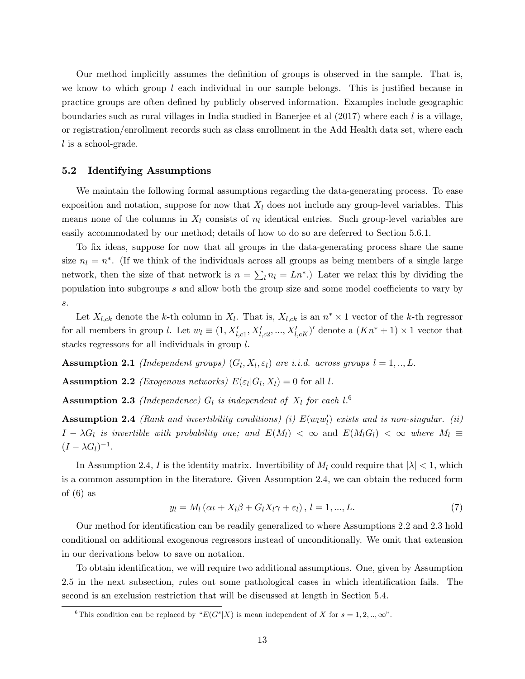Our method implicitly assumes the definition of groups is observed in the sample. That is, we know to which group  $l$  each individual in our sample belongs. This is justified because in practice groups are often defined by publicly observed information. Examples include geographic boundaries such as rural villages in India studied in Banerjee et al  $(2017)$  where each l is a village, or registration/enrollment records such as class enrollment in the Add Health data set, where each l is a school-grade.

#### 5.2 Identifying Assumptions

We maintain the following formal assumptions regarding the data-generating process. To ease exposition and notation, suppose for now that  $X_l$  does not include any group-level variables. This means none of the columns in  $X_l$  consists of  $n_l$  identical entries. Such group-level variables are easily accommodated by our method; details of how to do so are deferred to Section 5.6.1.

To fix ideas, suppose for now that all groups in the data-generating process share the same size  $n_l = n^*$ . (If we think of the individuals across all groups as being members of a single large network, then the size of that network is  $n = \sum_l n_l = L n^*$ .) Later we relax this by dividing the population into subgroups  $s$  and allow both the group size and some model coefficients to vary by s.

Let  $X_{l,ck}$  denote the k-th column in  $X_{l}$ . That is,  $X_{l,ck}$  is an  $n^* \times 1$  vector of the k-th regressor for all members in group l. Let  $w_l \equiv (1, X'_{l,c1}, X'_{l,c2}, ..., X'_{l,cK})'$  denote a  $(Kn^* + 1) \times 1$  vector that stacks regressors for all individuals in group l.

**Assumption 2.1** (Independent groups)  $(G_l, X_l, \varepsilon_l)$  are i.i.d. across groups  $l = 1, ..., L$ .

**Assumption 2.2** *(Exogenous networks)*  $E(\varepsilon_l | G_l, X_l) = 0$  for all l.

**Assumption 2.3** (Independence)  $G_l$  is independent of  $X_l$  for each  $l$ .<sup>6</sup>

**Assumption 2.4** (Rank and invertibility conditions) (i)  $E(w_lw_l')$  exists and is non-singular. (ii)  $I - \lambda G_l$  is invertible with probability one; and  $E(M_l) < \infty$  and  $E(M_lG_l) < \infty$  where  $M_l \equiv$  $(I - \lambda G_l)^{-1}.$ 

In Assumption 2.4, I is the identity matrix. Invertibility of  $M_l$  could require that  $|\lambda| < 1$ , which is a common assumption in the literature. Given Assumption 2.4, we can obtain the reduced form of  $(6)$  as

$$
y_l = M_l \left( \alpha t + X_l \beta + G_l X_l \gamma + \varepsilon_l \right), \, l = 1, \dots, L. \tag{7}
$$

Our method for identification can be readily generalized to where Assumptions 2.2 and 2.3 hold conditional on additional exogenous regressors instead of unconditionally. We omit that extension in our derivations below to save on notation.

To obtain identification, we will require two additional assumptions. One, given by Assumption 2.5 in the next subsection, rules out some pathological cases in which identification fails. The second is an exclusion restriction that will be discussed at length in Section 5.4.

<sup>&</sup>lt;sup>6</sup>This condition can be replaced by " $E(G^s|X)$  is mean independent of X for  $s = 1, 2, ..., \infty$ ".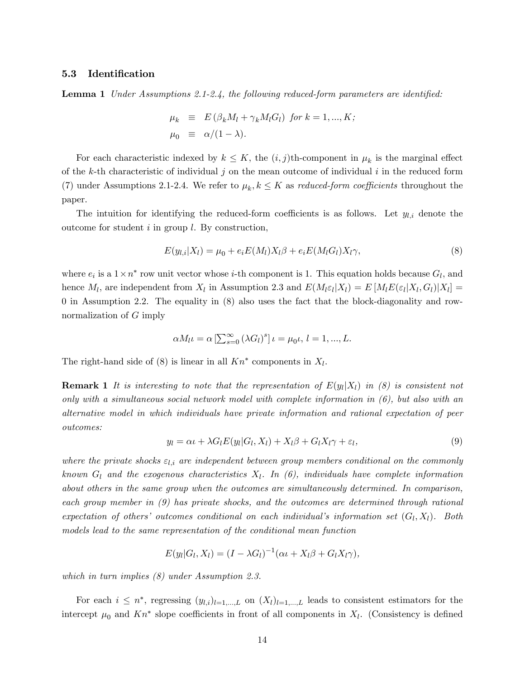#### 5.3 Identification

**Lemma 1** Under Assumptions 2.1-2.4, the following reduced-form parameters are identified:

$$
\mu_k \equiv E(\beta_k M_l + \gamma_k M_l G_l) \text{ for } k = 1, ..., K; \n\mu_0 \equiv \alpha/(1 - \lambda).
$$

For each characteristic indexed by  $k \leq K$ , the  $(i, j)$ th-component in  $\mu_k$  is the marginal effect of the k-th characteristic of individual j on the mean outcome of individual i in the reduced form (7) under Assumptions 2.1-2.4. We refer to  $\mu_k, k \leq K$  as *reduced-form coefficients* throughout the paper.

The intuition for identifying the reduced-form coefficients is as follows. Let  $y_{l,i}$  denote the outcome for student  $i$  in group  $l$ . By construction,

$$
E(y_{l,i}|X_l) = \mu_0 + e_i E(M_l) X_l \beta + e_i E(M_l G_l) X_l \gamma,
$$
\n(8)

where  $e_i$  is a  $1 \times n^*$  row unit vector whose *i*-th component is 1. This equation holds because  $G_l$ , and hence  $M_l$ , are independent from  $X_l$  in Assumption 2.3 and  $E(M_l \varepsilon_l | X_l) = E[M_l E(\varepsilon_l | X_l, G_l) | X_l] =$ 0 in Assumption 2.2. The equality in (8) also uses the fact that the block-diagonality and rownormalization of G imply

$$
\alpha M_l \iota = \alpha \left[ \sum_{s=0}^{\infty} (\lambda G_l)^s \right] \iota = \mu_0 \iota, l = 1, ..., L.
$$

The right-hand side of  $(8)$  is linear in all  $Kn^*$  components in  $X_l$ .

**Remark 1** It is interesting to note that the representation of  $E(y_l|X_l)$  in (8) is consistent not only with a simultaneous social network model with complete information in  $(6)$ , but also with an alternative model in which individuals have private information and rational expectation of peer outcomes:

$$
y_l = \alpha \iota + \lambda G_l E(y_l | G_l, X_l) + X_l \beta + G_l X_l \gamma + \varepsilon_l, \tag{9}
$$

where the private shocks  $\varepsilon_{l,i}$  are independent between group members conditional on the commonly known  $G_l$  and the exogenous characteristics  $X_l$ . In (6), individuals have complete information about others in the same group when the outcomes are simultaneously determined. In comparison, each group member in (9) has private shocks, and the outcomes are determined through rational expectation of others' outcomes conditional on each individual's information set  $(G_l, X_l)$ . Both models lead to the same representation of the conditional mean function

$$
E(y_l|G_l, X_l) = (I - \lambda G_l)^{-1}(\alpha \iota + X_l \beta + G_l X_l \gamma),
$$

which in turn implies (8) under Assumption 2.3.

For each  $i \leq n^*$ , regressing  $(y_{l,i})_{l=1,...,L}$  on  $(X_l)_{l=1,...,L}$  leads to consistent estimators for the intercept  $\mu_0$  and  $Kn^*$  slope coefficients in front of all components in  $X_l$ . (Consistency is defined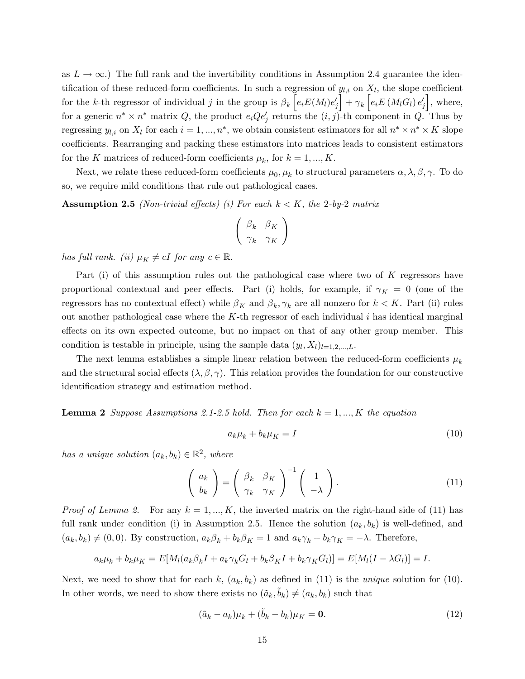as  $L \to \infty$ .) The full rank and the invertibility conditions in Assumption 2.4 guarantee the identification of these reduced-form coefficients. In such a regression of  $y_{l,i}$  on  $X_l$ , the slope coefficient for the k-th regressor of individual j in the group is  $\beta_k \tilde{e}_i E(M_l) e'_j$  $\Big]+ \gamma_k \, \Big[ e_i E\left(M_l G_l\right) e_j'$ i , where, for a generic  $n^* \times n^*$  matrix  $Q$ , the product  $e_i Q e_j'$  returns the  $(i, j)$ -th component in  $Q$ . Thus by regressing  $y_{l,i}$  on  $X_l$  for each  $i = 1, ..., n^*$ , we obtain consistent estimators for all  $n^* \times n^* \times K$  slope coefficients. Rearranging and packing these estimators into matrices leads to consistent estimators for the K matrices of reduced-form coefficients  $\mu_k$ , for  $k = 1, ..., K$ .

Next, we relate these reduced-form coefficients  $\mu_0, \mu_k$  to structural parameters  $\alpha, \lambda, \beta, \gamma$ . To do so, we require mild conditions that rule out pathological cases.

**Assumption 2.5** (Non-trivial effects) (i) For each  $k < K$ , the 2-by-2 matrix

$$
\left(\begin{array}{cc} \beta_k & \beta_K \\ \gamma_k & \gamma_K \end{array}\right)
$$

has full rank. (ii)  $\mu_K \neq cI$  for any  $c \in \mathbb{R}$ .

Part (i) of this assumption rules out the pathological case where two of K regressors have proportional contextual and peer effects. Part (i) holds, for example, if  $\gamma_K = 0$  (one of the regressors has no contextual effect) while  $\beta_K$  and  $\beta_k, \gamma_k$  are all nonzero for  $k < K$ . Part (ii) rules out another pathological case where the  $K$ -th regressor of each individual i has identical marginal effects on its own expected outcome, but no impact on that of any other group member. This condition is testable in principle, using the sample data  $(y_l, X_l)_{l=1,2,\dots,L}$ .

The next lemma establishes a simple linear relation between the reduced-form coefficients  $\mu_k$ and the structural social effects  $(\lambda, \beta, \gamma)$ . This relation provides the foundation for our constructive identification strategy and estimation method.

**Lemma 2** Suppose Assumptions 2.1-2.5 hold. Then for each  $k = 1, ..., K$  the equation

$$
a_k \mu_k + b_k \mu_K = I \tag{10}
$$

has a unique solution  $(a_k, b_k) \in \mathbb{R}^2$ , where

$$
\left(\begin{array}{c} a_k \\ b_k \end{array}\right) = \left(\begin{array}{cc} \beta_k & \beta_K \\ \gamma_k & \gamma_K \end{array}\right)^{-1} \left(\begin{array}{c} 1 \\ -\lambda \end{array}\right). \tag{11}
$$

*Proof of Lemma 2.* For any  $k = 1, ..., K$ , the inverted matrix on the right-hand side of (11) has full rank under condition (i) in Assumption 2.5. Hence the solution  $(a_k, b_k)$  is well-defined, and  $(a_k, b_k) \neq (0, 0)$ . By construction,  $a_k \beta_k + b_k \beta_k = 1$  and  $a_k \gamma_k + b_k \gamma_k = -\lambda$ . Therefore,

$$
a_k\mu_k + b_k\mu_K = E[M_l(a_k\beta_kI + a_k\gamma_kG_l + b_k\beta_KI + b_k\gamma_KG_l)] = E[M_l(I - \lambda G_l)] = I.
$$

Next, we need to show that for each k,  $(a_k, b_k)$  as defined in (11) is the *unique* solution for (10). In other words, we need to show there exists no  $(\tilde{a}_k, \tilde{b}_k) \neq (a_k, b_k)$  such that

$$
(\tilde{a}_k - a_k)\mu_k + (\tilde{b}_k - b_k)\mu_K = \mathbf{0}.\tag{12}
$$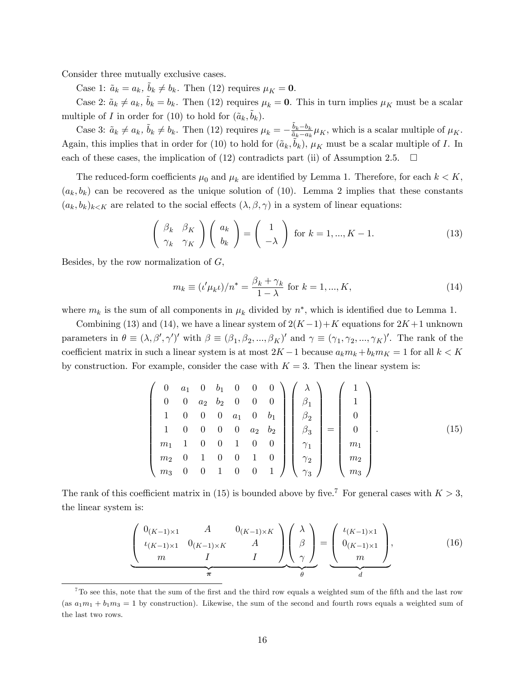Consider three mutually exclusive cases.

Case 1:  $\tilde{a}_k = a_k$ ,  $\tilde{b}_k \neq b_k$ . Then (12) requires  $\mu_K = 0$ .

Case 2:  $\tilde{a}_k \neq a_k$ ,  $\tilde{b}_k = b_k$ . Then (12) requires  $\mu_k = 0$ . This in turn implies  $\mu_K$  must be a scalar multiple of I in order for (10) to hold for  $(\tilde{a}_k, \tilde{b}_k)$ .

Case 3:  $\tilde{a}_k \neq a_k$ ,  $\tilde{b}_k \neq b_k$ . Then (12) requires  $\mu_k = -\frac{\tilde{b}_k - b_k}{\tilde{a}_k - a_k}$  $\frac{b_k - b_k}{\tilde{a}_k - a_k} \mu_K$ , which is a scalar multiple of  $\mu_K$ . Again, this implies that in order for (10) to hold for  $(\tilde{a}_k, \tilde{b}_k)$ ,  $\mu_K$  must be a scalar multiple of I. In each of these cases, the implication of (12) contradicts part (ii) of Assumption 2.5.  $\Box$ 

The reduced-form coefficients  $\mu_0$  and  $\mu_k$  are identified by Lemma 1. Therefore, for each  $k < K$ ,  $(a_k, b_k)$  can be recovered as the unique solution of (10). Lemma 2 implies that these constants  $(a_k, b_k)_{k \leq K}$  are related to the social effects  $(\lambda, \beta, \gamma)$  in a system of linear equations:

$$
\begin{pmatrix}\n\beta_k & \beta_K \\
\gamma_k & \gamma_K\n\end{pmatrix}\n\begin{pmatrix}\na_k \\
b_k\n\end{pmatrix} =\n\begin{pmatrix}\n1 \\
-\lambda\n\end{pmatrix} \text{ for } k = 1, ..., K - 1.
$$
\n(13)

Besides, by the row normalization of  $G$ ,

$$
m_k \equiv (t'\mu_k t)/n^* = \frac{\beta_k + \gamma_k}{1 - \lambda} \text{ for } k = 1, ..., K,
$$
 (14)

where  $m_k$  is the sum of all components in  $\mu_k$  divided by  $n^*$ , which is identified due to Lemma 1.

Combining (13) and (14), we have a linear system of  $2(K-1)+K$  equations for  $2K+1$  unknown parameters in  $\theta \equiv (\lambda, \beta', \gamma')'$  with  $\beta \equiv (\beta_1, \beta_2, ..., \beta_K)'$  and  $\gamma \equiv (\gamma_1, \gamma_2, ..., \gamma_K)'$ . The rank of the coefficient matrix in such a linear system is at most  $2K-1$  because  $a_k m_k + b_k m_K = 1$  for all  $k < K$ by construction. For example, consider the case with  $K = 3$ . Then the linear system is:

$$
\begin{pmatrix}\n0 & a_1 & 0 & b_1 & 0 & 0 & 0 \\
0 & 0 & a_2 & b_2 & 0 & 0 & 0 \\
1 & 0 & 0 & 0 & a_1 & 0 & b_1 \\
1 & 0 & 0 & 0 & 0 & a_2 & b_2 \\
m_1 & 1 & 0 & 0 & 1 & 0 & 0 \\
m_2 & 0 & 1 & 0 & 0 & 1 & 0 \\
m_3 & 0 & 0 & 1 & 0 & 0 & 1\n\end{pmatrix}\n\begin{pmatrix}\n\lambda \\
\beta_1 \\
\beta_2 \\
\beta_3 \\
\gamma_1 \\
\gamma_2 \\
\gamma_3\n\end{pmatrix} =\n\begin{pmatrix}\n1 \\
1 \\
0 \\
0 \\
m_1 \\
m_2 \\
m_3\n\end{pmatrix}.
$$
\n(15)

The rank of this coefficient matrix in (15) is bounded above by five.<sup>7</sup> For general cases with  $K > 3$ , the linear system is:

$$
\underbrace{\begin{pmatrix} 0_{(K-1)\times 1} & A & 0_{(K-1)\times K} \\ \iota_{(K-1)\times 1} & 0_{(K-1)\times K} & A \\ m & I & I \end{pmatrix}}_{\pi} \underbrace{\begin{pmatrix} \lambda \\ \beta \\ \gamma \end{pmatrix}}_{\theta} = \underbrace{\begin{pmatrix} \iota_{(K-1)\times 1} \\ 0_{(K-1)\times 1} \\ m \end{pmatrix}}_{d},
$$
\n(16)

 $7$ To see this, note that the sum of the first and the third row equals a weighted sum of the fifth and the last row (as  $a_1m_1 + b_1m_3 = 1$  by construction). Likewise, the sum of the second and fourth rows equals a weighted sum of the last two rows.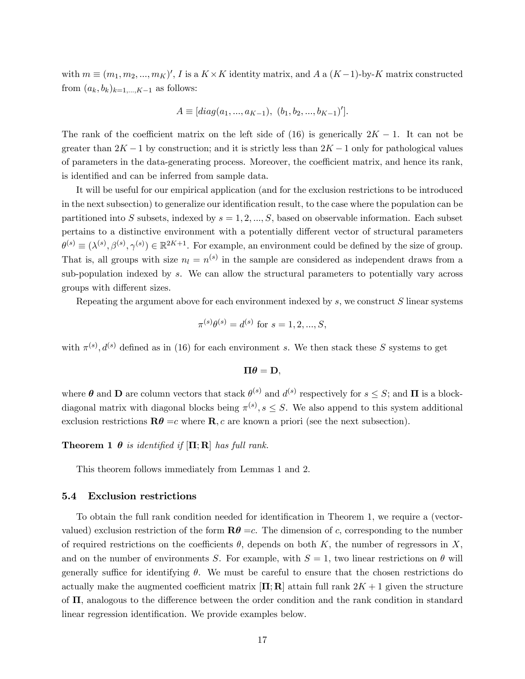with  $m \equiv (m_1, m_2, ..., m_K)'$ , I is a  $K \times K$  identity matrix, and A a  $(K-1)$ -by-K matrix constructed from  $(a_k, b_k)_{k=1,\ldots,K-1}$  as follows:

$$
A \equiv [diag(a_1, ..., a_{K-1}), (b_1, b_2, ..., b_{K-1})'].
$$

The rank of the coefficient matrix on the left side of (16) is generically  $2K - 1$ . It can not be greater than  $2K - 1$  by construction; and it is strictly less than  $2K - 1$  only for pathological values of parameters in the data-generating process. Moreover, the coefficient matrix, and hence its rank, is identified and can be inferred from sample data.

It will be useful for our empirical application (and for the exclusion restrictions to be introduced in the next subsection) to generalize our identification result, to the case where the population can be partitioned into S subsets, indexed by  $s = 1, 2, ..., S$ , based on observable information. Each subset pertains to a distinctive environment with a potentially different vector of structural parameters  $\theta^{(s)} \equiv (\lambda^{(s)}, \beta^{(s)}, \gamma^{(s)}) \in \mathbb{R}^{2K+1}$ . For example, an environment could be defined by the size of group. That is, all groups with size  $n_l = n^{(s)}$  in the sample are considered as independent draws from a sub-population indexed by s. We can allow the structural parameters to potentially vary across groups with different sizes.

Repeating the argument above for each environment indexed by  $s$ , we construct  $S$  linear systems

$$
\pi^{(s)}\theta^{(s)} = d^{(s)} \text{ for } s = 1, 2, ..., S,
$$

with  $\pi^{(s)}$ ,  $d^{(s)}$  defined as in (16) for each environment s. We then stack these S systems to get

$$
\Pi \theta = \mathbf{D},
$$

where  $\theta$  and  $\mathbf{D}$  are column vectors that stack  $\theta^{(s)}$  and  $d^{(s)}$  respectively for  $s \leq S$ ; and  $\mathbf{\Pi}$  is a blockdiagonal matrix with diagonal blocks being  $\pi^{(s)}, s \leq S$ . We also append to this system additional exclusion restrictions  $\mathbf{R}\theta = c$  where  $\mathbf{R}, c$  are known a priori (see the next subsection).

**Theorem 1**  $\theta$  is identified if  $[\Pi; R]$  has full rank.

This theorem follows immediately from Lemmas 1 and 2.

#### 5.4 Exclusion restrictions

To obtain the full rank condition needed for identification in Theorem 1, we require a (vectorvalued) exclusion restriction of the form  $\mathbf{R}\theta =c$ . The dimension of c, corresponding to the number of required restrictions on the coefficients  $\theta$ , depends on both K, the number of regressors in X, and on the number of environments S. For example, with  $S = 1$ , two linear restrictions on  $\theta$  will generally suffice for identifying  $\theta$ . We must be careful to ensure that the chosen restrictions do actually make the augmented coefficient matrix  $[\Pi; \mathbf{R}]$  attain full rank  $2K + 1$  given the structure of  $\Pi$ , analogous to the difference between the order condition and the rank condition in standard linear regression identification. We provide examples below.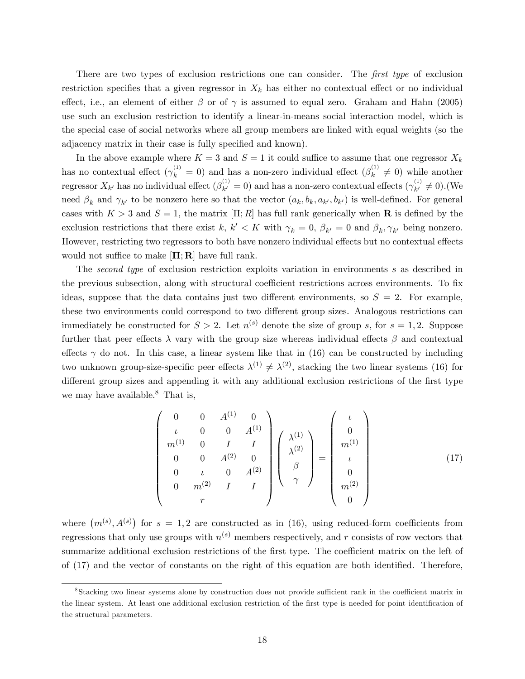There are two types of exclusion restrictions one can consider. The first type of exclusion restriction specifies that a given regressor in  $X_k$  has either no contextual effect or no individual effect, i.e., an element of either  $\beta$  or of  $\gamma$  is assumed to equal zero. Graham and Hahn (2005) use such an exclusion restriction to identify a linear-in-means social interaction model, which is the special case of social networks where all group members are linked with equal weights (so the adjacency matrix in their case is fully specified and known).

In the above example where  $K = 3$  and  $S = 1$  it could suffice to assume that one regressor  $X_k$ has no contextual effect  $(\gamma_k^{(1)} = 0)$  and has a non-zero individual effect  $(\beta_k^{(1)}$  $\lambda_k^{(1)} \neq 0$  while another regressor  $X_{k'}$  has no individual effect  $(\beta_{k'}^{(1)})$  $\chi_{k'}^{(1)} = 0$ ) and has a non-zero contextual effects  $(\gamma_{k'}^{(1)})$  $k' \neq 0$ . (We need  $\beta_k$  and  $\gamma_{k'}$  to be nonzero here so that the vector  $(a_k, b_k, a_{k'}, b_{k'})$  is well-defined. For general cases with  $K > 3$  and  $S = 1$ , the matrix  $[\Pi; R]$  has full rank generically when **R** is defined by the exclusion restrictions that there exist  $k, k' < K$  with  $\gamma_k = 0, \beta_{k'} = 0$  and  $\beta_k, \gamma_{k'}$  being nonzero. However, restricting two regressors to both have nonzero individual effects but no contextual effects would not suffice to make  $[\Pi; R]$  have full rank.

The second type of exclusion restriction exploits variation in environments s as described in the previous subsection, along with structural coefficient restrictions across environments. To fix ideas, suppose that the data contains just two different environments, so  $S = 2$ . For example, these two environments could correspond to two different group sizes. Analogous restrictions can immediately be constructed for  $S > 2$ . Let  $n^{(s)}$  denote the size of group s, for  $s = 1, 2$ . Suppose further that peer effects  $\lambda$  vary with the group size whereas individual effects  $\beta$  and contextual effects  $\gamma$  do not. In this case, a linear system like that in (16) can be constructed by including two unknown group-size-specific peer effects  $\lambda^{(1)} \neq \lambda^{(2)}$ , stacking the two linear systems (16) for different group sizes and appending it with any additional exclusion restrictions of the first type we may have available.<sup>8</sup> That is,

$$
\begin{pmatrix}\n0 & 0 & A^{(1)} & 0 \\
\iota & 0 & 0 & A^{(1)} \\
m^{(1)} & 0 & I & I \\
0 & 0 & A^{(2)} & 0 \\
0 & \iota & 0 & A^{(2)} \\
0 & m^{(2)} & I & I\n\end{pmatrix}\n\begin{pmatrix}\n\lambda^{(1)} \\
\lambda^{(2)} \\
\beta \\
\gamma\n\end{pmatrix} = \begin{pmatrix}\n\iota \\
0 \\
m^{(1)} \\
\iota \\
0 \\
m^{(2)} \\
0\n\end{pmatrix}
$$
\n(17)

where  $(m^{(s)}, A^{(s)})$  for  $s = 1, 2$  are constructed as in (16), using reduced-form coefficients from regressions that only use groups with  $n^{(s)}$  members respectively, and r consists of row vectors that summarize additional exclusion restrictions of the first type. The coefficient matrix on the left of of (17) and the vector of constants on the right of this equation are both identified. Therefore,

<sup>&</sup>lt;sup>8</sup>Stacking two linear systems alone by construction does not provide sufficient rank in the coefficient matrix in the linear system. At least one additional exclusion restriction of the first type is needed for point identification of the structural parameters.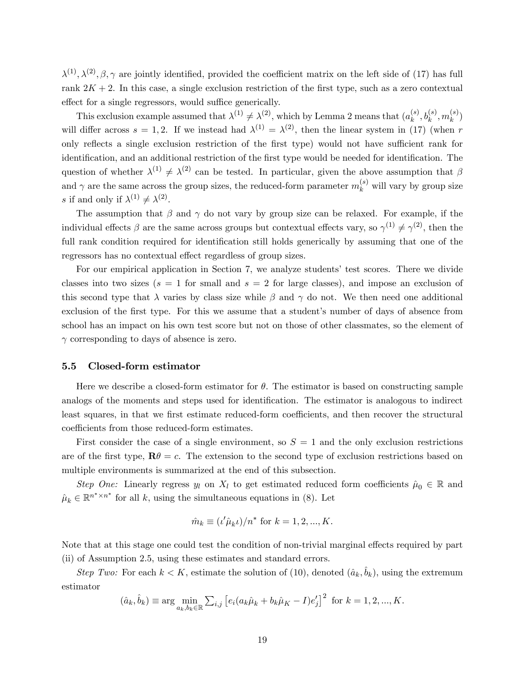$\lambda^{(1)}, \lambda^{(2)}, \beta, \gamma$  are jointly identified, provided the coefficient matrix on the left side of (17) has full rank  $2K + 2$ . In this case, a single exclusion restriction of the first type, such as a zero contextual effect for a single regressors, would suffice generically.

This exclusion example assumed that  $\lambda^{(1)} \neq \lambda^{(2)}$ , which by Lemma 2 means that  $(a_k^{(s)})$  $\binom(s)}{k}, b_k^{(s)}, m_k^{(s)}$  $\binom{s}{k}$ will differ across  $s = 1, 2$ . If we instead had  $\lambda^{(1)} = \lambda^{(2)}$ , then the linear system in (17) (when r only reflects a single exclusion restriction of the first type) would not have sufficient rank for identification, and an additional restriction of the first type would be needed for identification. The question of whether  $\lambda^{(1)} \neq \lambda^{(2)}$  can be tested. In particular, given the above assumption that  $\beta$ and  $\gamma$  are the same across the group sizes, the reduced-form parameter  $m_k^{(s)}$  will vary by group size s if and only if  $\lambda^{(1)} \neq \lambda^{(2)}$ .

The assumption that  $\beta$  and  $\gamma$  do not vary by group size can be relaxed. For example, if the individual effects  $\beta$  are the same across groups but contextual effects vary, so  $\gamma^{(1)} \neq \gamma^{(2)}$ , then the full rank condition required for identification still holds generically by assuming that one of the regressors has no contextual effect regardless of group sizes.

For our empirical application in Section 7, we analyze students' test scores. There we divide classes into two sizes ( $s = 1$  for small and  $s = 2$  for large classes), and impose an exclusion of this second type that  $\lambda$  varies by class size while  $\beta$  and  $\gamma$  do not. We then need one additional exclusion of the first type. For this we assume that a student's number of days of absence from school has an impact on his own test score but not on those of other classmates, so the element of  $\gamma$  corresponding to days of absence is zero.

#### 5.5 Closed-form estimator

Here we describe a closed-form estimator for  $\theta$ . The estimator is based on constructing sample analogs of the moments and steps used for identification. The estimator is analogous to indirect least squares, in that we first estimate reduced-form coefficients, and then recover the structural coefficients from those reduced-form estimates.

First consider the case of a single environment, so  $S = 1$  and the only exclusion restrictions are of the first type,  $\mathbf{R}\theta = c$ . The extension to the second type of exclusion restrictions based on multiple environments is summarized at the end of this subsection.

Step One: Linearly regress  $y_l$  on  $X_l$  to get estimated reduced form coefficients  $\hat{\mu}_0 \in \mathbb{R}$  and  $\hat{\mu}_k \in \mathbb{R}^{n^* \times n^*}$  for all k, using the simultaneous equations in (8). Let

$$
\hat{m}_k \equiv (\iota' \hat{\mu}_k \iota)/n^*
$$
 for  $k = 1, 2, ..., K$ .

Note that at this stage one could test the condition of non-trivial marginal effects required by part (ii) of Assumption 2.5, using these estimates and standard errors.

Step Two: For each  $k < K$ , estimate the solution of (10), denoted  $(\hat{a}_k, \hat{b}_k)$ , using the extremum estimator

$$
(\hat{a}_k, \hat{b}_k) \equiv \arg \min_{a_k, b_k \in \mathbb{R}} \sum_{i,j} \left[ e_i (a_k \hat{\mu}_k + b_k \hat{\mu}_K - I) e'_j \right]^2 \text{ for } k = 1, 2, ..., K.
$$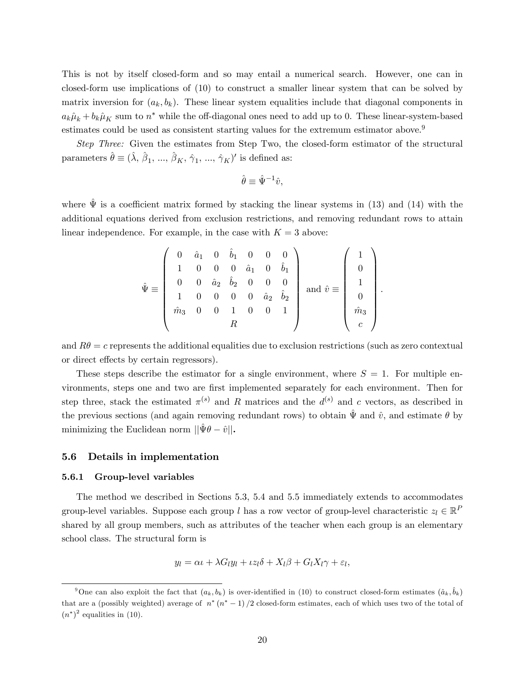This is not by itself closed-form and so may entail a numerical search. However, one can in closed-form use implications of (10) to construct a smaller linear system that can be solved by matrix inversion for  $(a_k, b_k)$ . These linear system equalities include that diagonal components in  $a_k\hat{\mu}_k + b_k\hat{\mu}_K$  sum to  $n^*$  while the off-diagonal ones need to add up to 0. These linear-system-based estimates could be used as consistent starting values for the extremum estimator above.<sup>9</sup>

Step Three: Given the estimates from Step Two, the closed-form estimator of the structural parameters  $\hat{\theta} \equiv (\hat{\lambda}, \hat{\beta}_1, ..., \hat{\beta}_K, \hat{\gamma}_1, ..., \hat{\gamma}_K)'$  is defined as:

$$
\hat{\theta} \equiv \hat{\Psi}^{-1}\hat{v},
$$

where  $\hat{\Psi}$  is a coefficient matrix formed by stacking the linear systems in (13) and (14) with the additional equations derived from exclusion restrictions, and removing redundant rows to attain linear independence. For example, in the case with  $K = 3$  above:

$$
\hat{\Psi} \equiv \begin{pmatrix}\n0 & \hat{a}_1 & 0 & \hat{b}_1 & 0 & 0 & 0 \\
1 & 0 & 0 & 0 & \hat{a}_1 & 0 & \hat{b}_1 \\
0 & 0 & \hat{a}_2 & \hat{b}_2 & 0 & 0 & 0 \\
1 & 0 & 0 & 0 & 0 & \hat{a}_2 & \hat{b}_2 \\
\hat{m}_3 & 0 & 0 & 1 & 0 & 0 & 1 \\
R\n\end{pmatrix} \text{ and } \hat{v} \equiv \begin{pmatrix}\n1 \\
0 \\
1 \\
0 \\
\hat{m}_3\n\end{pmatrix}.
$$

and  $R\theta = c$  represents the additional equalities due to exclusion restrictions (such as zero contextual or direct effects by certain regressors).

These steps describe the estimator for a single environment, where  $S = 1$ . For multiple environments, steps one and two are first implemented separately for each environment. Then for step three, stack the estimated  $\pi^{(s)}$  and R matrices and the  $d^{(s)}$  and c vectors, as described in the previous sections (and again removing redundant rows) to obtain  $\hat{\Psi}$  and  $\hat{v}$ , and estimate  $\theta$  by minimizing the Euclidean norm  $||\hat{\Psi}\theta - \hat{v}||$ .

#### 5.6 Details in implementation

#### 5.6.1 Group-level variables

The method we described in Sections 5.3, 5.4 and 5.5 immediately extends to accommodates group-level variables. Suppose each group l has a row vector of group-level characteristic  $z_l \in \mathbb{R}^P$ shared by all group members, such as attributes of the teacher when each group is an elementary school class. The structural form is

$$
y_l = \alpha t + \lambda G_l y_l + \iota z_l \delta + X_l \beta + G_l X_l \gamma + \varepsilon_l,
$$

<sup>&</sup>lt;sup>9</sup>One can also exploit the fact that  $(a_k, b_k)$  is over-identified in (10) to construct closed-form estimates  $(\hat{a}_k, \hat{b}_k)$ that are a (possibly weighted) average of  $n^*(n^*-1)/2$  closed-form estimates, each of which uses two of the total of  $(n^*)^2$  equalities in (10).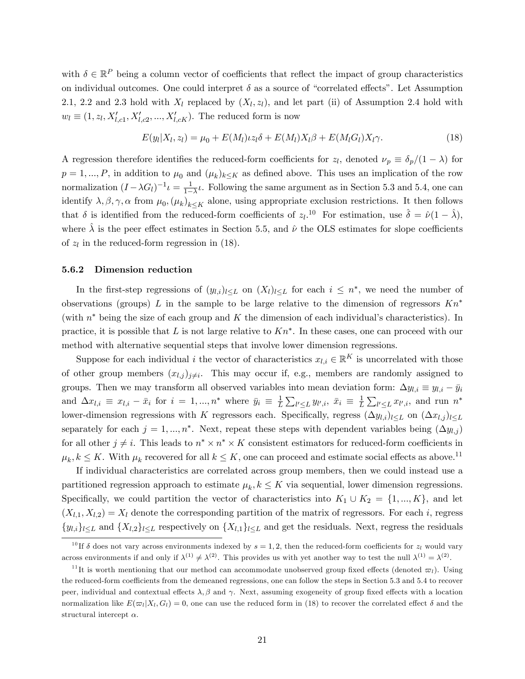with  $\delta \in \mathbb{R}^P$  being a column vector of coefficients that reflect the impact of group characteristics on individual outcomes. One could interpret  $\delta$  as a source of "correlated effects". Let Assumption 2.1, 2.2 and 2.3 hold with  $X_l$  replaced by  $(X_l, z_l)$ , and let part (ii) of Assumption 2.4 hold with  $w_l \equiv (1, z_l, X'_{l, c1}, X'_{l, c2}, ..., X'_{l, cK})$ . The reduced form is now

$$
E(y_l|X_l,z_l) = \mu_0 + E(M_l)\iota z_l \delta + E(M_l)X_l \beta + E(M_l)X_l \gamma.
$$
\n(18)

A regression therefore identifies the reduced-form coefficients for  $z_l$ , denoted  $\nu_p \equiv \delta_p/(1-\lambda)$  for  $p = 1, ..., P$ , in addition to  $\mu_0$  and  $(\mu_k)_{k \leq K}$  as defined above. This uses an implication of the row normalization  $(I - \lambda G_l)^{-1} \iota = \frac{1}{1 - \lambda G_l}$  $\frac{1}{1-\lambda}$ . Following the same argument as in Section 5.3 and 5.4, one can identify  $\lambda, \beta, \gamma, \alpha$  from  $\mu_0, (\mu_k)_{k \leq K}$  alone, using appropriate exclusion restrictions. It then follows that  $\delta$  is identified from the reduced-form coefficients of  $z_l$ .<sup>10</sup> For estimation, use  $\hat{\delta} = \hat{\nu}(1 - \hat{\lambda})$ , where  $\hat{\lambda}$  is the peer effect estimates in Section 5.5, and  $\hat{\nu}$  the OLS estimates for slope coefficients of  $z_l$  in the reduced-form regression in (18).

### 5.6.2 Dimension reduction

In the first-step regressions of  $(y_{l,i})_{l \leq L}$  on  $(X_l)_{l \leq L}$  for each  $i \leq n^*$ , we need the number of observations (groups) L in the sample to be large relative to the dimension of regressors  $Kn^*$ (with  $n^*$  being the size of each group and K the dimension of each individual's characteristics). In practice, it is possible that L is not large relative to  $Kn^*$ . In these cases, one can proceed with our method with alternative sequential steps that involve lower dimension regressions.

Suppose for each individual *i* the vector of characteristics  $x_{l,i} \in \mathbb{R}^K$  is uncorrelated with those of other group members  $(x_{l,j})_{j\neq i}$ . This may occur if, e.g., members are randomly assigned to groups. Then we may transform all observed variables into mean deviation form:  $\Delta y_{l,i} \equiv y_{l,i} - \bar{y}_i$ and  $\Delta x_{l,i} \equiv x_{l,i} - \bar{x}_i$  for  $i = 1, ..., n^*$  where  $\bar{y}_i \equiv \frac{1}{L}$  $\frac{1}{L}\sum_{l'\leq L}y_{l',i}, \bar{x}_i \equiv \frac{1}{L}$  $\frac{1}{L} \sum_{l' \leq L} x_{l',i}$ , and run  $n^*$ lower-dimension regressions with K regressors each. Specifically, regress  $(\Delta y_{l,i})_{l\leq L}$  on  $(\Delta x_{l,j})_{l\leq L}$ separately for each  $j = 1, ..., n^*$ . Next, repeat these steps with dependent variables being  $(\Delta y_{l,j})$ for all other  $j \neq i$ . This leads to  $n^* \times n^* \times K$  consistent estimators for reduced-form coefficients in  $\mu_k, k \leq K$ . With  $\mu_k$  recovered for all  $k \leq K$ , one can proceed and estimate social effects as above.<sup>11</sup>

If individual characteristics are correlated across group members, then we could instead use a partitioned regression approach to estimate  $\mu_k, k \leq K$  via sequential, lower dimension regressions. Specifically, we could partition the vector of characteristics into  $K_1 \cup K_2 = \{1, ..., K\}$ , and let  $(X_{l,1}, X_{l,2}) = X_l$  denote the corresponding partition of the matrix of regressors. For each i, regress  $\{y_{l,i}\}_{l\leq L}$  and  $\{X_{l,2}\}_{l\leq L}$  respectively on  $\{X_{l,1}\}_{l\leq L}$  and get the residuals. Next, regress the residuals

<sup>&</sup>lt;sup>10</sup> If  $\delta$  does not vary across environments indexed by  $s = 1, 2$ , then the reduced-form coefficients for  $z_l$  would vary across environments if and only if  $\lambda^{(1)} \neq \lambda^{(2)}$ . This provides us with yet another way to test the null  $\lambda^{(1)} = \lambda^{(2)}$ .

<sup>&</sup>lt;sup>11</sup>It is worth mentioning that our method can accommodate unobserved group fixed effects (denoted  $\varpi_l$ ). Using the reduced-form coefficients from the demeaned regressions, one can follow the steps in Section 5.3 and 5.4 to recover peer, individual and contextual effects  $\lambda, \beta$  and  $\gamma$ . Next, assuming exogeneity of group fixed effects with a location normalization like  $E(\varpi_l|X_l, G_l) = 0$ , one can use the reduced form in (18) to recover the correlated effect  $\delta$  and the structural intercept  $\alpha$ .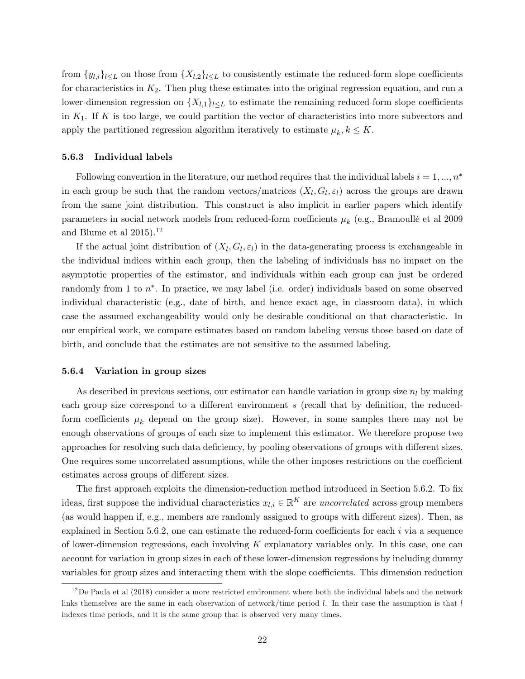from  $\{y_{l,i}\}_{l\leq L}$  on those from  $\{X_{l,2}\}_{l\leq L}$  to consistently estimate the reduced-form slope coefficients for characteristics in  $K_2$ . Then plug these estimates into the original regression equation, and run a lower-dimension regression on  $\{X_{l,1}\}_{l\leq L}$  to estimate the remaining reduced-form slope coefficients in  $K_1$ . If K is too large, we could partition the vector of characteristics into more subvectors and apply the partitioned regression algorithm iteratively to estimate  $\mu_k, k \leq K$ .

### 5.6.3 Individual labels

Following convention in the literature, our method requires that the individual labels  $i = 1, ..., n^*$ in each group be such that the random vectors/matrices  $(X_l, G_l, \varepsilon_l)$  across the groups are drawn from the same joint distribution. This construct is also implicit in earlier papers which identify parameters in social network models from reduced-form coefficients  $\mu_k$  (e.g., Bramoullé et al 2009 and Blume et al  $2015$ ).<sup>12</sup>

If the actual joint distribution of  $(X_l, G_l, \varepsilon_l)$  in the data-generating process is exchangeable in the individual indices within each group, then the labeling of individuals has no impact on the asymptotic properties of the estimator, and individuals within each group can just be ordered randomly from 1 to  $n^*$ . In practice, we may label (i.e. order) individuals based on some observed individual characteristic (e.g., date of birth, and hence exact age, in classroom data), in which case the assumed exchangeability would only be desirable conditional on that characteristic. In our empirical work, we compare estimates based on random labeling versus those based on date of birth, and conclude that the estimates are not sensitive to the assumed labeling.

#### 5.6.4 Variation in group sizes

As described in previous sections, our estimator can handle variation in group size  $n_l$  by making each group size correspond to a different environment  $s$  (recall that by definition, the reducedform coefficients  $\mu_k$  depend on the group size). However, in some samples there may not be enough observations of groups of each size to implement this estimator. We therefore propose two approaches for resolving such data deficiency, by pooling observations of groups with different sizes. One requires some uncorrelated assumptions, while the other imposes restrictions on the coefficient estimates across groups of different sizes.

The first approach exploits the dimension-reduction method introduced in Section 5.6.2. To fix ideas, first suppose the individual characteristics  $x_{l,i} \in \mathbb{R}^K$  are *uncorrelated* across group members (as would happen if, e.g., members are randomly assigned to groups with different sizes). Then, as explained in Section 5.6.2, one can estimate the reduced-form coefficients for each  $i$  via a sequence of lower-dimension regressions, each involving  $K$  explanatory variables only. In this case, one can account for variation in group sizes in each of these lower-dimension regressions by including dummy variables for group sizes and interacting them with the slope coefficients. This dimension reduction

 $12$  De Paula et al (2018) consider a more restricted environment where both the individual labels and the network links themselves are the same in each observation of network/time period  $l$ . In their case the assumption is that  $l$ indexes time periods, and it is the same group that is observed very many times.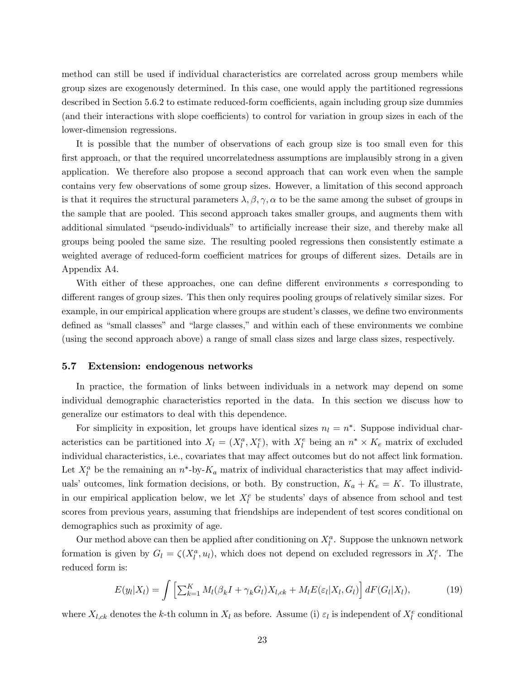method can still be used if individual characteristics are correlated across group members while group sizes are exogenously determined. In this case, one would apply the partitioned regressions described in Section 5.6.2 to estimate reduced-form coefficients, again including group size dummies (and their interactions with slope coefficients) to control for variation in group sizes in each of the lower-dimension regressions.

It is possible that the number of observations of each group size is too small even for this first approach, or that the required uncorrelatedness assumptions are implausibly strong in a given application. We therefore also propose a second approach that can work even when the sample contains very few observations of some group sizes. However, a limitation of this second approach is that it requires the structural parameters  $\lambda, \beta, \gamma, \alpha$  to be the same among the subset of groups in the sample that are pooled. This second approach takes smaller groups, and augments them with additional simulated "pseudo-individuals" to artificially increase their size, and thereby make all groups being pooled the same size. The resulting pooled regressions then consistently estimate a weighted average of reduced-form coefficient matrices for groups of different sizes. Details are in Appendix A4.

With either of these approaches, one can define different environments s corresponding to different ranges of group sizes. This then only requires pooling groups of relatively similar sizes. For example, in our empirical application where groups are student's classes, we define two environments defined as "small classes" and "large classes," and within each of these environments we combine (using the second approach above) a range of small class sizes and large class sizes, respectively.

#### 5.7 Extension: endogenous networks

In practice, the formation of links between individuals in a network may depend on some individual demographic characteristics reported in the data. In this section we discuss how to generalize our estimators to deal with this dependence.

For simplicity in exposition, let groups have identical sizes  $n_l = n^*$ . Suppose individual characteristics can be partitioned into  $X_l = (X_l^a, X_l^e)$ , with  $X_l^e$  being an  $n^* \times K_e$  matrix of excluded individual characteristics, i.e., covariates that may affect outcomes but do not affect link formation. Let  $X_l^a$  be the remaining an  $n^*$ -by- $K_a$  matrix of individual characteristics that may affect individuals' outcomes, link formation decisions, or both. By construction,  $K_a + K_e = K$ . To illustrate, in our empirical application below, we let  $X_l^e$  be students' days of absence from school and test scores from previous years, assuming that friendships are independent of test scores conditional on demographics such as proximity of age.

Our method above can then be applied after conditioning on  $X_i^a$ . Suppose the unknown network formation is given by  $G_l = \zeta(X_l^a, u_l)$ , which does not depend on excluded regressors in  $X_l^e$ . The reduced form is:

$$
E(y_l|X_l) = \int \left[ \sum_{k=1}^K M_l(\beta_k I + \gamma_k G_l) X_{l,ck} + M_l E(\varepsilon_l | X_l, G_l) \right] dF(G_l|X_l), \tag{19}
$$

where  $X_{l,ck}$  denotes the k-th column in  $X_l$  as before. Assume (i)  $\varepsilon_l$  is independent of  $X_l^e$  conditional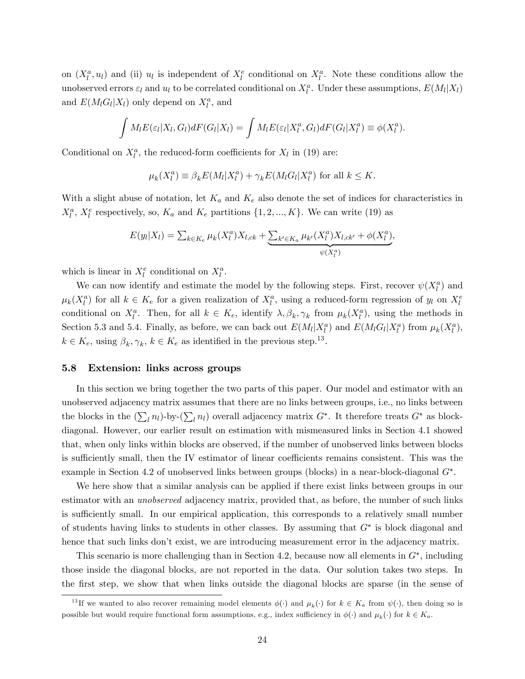on  $(X_l^a, u_l)$  and (ii)  $u_l$  is independent of  $X_l^e$  conditional on  $X_l^a$ . Note these conditions allow the unobserved errors  $\varepsilon_l$  and  $u_l$  to be correlated conditional on  $X_l^a$ . Under these assumptions,  $E(M_l|X_l)$ and  $E(M_lG_l|X_l)$  only depend on  $X_l^a$ , and

$$
\int M_l E(\varepsilon_l | X_l, G_l) dF(G_l | X_l) = \int M_l E(\varepsilon_l | X_l^a, G_l) dF(G_l | X_l^a) \equiv \phi(X_l^a).
$$

Conditional on  $X_l^a$ , the reduced-form coefficients for  $X_l$  in (19) are:

$$
\mu_k(X_l^a) \equiv \beta_k E(M_l | X_l^a) + \gamma_k E(M_l G_l | X_l^a) \text{ for all } k \le K.
$$

With a slight abuse of notation, let  $K_a$  and  $K_e$  also denote the set of indices for characteristics in  $X_l^a$ ,  $X_l^e$  respectively, so,  $K_a$  and  $K_e$  partitions  $\{1, 2, ..., K\}$ . We can write (19) as

$$
E(y_l|X_l) = \sum_{k \in K_e} \mu_k(X_l^a) X_{l,ck} + \underbrace{\sum_{k' \in K_a} \mu_{k'}(X_l^a) X_{l,ck'} + \phi(X_l^a)}_{\psi(X_l^a)},
$$

which is linear in  $X_l^e$  conditional on  $X_l^a$ .

We can now identify and estimate the model by the following steps. First, recover  $\psi(X_i^a)$  and  $\mu_k(X_l^a)$  for all  $k \in K_e$  for a given realization of  $X_l^a$ , using a reduced-form regression of  $y_l$  on  $X_l^e$ conditional on  $X_l^a$ . Then, for all  $k \in K_e$ , identify  $\lambda, \beta_k, \gamma_k$  from  $\mu_k(X_l^a)$ , using the methods in Section 5.3 and 5.4. Finally, as before, we can back out  $E(M_l|X_l^a)$  and  $E(M_lG_l|X_l^a)$  from  $\mu_k(X_l^a)$ ,  $k \in K_e$ , using  $\beta_k, \gamma_k, k \in K_e$  as identified in the previous step.<sup>13</sup>.

#### 5.8 Extension: links across groups

In this section we bring together the two parts of this paper. Our model and estimator with an unobserved adjacency matrix assumes that there are no links between groups, i.e., no links between the blocks in the  $(\sum_l n_l)$ -by- $(\sum_l n_l)$  overall adjacency matrix  $G^*$ . It therefore treats  $G^*$  as blockdiagonal. However, our earlier result on estimation with mismeasured links in Section 4.1 showed that, when only links within blocks are observed, if the number of unobserved links between blocks is sufficiently small, then the IV estimator of linear coefficients remains consistent. This was the example in Section 4.2 of unobserved links between groups (blocks) in a near-block-diagonal  $G^*$ .

We here show that a similar analysis can be applied if there exist links between groups in our estimator with an unobserved adjacency matrix, provided that, as before, the number of such links is sufficiently small. In our empirical application, this corresponds to a relatively small number of students having links to students in other classes. By assuming that  $G^*$  is block diagonal and hence that such links don't exist, we are introducing measurement error in the adjacency matrix.

This scenario is more challenging than in Section 4.2, because now all elements in  $G^*$ , including those inside the diagonal blocks, are not reported in the data. Our solution takes two steps. In the first step, we show that when links outside the diagonal blocks are sparse (in the sense of

<sup>&</sup>lt;sup>13</sup>If we wanted to also recover remaining model elements  $\phi(\cdot)$  and  $\mu_k(\cdot)$  for  $k \in K_a$  from  $\psi(\cdot)$ , then doing so is possible but would require functional form assumptions, e.g., index sufficiency in  $\phi(\cdot)$  and  $\mu_k(\cdot)$  for  $k \in K_a$ .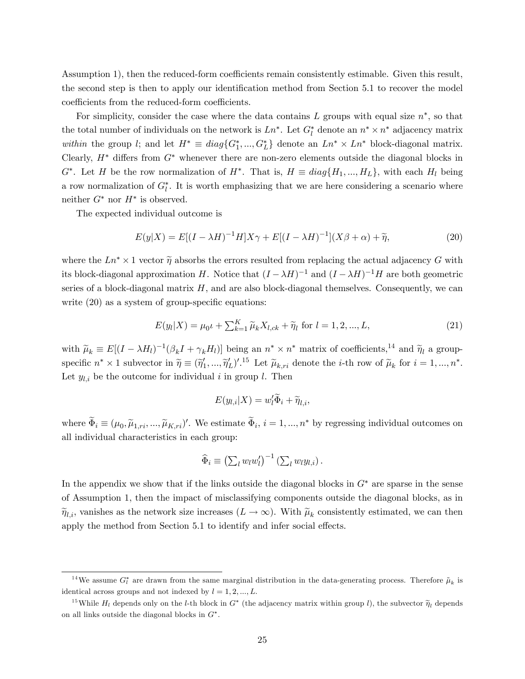Assumption 1), then the reduced-form coefficients remain consistently estimable. Given this result, the second step is then to apply our identification method from Section 5.1 to recover the model coefficients from the reduced-form coefficients.

For simplicity, consider the case where the data contains L groups with equal size  $n^*$ , so that the total number of individuals on the network is  $Ln^*$ . Let  $G_l^*$  denote an  $n^* \times n^*$  adjacency matrix within the group *l*; and let  $H^* \equiv diag\{G_1^*,...,G_L^*\}$  denote an  $Ln^* \times Ln^*$  block-diagonal matrix. Clearly,  $H^*$  differs from  $G^*$  whenever there are non-zero elements outside the diagonal blocks in  $G^*$ . Let H be the row normalization of  $H^*$ . That is,  $H \equiv diag{H_1, ..., H_L}$ , with each  $H_l$  being a row normalization of  $G_l^*$ . It is worth emphasizing that we are here considering a scenario where neither  $G^*$  nor  $H^*$  is observed.

The expected individual outcome is

$$
E(y|X) = E[(I - \lambda H)^{-1}H]X\gamma + E[(I - \lambda H)^{-1}](X\beta + \alpha) + \widetilde{\eta},\tag{20}
$$

where the  $Ln^* \times 1$  vector  $\tilde{\eta}$  absorbs the errors resulted from replacing the actual adjacency G with its block-diagonal approximation H. Notice that  $(I - \lambda H)^{-1}$  and  $(I - \lambda H)^{-1}H$  are both geometric series of a block-diagonal matrix  $H$ , and are also block-diagonal themselves. Consequently, we can write  $(20)$  as a system of group-specific equations:

$$
E(y_l|X) = \mu_0 t + \sum_{k=1}^{K} \tilde{\mu}_k X_{l,ck} + \tilde{\eta}_l \text{ for } l = 1, 2, ..., L,
$$
 (21)

with  $\tilde{\mu}_k \equiv E[(I - \lambda H_l)^{-1}(\beta_k I + \gamma_k H_l)]$  being an  $n^* \times n^*$  matrix of coefficients,<sup>14</sup> and  $\tilde{\eta}_l$  a groupspecific  $n^* \times 1$  subvector in  $\tilde{\eta} \equiv (\tilde{\eta}'_1, ..., \tilde{\eta}'_L)^{\prime}$ .<sup>15</sup> Let  $\tilde{\mu}_{k,ri}$  denote the *i*-th row of  $\tilde{\mu}_k$  for  $i = 1, ..., n^*$ . Let  $y_{l,i}$  be the outcome for individual i in group l. Then

$$
E(y_{l,i}|X) = w'_l \widetilde{\Phi}_i + \widetilde{\eta}_{l,i},
$$

where  $\Phi_i \equiv (\mu_0, \tilde{\mu}_{1,ri}, ..., \tilde{\mu}_{K,ri})'$ . We estimate  $\Phi_i$ ,  $i = 1, ..., n^*$  by regressing individual outcomes on all individual characteristics in each group:

$$
\widehat{\Phi}_i \equiv \left(\sum_l w_l w_l'\right)^{-1} \left(\sum_l w_l y_{l,i}\right).
$$

In the appendix we show that if the links outside the diagonal blocks in  $G^*$  are sparse in the sense of Assumption 1, then the impact of misclassifying components outside the diagonal blocks, as in  $\widetilde{\eta}_{l,i}$ , vanishes as the network size increases  $(L \to \infty)$ . With  $\widetilde{\mu}_k$  consistently estimated, we can then apply the method from Section 5.1 to identify and infer social effects.

<sup>&</sup>lt;sup>14</sup>We assume  $G_l^*$  are drawn from the same marginal distribution in the data-generating process. Therefore  $\tilde{\mu}_k$  is identical across groups and not indexed by  $l = 1, 2, ..., L$ .

<sup>&</sup>lt;sup>15</sup>While  $H_l$  depends only on the *l*-th block in  $G^*$  (the adjacency matrix within group *l*), the subvector  $\widetilde{\eta}_l$  depends on all links outside the diagonal blocks in  $G^*$ .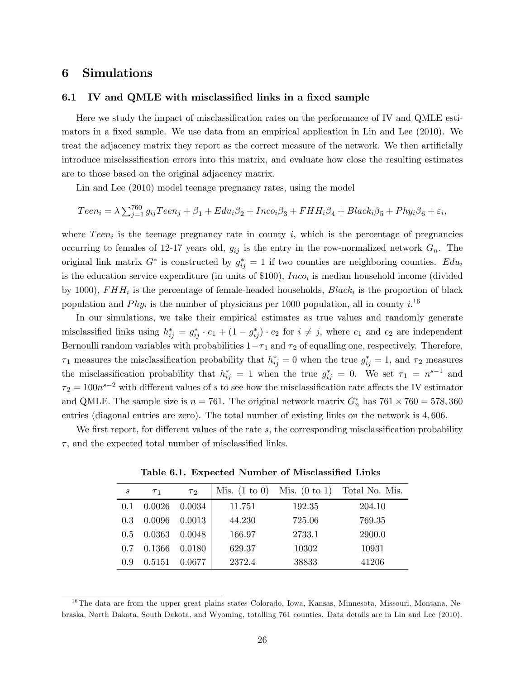### 6 Simulations

### 6.1 IV and QMLE with misclassified links in a fixed sample

Here we study the impact of misclassification rates on the performance of IV and QMLE estimators in a fixed sample. We use data from an empirical application in Lin and Lee (2010). We treat the adjacency matrix they report as the correct measure of the network. We then artificially introduce misclassification errors into this matrix, and evaluate how close the resulting estimates are to those based on the original adjacency matrix.

Lin and Lee (2010) model teenage pregnancy rates, using the model

$$
Teen_i = \lambda \sum_{j=1}^{760} g_{ij}Teen_j + \beta_1 + Edu_i\beta_2 + Inco_i\beta_3 + FHH_i\beta_4 + Black_i\beta_5 + Phys_i\beta_6 + \varepsilon_i,
$$

where  $Teen_i$  is the teenage pregnancy rate in county i, which is the percentage of pregnancies occurring to females of 12-17 years old,  $g_{ij}$  is the entry in the row-normalized network  $G_n$ . The original link matrix  $G^*$  is constructed by  $g_{ij}^* = 1$  if two counties are neighboring counties.  $Edu_i$ is the education service expenditure (in units of  $$100$ ),  $Inco<sub>i</sub>$  is median household income (divided by 1000),  $FHH_i$  is the percentage of female-headed households,  $Black_i$  is the proportion of black population and  $Phy_i$  is the number of physicians per 1000 population, all in county  $i^{16}$ 

In our simulations, we take their empirical estimates as true values and randomly generate misclassified links using  $h_{ij}^* = g_{ij}^* \cdot e_1 + (1 - g_{ij}^*) \cdot e_2$  for  $i \neq j$ , where  $e_1$  and  $e_2$  are independent Bernoulli random variables with probabilities  $1 - \tau_1$  and  $\tau_2$  of equalling one, respectively. Therefore,  $\tau_1$  measures the misclassification probability that  $h_{ij}^* = 0$  when the true  $g_{ij}^* = 1$ , and  $\tau_2$  measures the misclassification probability that  $h_{ij}^* = 1$  when the true  $g_{ij}^* = 0$ . We set  $\tau_1 = n^{s-1}$  and  $\tau_2 = 100n^{s-2}$  with different values of s to see how the misclassification rate affects the IV estimator and QMLE. The sample size is  $n = 761$ . The original network matrix  $G_n^*$  has  $761 \times 760 = 578,360$ entries (diagonal entries are zero). The total number of existing links on the network is 4; 606.

We first report, for different values of the rate  $s$ , the corresponding misclassification probability  $\tau$ , and the expected total number of misclassified links.

| $\boldsymbol{s}$ | T <sub>1</sub> | $\tau$ <sub>2</sub> | Mis. $(1 \text{ to } 0)$ | Mis. $(0 \text{ to } 1)$ | Total No. Mis. |
|------------------|----------------|---------------------|--------------------------|--------------------------|----------------|
| 0 <sup>1</sup>   | 0.0026         | 0.0034              | 11.751                   | 192.35                   | 204.10         |
| 0.3              | 0.0096         | 0.0013              | 44.230                   | 725.06                   | 769.35         |
| $0.5^{\circ}$    | 0.0363         | 0.0048              | 166.97                   | 2733.1                   | 2900.0         |
| 0.7              | 0.1366         | 0.0180              | 629.37                   | 10302                    | 10931          |
| 09               | 0.5151         | 0.0677              | 2372.4                   | 38833                    | 41206          |

Table 6.1. Expected Number of Misclassified Links

<sup>&</sup>lt;sup>16</sup>The data are from the upper great plains states Colorado, Iowa, Kansas, Minnesota, Missouri, Montana, Nebraska, North Dakota, South Dakota, and Wyoming, totalling 761 counties. Data details are in Lin and Lee (2010).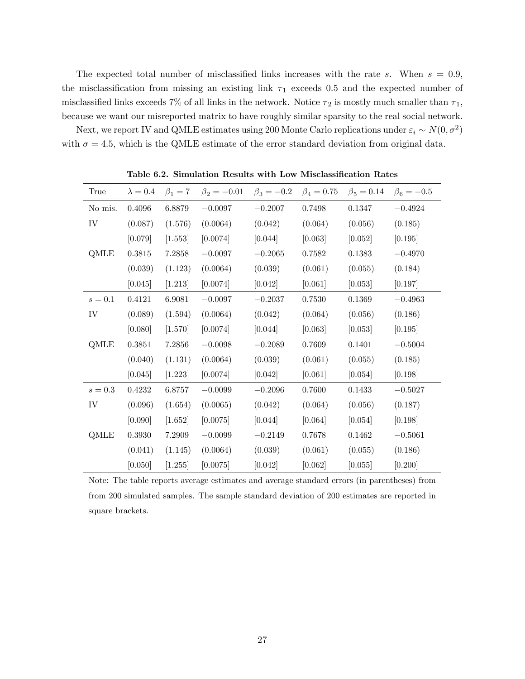The expected total number of misclassified links increases with the rate s. When  $s = 0.9$ , the misclassification from missing an existing link  $\tau_1$  exceeds 0.5 and the expected number of misclassified links exceeds 7% of all links in the network. Notice  $\tau_2$  is mostly much smaller than  $\tau_1$ , because we want our misreported matrix to have roughly similar sparsity to the real social network.

Next, we report IV and QMLE estimates using 200 Monte Carlo replications under  $\varepsilon_i \sim N(0, \sigma^2)$ with  $\sigma = 4.5$ , which is the QMLE estimate of the error standard deviation from original data.

| True    | $\lambda = 0.4$ | $\beta_1=7$ | $\beta_2 = -0.01$ | $\beta_3 = -0.2$ | $\beta_4 = 0.75$ | $\beta_5 = 0.14$ | $\beta_6 = -0.5$ |
|---------|-----------------|-------------|-------------------|------------------|------------------|------------------|------------------|
| No mis. | 0.4096          | 6.8879      | $-0.0097$         | $-0.2007$        | 0.7498           | 0.1347           | $-0.4924$        |
| IV      | (0.087)         | (1.576)     | (0.0064)          | (0.042)          | (0.064)          | (0.056)          | (0.185)          |
|         | [0.079]         | [1.553]     | [0.0074]          | [0.044]          | [0.063]          | [0.052]          | [0.195]          |
| QMLE    | 0.3815          | 7.2858      | $-0.0097$         | $-0.2065$        | 0.7582           | 0.1383           | $-0.4970$        |
|         | (0.039)         | (1.123)     | (0.0064)          | (0.039)          | (0.061)          | (0.055)          | (0.184)          |
|         | [0.045]         | [1.213]     | [0.0074]          | [0.042]          | [0.061]          | [0.053]          | [0.197]          |
| $s=0.1$ | 0.4121          | 6.9081      | $-0.0097$         | $-0.2037$        | 0.7530           | 0.1369           | $-0.4963$        |
| IV      | (0.089)         | (1.594)     | (0.0064)          | (0.042)          | (0.064)          | (0.056)          | (0.186)          |
|         | [0.080]         | [1.570]     | [0.0074]          | [0.044]          | [0.063]          | [0.053]          | [0.195]          |
| QMLE    | 0.3851          | 7.2856      | $-0.0098$         | $-0.2089$        | 0.7609           | 0.1401           | $-0.5004$        |
|         | (0.040)         | (1.131)     | (0.0064)          | (0.039)          | (0.061)          | (0.055)          | (0.185)          |
|         | [0.045]         | [1.223]     | [0.0074]          | [0.042]          | [0.061]          | [0.054]          | [0.198]          |
| $s=0.3$ | 0.4232          | 6.8757      | $-0.0099$         | $-0.2096$        | 0.7600           | 0.1433           | $-0.5027$        |
| IV      | (0.096)         | (1.654)     | (0.0065)          | (0.042)          | (0.064)          | (0.056)          | (0.187)          |
|         | [0.090]         | [1.652]     | [0.0075]          | [0.044]          | [0.064]          | [0.054]          | [0.198]          |
| QMLE    | 0.3930          | 7.2909      | $-0.0099$         | $-0.2149$        | 0.7678           | 0.1462           | $-0.5061$        |
|         | (0.041)         | (1.145)     | (0.0064)          | (0.039)          | (0.061)          | (0.055)          | (0.186)          |
|         | [0.050]         | [1.255]     | [0.0075]          | [0.042]          | [0.062]          | [0.055]          | [0.200]          |

Table 6.2. Simulation Results with Low Misclassification Rates

Note: The table reports average estimates and average standard errors (in parentheses) from from 200 simulated samples. The sample standard deviation of 200 estimates are reported in square brackets.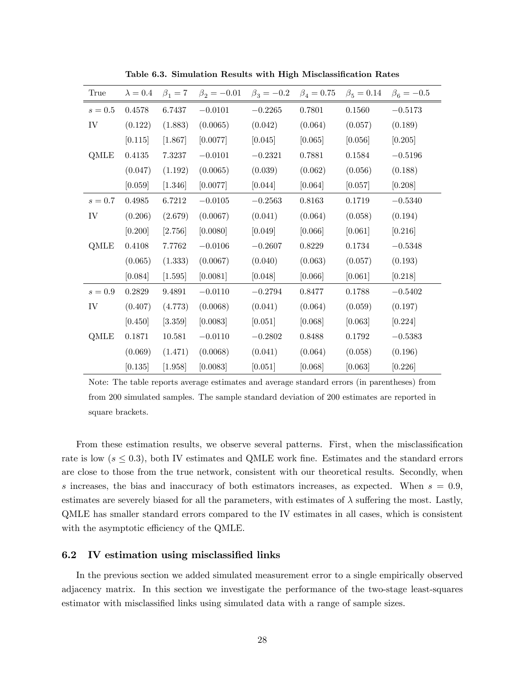| True    | $\lambda = 0.4$ | $\beta_1=7$ | $\beta_2 = -0.01$ | $\beta_3 = -0.2$ | $\beta_4 = 0.75$ | $\beta_5 = 0.14$ | $\beta_6 = -0.5$ |
|---------|-----------------|-------------|-------------------|------------------|------------------|------------------|------------------|
| $s=0.5$ | 0.4578          | 6.7437      | $-0.0101$         | $-0.2265$        | 0.7801           | 0.1560           | $-0.5173$        |
| IV      | (0.122)         | (1.883)     | (0.0065)          | (0.042)          | (0.064)          | (0.057)          | (0.189)          |
|         | [0.115]         | [1.867]     | [0.0077]          | [0.045]          | [0.065]          | [0.056]          | [0.205]          |
| QMLE    | 0.4135          | 7.3237      | $-0.0101$         | $-0.2321$        | 0.7881           | 0.1584           | $-0.5196$        |
|         | (0.047)         | (1.192)     | (0.0065)          | (0.039)          | (0.062)          | (0.056)          | (0.188)          |
|         | [0.059]         | [1.346]     | [0.0077]          | [0.044]          | [0.064]          | [0.057]          | [0.208]          |
| $s=0.7$ | 0.4985          | 6.7212      | $-0.0105$         | $-0.2563$        | 0.8163           | 0.1719           | $-0.5340$        |
| IV      | (0.206)         | (2.679)     | (0.0067)          | (0.041)          | (0.064)          | (0.058)          | (0.194)          |
|         | [0.200]         | [2.756]     | [0.0080]          | [0.049]          | [0.066]          | [0.061]          | [0.216]          |
| QMLE    | 0.4108          | 7.7762      | $-0.0106$         | $-0.2607$        | 0.8229           | 0.1734           | $-0.5348$        |
|         | (0.065)         | (1.333)     | (0.0067)          | (0.040)          | (0.063)          | (0.057)          | (0.193)          |
|         | [0.084]         | [1.595]     | [0.0081]          | [0.048]          | [0.066]          | [0.061]          | [0.218]          |
| $s=0.9$ | $0.2829\,$      | 9.4891      | $-0.0110$         | $-0.2794$        | 0.8477           | 0.1788           | $-0.5402$        |
| IV      | (0.407)         | (4.773)     | (0.0068)          | (0.041)          | (0.064)          | (0.059)          | (0.197)          |
|         | [0.450]         | [3.359]     | [0.0083]          | [0.051]          | [0.068]          | [0.063]          | [0.224]          |
| QMLE    | 0.1871          | $10.581\,$  | $-0.0110$         | $-0.2802$        | 0.8488           | 0.1792           | $-0.5383$        |
|         | (0.069)         | (1.471)     | (0.0068)          | (0.041)          | (0.064)          | (0.058)          | (0.196)          |
|         | [0.135]         | [1.958]     | [0.0083]          | [0.051]          | [0.068]          | [0.063]          | [0.226]          |

Table 6.3. Simulation Results with High Misclassification Rates

Note: The table reports average estimates and average standard errors (in parentheses) from from 200 simulated samples. The sample standard deviation of 200 estimates are reported in square brackets.

From these estimation results, we observe several patterns. First, when the misclassification rate is low ( $s \leq 0.3$ ), both IV estimates and QMLE work fine. Estimates and the standard errors are close to those from the true network, consistent with our theoretical results. Secondly, when s increases, the bias and inaccuracy of both estimators increases, as expected. When  $s = 0.9$ , estimates are severely biased for all the parameters, with estimates of  $\lambda$  suffering the most. Lastly, QMLE has smaller standard errors compared to the IV estimates in all cases, which is consistent with the asymptotic efficiency of the QMLE.

#### 6.2 IV estimation using misclassified links

In the previous section we added simulated measurement error to a single empirically observed adjacency matrix. In this section we investigate the performance of the two-stage least-squares estimator with misclassified links using simulated data with a range of sample sizes.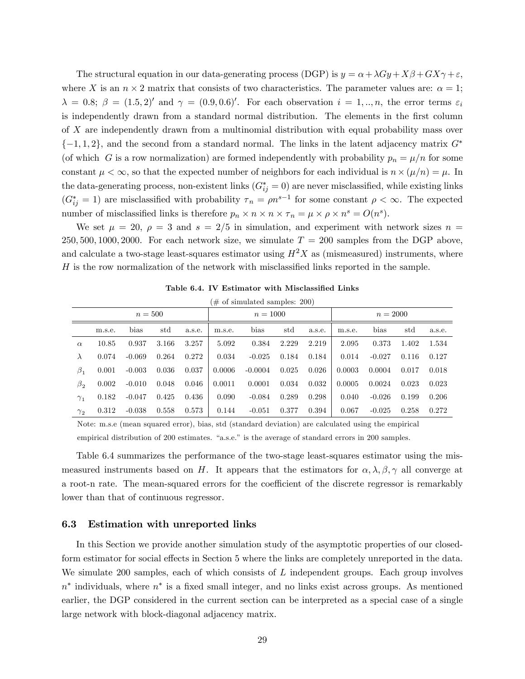The structural equation in our data-generating process (DGP) is  $y = \alpha + \lambda Gy + X\beta + GX\gamma + \varepsilon$ , where X is an  $n \times 2$  matrix that consists of two characteristics. The parameter values are:  $\alpha = 1$ ;  $\lambda = 0.8; \ \beta = (1.5, 2)'$  and  $\gamma = (0.9, 0.6)'$ . For each observation  $i = 1, ..., n$ , the error terms  $\varepsilon_i$ is independently drawn from a standard normal distribution. The elements in the first column of X are independently drawn from a multinomial distribution with equal probability mass over  $\{-1, 1, 2\}$ , and the second from a standard normal. The links in the latent adjacency matrix  $G^*$ (of which G is a row normalization) are formed independently with probability  $p_n = \mu/n$  for some constant  $\mu < \infty$ , so that the expected number of neighbors for each individual is  $n \times (\mu/n) = \mu$ . In the data-generating process, non-existent links  $(G_{ij}^* = 0)$  are never misclassified, while existing links  $(G_{ij}^* = 1)$  are misclassified with probability  $\tau_n = \rho n^{s-1}$  for some constant  $\rho < \infty$ . The expected number of misclassified links is therefore  $p_n \times n \times n \times \tau_n = \mu \times \rho \times n^s = O(n^s)$ .

We set  $\mu = 20$ ,  $\rho = 3$  and  $s = 2/5$  in simulation, and experiment with network sizes  $n =$ 250, 500, 1000, 2000. For each network size, we simulate  $T = 200$  samples from the DGP above, and calculate a two-stage least-squares estimator using  $H^2X$  as (mismeasured) instruments, where  $H$  is the row normalization of the network with misclassified links reported in the sample.

|              | $(\text{\# of simulated samples: } 200)$ |          |       |            |        |           |            |        |        |          |       |        |
|--------------|------------------------------------------|----------|-------|------------|--------|-----------|------------|--------|--------|----------|-------|--------|
|              | $n = 500$                                |          |       | $n = 1000$ |        |           | $n = 2000$ |        |        |          |       |        |
|              | m.s.e.                                   | bias     | std   | a.s.e.     | m.s.e. | bias      | std        | a.s.e. | m.s.e. | bias     | std   | a.s.e. |
| $\alpha$     | 10.85                                    | 0.937    | 3.166 | 3.257      | 5.092  | 0.384     | 2.229      | 2.219  | 2.095  | 0.373    | 1.402 | 1.534  |
| $\lambda$    | 0.074                                    | $-0.069$ | 0.264 | 0.272      | 0.034  | $-0.025$  | 0.184      | 0.184  | 0.014  | $-0.027$ | 0.116 | 0.127  |
| $\beta_1$    | 0.001                                    | $-0.003$ | 0.036 | 0.037      | 0.0006 | $-0.0004$ | 0.025      | 0.026  | 0.0003 | 0.0004   | 0.017 | 0.018  |
| $\beta_2$    | 0.002                                    | $-0.010$ | 0.048 | 0.046      | 0.0011 | 0.0001    | 0.034      | 0.032  | 0.0005 | 0.0024   | 0.023 | 0.023  |
| $\gamma_1$   | 0.182                                    | $-0.047$ | 0.425 | 0.436      | 0.090  | $-0.084$  | 0.289      | 0.298  | 0.040  | $-0.026$ | 0.199 | 0.206  |
| $\gamma_{2}$ | 0.312                                    | $-0.038$ | 0.558 | 0.573      | 0.144  | $-0.051$  | 0.377      | 0.394  | 0.067  | $-0.025$ | 0.258 | 0.272  |

Table 6.4. IV Estimator with Misclassified Links

Note: m.s.e (mean squared error), bias, std (standard deviation) are calculated using the empirical empirical distribution of 200 estimates. "a.s.e." is the average of standard errors in 200 samples.

Table 6.4 summarizes the performance of the two-stage least-squares estimator using the mismeasured instruments based on H. It appears that the estimators for  $\alpha, \lambda, \beta, \gamma$  all converge at a root-n rate. The mean-squared errors for the coefficient of the discrete regressor is remarkably lower than that of continuous regressor.

#### 6.3 Estimation with unreported links

In this Section we provide another simulation study of the asymptotic properties of our closedform estimator for social effects in Section 5 where the links are completely unreported in the data. We simulate 200 samples, each of which consists of L independent groups. Each group involves  $n^*$  individuals, where  $n^*$  is a fixed small integer, and no links exist across groups. As mentioned earlier, the DGP considered in the current section can be interpreted as a special case of a single large network with block-diagonal adjacency matrix.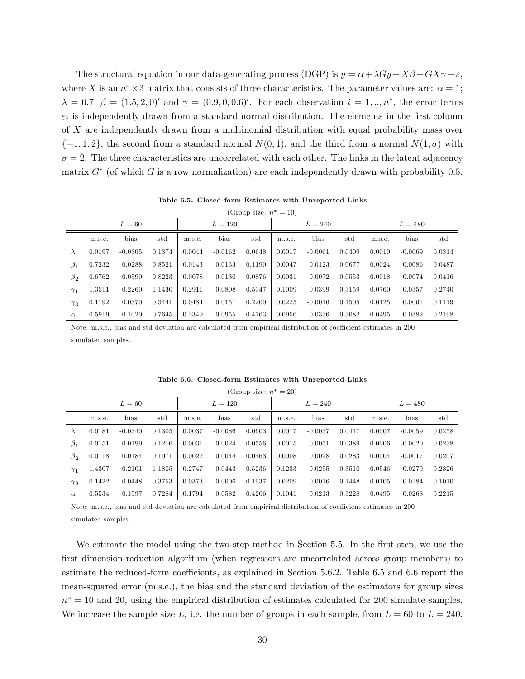The structural equation in our data-generating process (DGP) is  $y = \alpha + \lambda Gy + X\beta + GX\gamma + \varepsilon$ , where X is an  $n^* \times 3$  matrix that consists of three characteristics. The parameter values are:  $\alpha = 1$ ;  $\lambda = 0.7; \beta = (1.5, 2, 0)$  and  $\gamma = (0.9, 0, 0.6)$ . For each observation  $i = 1, ..., n^*$ , the error terms  $\varepsilon_i$  is independently drawn from a standard normal distribution. The elements in the first column of X are independently drawn from a multinomial distribution with equal probability mass over  $\{-1, 1, 2\}$ , the second from a standard normal  $N(0, 1)$ , and the third from a normal  $N(1, \sigma)$  with  $\sigma = 2$ . The three characteristics are uncorrelated with each other. The links in the latent adjacency matrix  $G^*$  (of which G is a row normalization) are each independently drawn with probability 0.5.

Table 6.5. Closed-form Estimates with Unreported Links

|                      | (Group size: $n^* = 10$ ) |           |        |        |           |        |        |           |        |        |           |        |
|----------------------|---------------------------|-----------|--------|--------|-----------|--------|--------|-----------|--------|--------|-----------|--------|
|                      |                           | $L=60$    |        |        | $L = 120$ |        |        | $L = 240$ |        |        | $L = 480$ |        |
|                      | m.s.e.                    | bias      | std    | m.s.e. | bias      | std    | m.s.e. | bias      | std    | m.s.e. | bias      | std    |
| $\lambda$            | 0.0197                    | $-0.0305$ | 0.1374 | 0.0044 | $-0.0162$ | 0.0648 | 0.0017 | $-0.0061$ | 0.0409 | 0.0010 | $-0.0069$ | 0.0314 |
| $\beta_1$            | 0.7232                    | 0.0288    | 0.8521 | 0.0143 | 0.0133    | 0.1190 | 0.0047 | 0.0123    | 0.0677 | 0.0024 | 0.0086    | 0.0487 |
| $\beta$ <sub>2</sub> | 0.6762                    | 0.0590    | 0.8223 | 0.0078 | 0.0130    | 0.0876 | 0.0031 | 0.0072    | 0.0553 | 0.0018 | 0.0074    | 0.0416 |
| $\gamma_1$           | 1.3511                    | 0.2260    | 1.1430 | 0.2911 | 0.0808    | 0.5347 | 0.1009 | 0.0399    | 0.3159 | 0.0760 | 0.0357    | 0.2740 |
| $\gamma_3$           | 0.1192                    | 0.0370    | 0.3441 | 0.0484 | 0.0151    | 0.2200 | 0.0225 | $-0.0016$ | 0.1505 | 0.0125 | 0.0061    | 0.1119 |
| $\alpha$             | 0.5919                    | 0.1020    | 0.7645 | 0.2349 | 0.0955    | 0.4763 | 0.0956 | 0.0336    | 0.3082 | 0.0495 | 0.0382    | 0.2198 |

Note: m.s.e., bias and std deviation are calculated from empirical distribution of coefficient estimates in 200 simulated samples.

|            |        |           |        |        |           | (Group size: $n^* = 20$ ) |        |           |        |        |           |        |
|------------|--------|-----------|--------|--------|-----------|---------------------------|--------|-----------|--------|--------|-----------|--------|
|            |        | $L=60$    |        |        | $L = 120$ |                           |        | $L = 240$ |        |        | $L = 480$ |        |
|            | m.s.e. | bias      | std    | m.s.e. | bias      | std                       | m.s.e. | bias      | std    | m.s.e. | bias      | std    |
| $\lambda$  | 0.0181 | $-0.0340$ | 0.1305 | 0.0037 | $-0.0086$ | 0.0603                    | 0.0017 | $-0.0037$ | 0.0417 | 0.0007 | $-0.0059$ | 0.0258 |
| $\beta_1$  | 0.0151 | 0.0199    | 0.1216 | 0.0031 | 0.0024    | 0.0556                    | 0.0015 | 0.0051    | 0.0389 | 0.0006 | $-0.0020$ | 0.0238 |
| $\beta_2$  | 0.0118 | 0.0184    | 0.1071 | 0.0022 | 0.0044    | 0.0463                    | 0.0008 | 0.0028    | 0.0283 | 0.0004 | $-0.0017$ | 0.0207 |
| $\gamma_1$ | 1.4307 | 0.2101    | 1.1805 | 0.2747 | 0.0443    | 0.5236                    | 0.1233 | 0.0255    | 0.3510 | 0.0546 | 0.0279    | 0.2326 |
| $\gamma_3$ | 0.1422 | 0.0448    | 0.3753 | 0.0373 | 0.0006    | 0.1937                    | 0.0209 | 0.0016    | 0.1448 | 0.0105 | 0.0184    | 0.1010 |
| $\alpha$   | 0.5534 | 0.1597    | 0.7284 | 0.1794 | 0.0582    | 0.4206                    | 0.1041 | 0.0213    | 0.3228 | 0.0495 | 0.0268    | 0.2215 |

Table 6.6. Closed-form Estimates with Unreported Links

Note: m.s.e., bias and std deviation are calculated from empirical distribution of coefficient estimates in 200 simulated samples.

We estimate the model using the two-step method in Section 5.5. In the first step, we use the first dimension-reduction algorithm (when regressors are uncorrelated across group members) to estimate the reduced-form coefficients, as explained in Section  $5.6.2$ . Table  $6.5$  and  $6.6$  report the mean-squared error (m.s.e.), the bias and the standard deviation of the estimators for group sizes  $n^* = 10$  and 20, using the empirical distribution of estimates calculated for 200 simulate samples. We increase the sample size L, i.e. the number of groups in each sample, from  $L = 60$  to  $L = 240$ .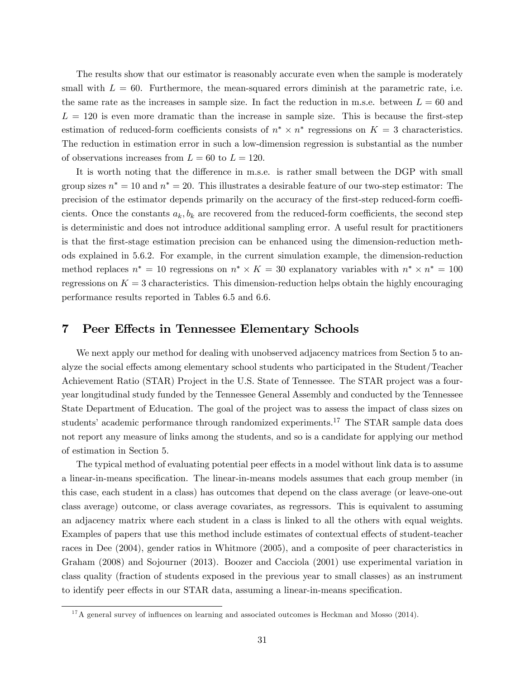The results show that our estimator is reasonably accurate even when the sample is moderately small with  $L = 60$ . Furthermore, the mean-squared errors diminish at the parametric rate, i.e. the same rate as the increases in sample size. In fact the reduction in m.s.e. between  $L = 60$  and  $L = 120$  is even more dramatic than the increase in sample size. This is because the first-step estimation of reduced-form coefficients consists of  $n^* \times n^*$  regressions on  $K = 3$  characteristics. The reduction in estimation error in such a low-dimension regression is substantial as the number of observations increases from  $L = 60$  to  $L = 120$ .

It is worth noting that the difference in m.s.e. is rather small between the DGP with small group sizes  $n^* = 10$  and  $n^* = 20$ . This illustrates a desirable feature of our two-step estimator: The precision of the estimator depends primarily on the accuracy of the first-step reduced-form coefficients. Once the constants  $a_k, b_k$  are recovered from the reduced-form coefficients, the second step is deterministic and does not introduce additional sampling error. A useful result for practitioners is that the Örst-stage estimation precision can be enhanced using the dimension-reduction methods explained in 5.6.2. For example, in the current simulation example, the dimension-reduction method replaces  $n^* = 10$  regressions on  $n^* \times K = 30$  explanatory variables with  $n^* \times n^* = 100$ regressions on  $K = 3$  characteristics. This dimension-reduction helps obtain the highly encouraging performance results reported in Tables 6.5 and 6.6.

### 7 Peer Effects in Tennessee Elementary Schools

We next apply our method for dealing with unobserved adjacency matrices from Section 5 to analyze the social effects among elementary school students who participated in the Student/Teacher Achievement Ratio (STAR) Project in the U.S. State of Tennessee. The STAR project was a fouryear longitudinal study funded by the Tennessee General Assembly and conducted by the Tennessee State Department of Education. The goal of the project was to assess the impact of class sizes on students' academic performance through randomized experiments.<sup>17</sup> The STAR sample data does not report any measure of links among the students, and so is a candidate for applying our method of estimation in Section 5.

The typical method of evaluating potential peer effects in a model without link data is to assume a linear-in-means speciÖcation. The linear-in-means models assumes that each group member (in this case, each student in a class) has outcomes that depend on the class average (or leave-one-out class average) outcome, or class average covariates, as regressors. This is equivalent to assuming an adjacency matrix where each student in a class is linked to all the others with equal weights. Examples of papers that use this method include estimates of contextual effects of student-teacher races in Dee (2004), gender ratios in Whitmore (2005), and a composite of peer characteristics in Graham (2008) and Sojourner (2013). Boozer and Cacciola (2001) use experimental variation in class quality (fraction of students exposed in the previous year to small classes) as an instrument to identify peer effects in our STAR data, assuming a linear-in-means specification.

 $17A$  general survey of influences on learning and associated outcomes is Heckman and Mosso (2014).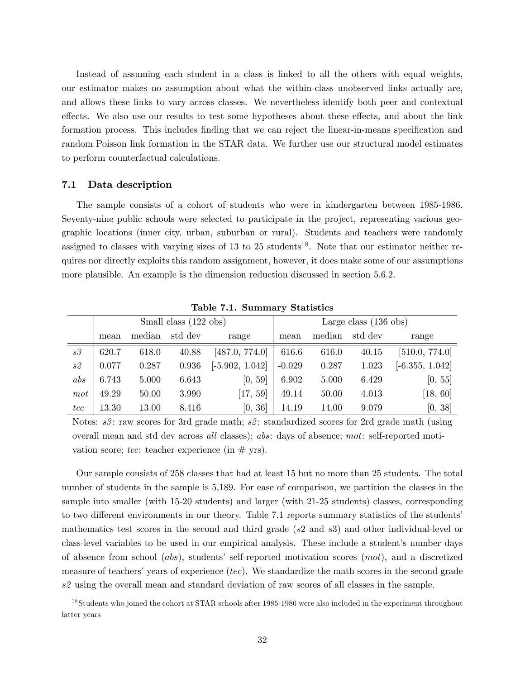Instead of assuming each student in a class is linked to all the others with equal weights, our estimator makes no assumption about what the within-class unobserved links actually are, and allows these links to vary across classes. We nevertheless identify both peer and contextual effects. We also use our results to test some hypotheses about these effects, and about the link formation process. This includes finding that we can reject the linear-in-means specification and random Poisson link formation in the STAR data. We further use our structural model estimates to perform counterfactual calculations.

#### 7.1 Data description

The sample consists of a cohort of students who were in kindergarten between 1985-1986. Seventy-nine public schools were selected to participate in the project, representing various geographic locations (inner city, urban, suburban or rural). Students and teachers were randomly assigned to classes with varying sizes of 13 to 25 students<sup>18</sup>. Note that our estimator neither requires nor directly exploits this random assignment, however, it does make some of our assumptions more plausible. An example is the dimension reduction discussed in section 5.6.2.

|     |       |        | Small class (122 obs) |                   | Large class $(136 \text{ obs})$ |        |         |                   |
|-----|-------|--------|-----------------------|-------------------|---------------------------------|--------|---------|-------------------|
|     | mean  | median | std dev               | range             | mean                            | median | std dev | range             |
| s3  | 620.7 | 618.0  | 40.88                 | [487.0, 774.0]    | 616.6                           | 616.0  | 40.15   | [510.0, 774.0]    |
| s2  | 0.077 | 0.287  | 0.936                 | $[-5.902, 1.042]$ | $-0.029$                        | 0.287  | 1.023   | $[-6.355, 1.042]$ |
| abs | 6.743 | 5.000  | 6.643                 | [0, 59]           | 6.902                           | 5.000  | 6.429   | [0, 55]           |
| mot | 49.29 | 50.00  | 3.990                 | [17, 59]          | 49.14                           | 50.00  | 4.013   | [18, 60]          |
| tec | 13.30 | 13.00  | 8.416                 | [0, 36]           | 14.19                           | 14.00  | 9.079   | [0, 38]           |

Table 7.1. Summary Statistics

Notes:  $s3$ : raw scores for 3rd grade math;  $s2$ : standardized scores for 2rd grade math (using overall mean and std dev across all classes); abs: days of absence; mot: self-reported motivation score; tec: teacher experience (in  $\#$  yrs).

Our sample consists of 258 classes that had at least 15 but no more than 25 students. The total number of students in the sample is 5,189. For ease of comparison, we partition the classes in the sample into smaller (with 15-20 students) and larger (with 21-25 students) classes, corresponding to two different environments in our theory. Table 7.1 reports summary statistics of the students' mathematics test scores in the second and third grade (s2 and s3) and other individual-level or class-level variables to be used in our empirical analysis. These include a student's number days of absence from school  $(abs)$ , students' self-reported motivation scores  $(mot)$ , and a discretized measure of teachers' years of experience  $(tec)$ . We standardize the math scores in the second grade s2 using the overall mean and standard deviation of raw scores of all classes in the sample.

<sup>&</sup>lt;sup>18</sup>Students who joined the cohort at STAR schools after 1985-1986 were also included in the experiment throughout latter years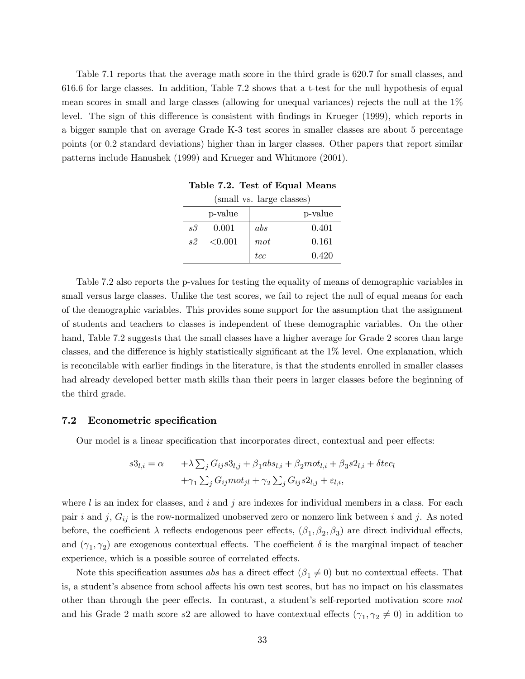Table 7.1 reports that the average math score in the third grade is 620:7 for small classes, and 616:6 for large classes. In addition, Table 7.2 shows that a t-test for the null hypothesis of equal mean scores in small and large classes (allowing for unequal variances) rejects the null at the 1% level. The sign of this difference is consistent with findings in Krueger (1999), which reports in a bigger sample that on average Grade K-3 test scores in smaller classes are about 5 percentage points (or 0.2 standard deviations) higher than in larger classes. Other papers that report similar patterns include Hanushek (1999) and Krueger and Whitmore (2001).

|              | (small vs. large classes) |     |         |  |  |  |  |  |
|--------------|---------------------------|-----|---------|--|--|--|--|--|
|              | p-value                   |     | p-value |  |  |  |  |  |
| s3           | 0.001                     | abs | 0.401   |  |  |  |  |  |
| $s\vartheta$ | ${<}0.001$                | mot | 0.161   |  |  |  |  |  |
|              |                           | tec | 0.420   |  |  |  |  |  |

Table 7.2. Test of Equal Means

Table 7.2 also reports the p-values for testing the equality of means of demographic variables in small versus large classes. Unlike the test scores, we fail to reject the null of equal means for each of the demographic variables. This provides some support for the assumption that the assignment of students and teachers to classes is independent of these demographic variables. On the other hand, Table 7.2 suggests that the small classes have a higher average for Grade 2 scores than large classes, and the difference is highly statistically significant at the  $1\%$  level. One explanation, which is reconcilable with earlier Öndings in the literature, is that the students enrolled in smaller classes had already developed better math skills than their peers in larger classes before the beginning of the third grade.

#### 7.2 Econometric specification

Our model is a linear specification that incorporates direct, contextual and peer effects:

$$
s3_{l,i} = \alpha + \lambda \sum_{j} G_{ij} s3_{l,j} + \beta_1 abs_{l,i} + \beta_2 mot_{l,i} + \beta_3 s2_{l,i} + \delta tec_l
$$

$$
+ \gamma_1 \sum_{j} G_{ij} mot_{jl} + \gamma_2 \sum_{j} G_{ij} s2_{l,j} + \varepsilon_{l,i},
$$

where  $l$  is an index for classes, and  $i$  and  $j$  are indexes for individual members in a class. For each pair i and j,  $G_{ij}$  is the row-normalized unobserved zero or nonzero link between i and j. As noted before, the coefficient  $\lambda$  reflects endogenous peer effects,  $(\beta_1, \beta_2, \beta_3)$  are direct individual effects, and  $(\gamma_1, \gamma_2)$  are exogenous contextual effects. The coefficient  $\delta$  is the marginal impact of teacher experience, which is a possible source of correlated effects.

Note this specification assumes abs has a direct effect  $(\beta_1 \neq 0)$  but no contextual effects. That is, a student's absence from school affects his own test scores, but has no impact on his classmates other than through the peer effects. In contrast, a student's self-reported motivation score mot and his Grade 2 math score s2 are allowed to have contextual effects  $(\gamma_1, \gamma_2 \neq 0)$  in addition to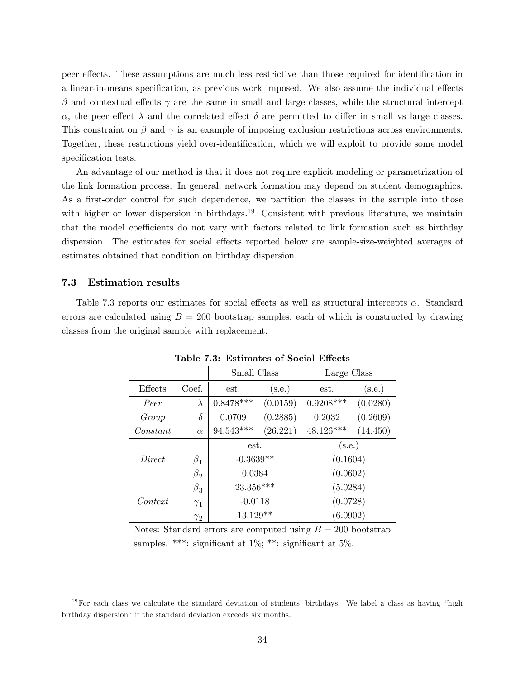peer effects. These assumptions are much less restrictive than those required for identification in a linear-in-means specification, as previous work imposed. We also assume the individual effects  $\beta$  and contextual effects  $\gamma$  are the same in small and large classes, while the structural intercept  $\alpha$ , the peer effect  $\lambda$  and the correlated effect  $\delta$  are permitted to differ in small vs large classes. This constraint on  $\beta$  and  $\gamma$  is an example of imposing exclusion restrictions across environments. Together, these restrictions yield over-identification, which we will exploit to provide some model specification tests.

An advantage of our method is that it does not require explicit modeling or parametrization of the link formation process. In general, network formation may depend on student demographics. As a first-order control for such dependence, we partition the classes in the sample into those with higher or lower dispersion in birthdays.<sup>19</sup> Consistent with previous literature, we maintain that the model coefficients do not vary with factors related to link formation such as birthday dispersion. The estimates for social effects reported below are sample-size-weighted averages of estimates obtained that condition on birthday dispersion.

#### 7.3 Estimation results

Table 7.3 reports our estimates for social effects as well as structural intercepts  $\alpha$ . Standard errors are calculated using  $B = 200$  bootstrap samples, each of which is constructed by drawing classes from the original sample with replacement.

|          |            | Small Class |          | Large Class |          |  |
|----------|------------|-------------|----------|-------------|----------|--|
| Effects  | Coef.      | est.        | (s.e.)   | est.        | (s.e.)   |  |
| Peer     | $\lambda$  | $0.8478***$ | (0.0159) | $0.9208***$ | (0.0280) |  |
| Group    | $\delta$   | 0.0709      | (0.2885) | 0.2032      | (0.2609) |  |
| Constant | $\alpha$   | 94.543***   | (26.221) | 48.126***   | (14.450) |  |
|          |            | est.        |          | (s.e.)      |          |  |
| Direct   | $\beta_1$  | $-0.3639**$ |          | (0.1604)    |          |  |
|          | $\beta_2$  | 0.0384      |          | (0.0602)    |          |  |
|          | $\beta_3$  | 23.356***   |          | (5.0284)    |          |  |
| Context  | $\gamma_1$ | $-0.0118$   |          | (0.0728)    |          |  |
|          | $\gamma_2$ | $13.129**$  |          | (6.0902)    |          |  |

Table 7.3: Estimates of Social Effects

Notes: Standard errors are computed using  $B = 200$  bootstrap samples. \*\*\*: significant at  $1\%$ ; \*\*: significant at  $5\%$ .

 $19$  For each class we calculate the standard deviation of students' birthdays. We label a class as having "high birthday dispersion" if the standard deviation exceeds six months.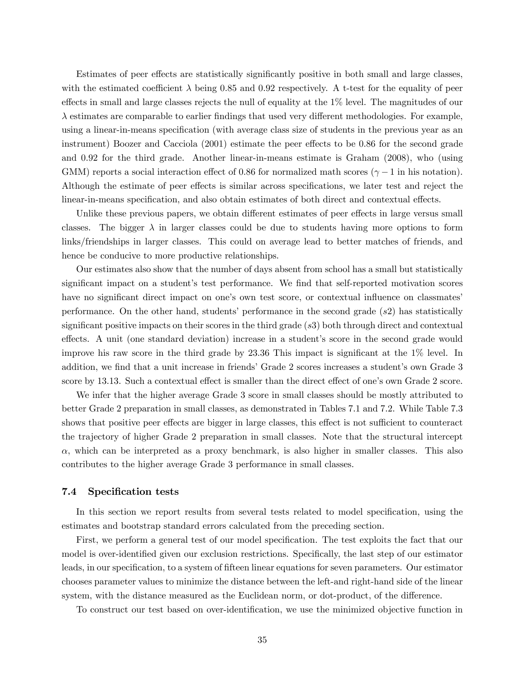Estimates of peer effects are statistically significantly positive in both small and large classes, with the estimated coefficient  $\lambda$  being 0.85 and 0.92 respectively. A t-test for the equality of peer effects in small and large classes rejects the null of equality at the  $1\%$  level. The magnitudes of our  $\lambda$  estimates are comparable to earlier findings that used very different methodologies. For example, using a linear-in-means specification (with average class size of students in the previous year as an instrument) Boozer and Cacciola  $(2001)$  estimate the peer effects to be 0.86 for the second grade and 0:92 for the third grade. Another linear-in-means estimate is Graham (2008), who (using GMM) reports a social interaction effect of 0.86 for normalized math scores ( $\gamma - 1$  in his notation). Although the estimate of peer effects is similar across specifications, we later test and reject the linear-in-means specification, and also obtain estimates of both direct and contextual effects.

Unlike these previous papers, we obtain different estimates of peer effects in large versus small classes. The bigger  $\lambda$  in larger classes could be due to students having more options to form links/friendships in larger classes. This could on average lead to better matches of friends, and hence be conducive to more productive relationships.

Our estimates also show that the number of days absent from school has a small but statistically significant impact on a student's test performance. We find that self-reported motivation scores have no significant direct impact on one's own test score, or contextual influence on classmates performance. On the other hand, students' performance in the second grade  $(s2)$  has statistically significant positive impacts on their scores in the third grade  $(s3)$  both through direct and contextual effects. A unit (one standard deviation) increase in a student's score in the second grade would improve his raw score in the third grade by  $23.36$  This impact is significant at the  $1\%$  level. In addition, we find that a unit increase in friends' Grade 2 scores increases a student's own Grade 3 score by 13.13. Such a contextual effect is smaller than the direct effect of one's own Grade 2 score.

We infer that the higher average Grade 3 score in small classes should be mostly attributed to better Grade 2 preparation in small classes, as demonstrated in Tables 7.1 and 7.2. While Table 7.3 shows that positive peer effects are bigger in large classes, this effect is not sufficient to counteract the trajectory of higher Grade 2 preparation in small classes. Note that the structural intercept  $\alpha$ , which can be interpreted as a proxy benchmark, is also higher in smaller classes. This also contributes to the higher average Grade 3 performance in small classes.

#### 7.4 Specification tests

In this section we report results from several tests related to model specification, using the estimates and bootstrap standard errors calculated from the preceding section.

First, we perform a general test of our model specification. The test exploits the fact that our model is over-identified given our exclusion restrictions. Specifically, the last step of our estimator leads, in our specification, to a system of fifteen linear equations for seven parameters. Our estimator chooses parameter values to minimize the distance between the left-and right-hand side of the linear system, with the distance measured as the Euclidean norm, or dot-product, of the difference.

To construct our test based on over-identification, we use the minimized objective function in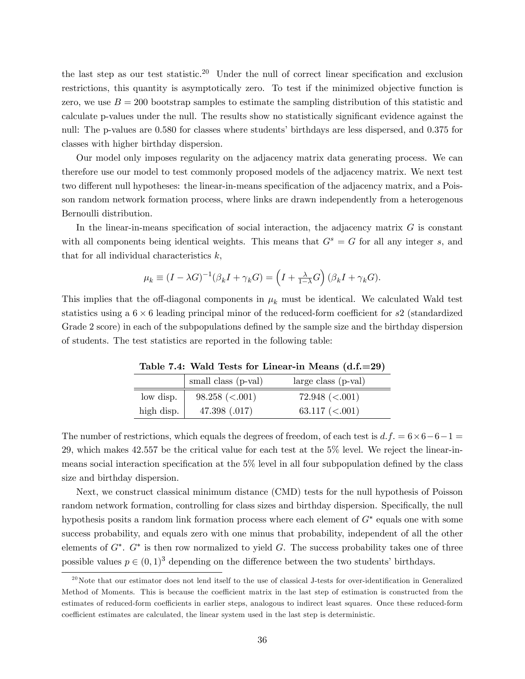the last step as our test statistic.<sup>20</sup> Under the null of correct linear specification and exclusion restrictions, this quantity is asymptotically zero. To test if the minimized objective function is zero, we use  $B = 200$  bootstrap samples to estimate the sampling distribution of this statistic and calculate p-values under the null. The results show no statistically significant evidence against the null: The p-values are 0.580 for classes where students' birthdays are less dispersed, and 0.375 for classes with higher birthday dispersion.

Our model only imposes regularity on the adjacency matrix data generating process. We can therefore use our model to test commonly proposed models of the adjacency matrix. We next test two different null hypotheses: the linear-in-means specification of the adjacency matrix, and a Poisson random network formation process, where links are drawn independently from a heterogenous Bernoulli distribution.

In the linear-in-means specification of social interaction, the adjacency matrix  $G$  is constant with all components being identical weights. This means that  $G<sup>s</sup> = G$  for all any integer s, and that for all individual characteristics  $k$ ,

$$
\mu_k \equiv (I - \lambda G)^{-1} (\beta_k I + \gamma_k G) = \left( I + \frac{\lambda}{1 - \lambda} G \right) (\beta_k I + \gamma_k G).
$$

This implies that the off-diagonal components in  $\mu_k$  must be identical. We calculated Wald test statistics using a  $6 \times 6$  leading principal minor of the reduced-form coefficient for  $s2$  (standardized Grade 2 score) in each of the subpopulations defined by the sample size and the birthday dispersion of students. The test statistics are reported in the following table:

|            | small class (p-val) | $large class (p-val)$ |
|------------|---------------------|-----------------------|
| low disp.  | $98.258 \ (< .001)$ | 72.948 (< 0.001)      |
| high disp. | 47.398 (.017)       | 63.117 $(<.001)$      |

Table 7.4: Wald Tests for Linear-in Means  $(d.f.=29)$ 

The number of restrictions, which equals the degrees of freedom, of each test is  $d.f. = 6 \times 6 - 6 - 1 =$ 29, which makes 42:557 be the critical value for each test at the 5% level. We reject the linear-inmeans social interaction specification at the  $5\%$  level in all four subpopulation defined by the class size and birthday dispersion.

Next, we construct classical minimum distance (CMD) tests for the null hypothesis of Poisson random network formation, controlling for class sizes and birthday dispersion. Specifically, the null hypothesis posits a random link formation process where each element of  $G^*$  equals one with some success probability, and equals zero with one minus that probability, independent of all the other elements of  $G^*$ .  $G^*$  is then row normalized to yield G. The success probability takes one of three possible values  $p \in (0, 1)^3$  depending on the difference between the two students' birthdays.

 $^{20}$ Note that our estimator does not lend itself to the use of classical J-tests for over-identification in Generalized Method of Moments. This is because the coefficient matrix in the last step of estimation is constructed from the estimates of reduced-form coefficients in earlier steps, analogous to indirect least squares. Once these reduced-form coefficient estimates are calculated, the linear system used in the last step is deterministic.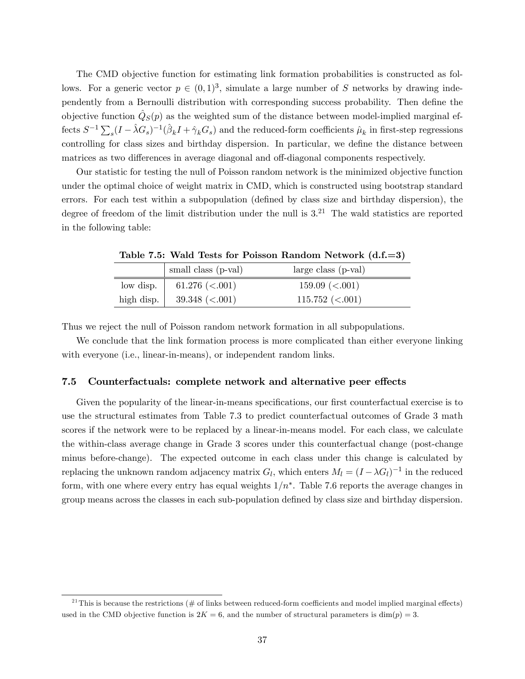The CMD objective function for estimating link formation probabilities is constructed as follows. For a generic vector  $p \in (0, 1)^3$ , simulate a large number of S networks by drawing independently from a Bernoulli distribution with corresponding success probability. Then define the objective function  $\hat{Q}_S(p)$  as the weighted sum of the distance between model-implied marginal effects  $S^{-1} \sum_s (I - \hat{\lambda} G_s)^{-1} (\hat{\beta}_k I + \hat{\gamma}_k G_s)$  and the reduced-form coefficients  $\hat{\mu}_k$  in first-step regressions controlling for class sizes and birthday dispersion. In particular, we define the distance between matrices as two differences in average diagonal and off-diagonal components respectively.

Our statistic for testing the null of Poisson random network is the minimized objective function under the optimal choice of weight matrix in CMD, which is constructed using bootstrap standard errors. For each test within a subpopulation (defined by class size and birthday dispersion), the degree of freedom of the limit distribution under the null is  $3<sup>21</sup>$  The wald statistics are reported in the following table:

|            | small class (p-val)    | $large class (p-val)$ |
|------------|------------------------|-----------------------|
| low disp.  | 61.276 ( $< .001$ )    | $159.09 \ (< .001)$   |
| high disp. | $39.348 \approx 0.001$ | $115.752 \ (< .001)$  |

Table 7.5: Wald Tests for Poisson Random Network (d.f.=3)

Thus we reject the null of Poisson random network formation in all subpopulations.

We conclude that the link formation process is more complicated than either everyone linking with everyone (i.e., linear-in-means), or independent random links.

#### 7.5 Counterfactuals: complete network and alternative peer effects

Given the popularity of the linear-in-means specifications, our first counterfactual exercise is to use the structural estimates from Table 7.3 to predict counterfactual outcomes of Grade 3 math scores if the network were to be replaced by a linear-in-means model. For each class, we calculate the within-class average change in Grade 3 scores under this counterfactual change (post-change minus before-change). The expected outcome in each class under this change is calculated by replacing the unknown random adjacency matrix  $G_l$ , which enters  $M_l = (I - \lambda G_l)^{-1}$  in the reduced form, with one where every entry has equal weights  $1/n^*$ . Table 7.6 reports the average changes in group means across the classes in each sub-population defined by class size and birthday dispersion.

<sup>&</sup>lt;sup>21</sup>This is because the restrictions ( $\#$  of links between reduced-form coefficients and model implied marginal effects) used in the CMD objective function is  $2K = 6$ , and the number of structural parameters is dim(p) = 3.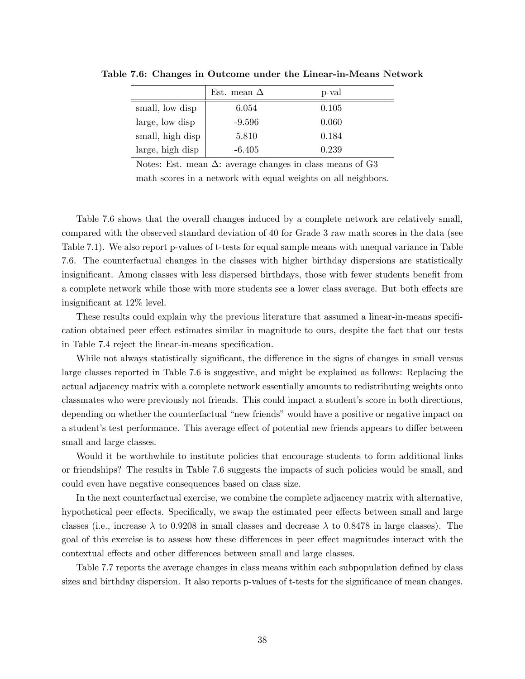|                  | Est. mean $\Delta$ | p-val |
|------------------|--------------------|-------|
| small, low disp  | 6.054              | 0.105 |
| large, low disp  | -9.596             | 0.060 |
| small, high disp | 5.810              | 0.184 |
| large, high disp | $-6.405$           | 0.239 |

Table 7.6: Changes in Outcome under the Linear-in-Means Network

Notes: Est. mean  $\Delta$ : average changes in class means of G3

math scores in a network with equal weights on all neighbors.

Table 7.6 shows that the overall changes induced by a complete network are relatively small, compared with the observed standard deviation of 40 for Grade 3 raw math scores in the data (see Table 7.1). We also report p-values of t-tests for equal sample means with unequal variance in Table 7.6. The counterfactual changes in the classes with higher birthday dispersions are statistically insignificant. Among classes with less dispersed birthdays, those with fewer students benefit from a complete network while those with more students see a lower class average. But both effects are insignificant at  $12\%$  level.

These results could explain why the previous literature that assumed a linear-in-means specification obtained peer effect estimates similar in magnitude to ours, despite the fact that our tests in Table 7.4 reject the linear-in-means specification.

While not always statistically significant, the difference in the signs of changes in small versus large classes reported in Table 7.6 is suggestive, and might be explained as follows: Replacing the actual adjacency matrix with a complete network essentially amounts to redistributing weights onto classmates who were previously not friends. This could impact a student's score in both directions, depending on whether the counterfactual "new friends" would have a positive or negative impact on a student's test performance. This average effect of potential new friends appears to differ between small and large classes.

Would it be worthwhile to institute policies that encourage students to form additional links or friendships? The results in Table 7.6 suggests the impacts of such policies would be small, and could even have negative consequences based on class size.

In the next counterfactual exercise, we combine the complete adjacency matrix with alternative, hypothetical peer effects. Specifically, we swap the estimated peer effects between small and large classes (i.e., increase  $\lambda$  to 0.9208 in small classes and decrease  $\lambda$  to 0.8478 in large classes). The goal of this exercise is to assess how these differences in peer effect magnitudes interact with the contextual effects and other differences between small and large classes.

Table 7.7 reports the average changes in class means within each subpopulation defined by class sizes and birthday dispersion. It also reports p-values of t-tests for the significance of mean changes.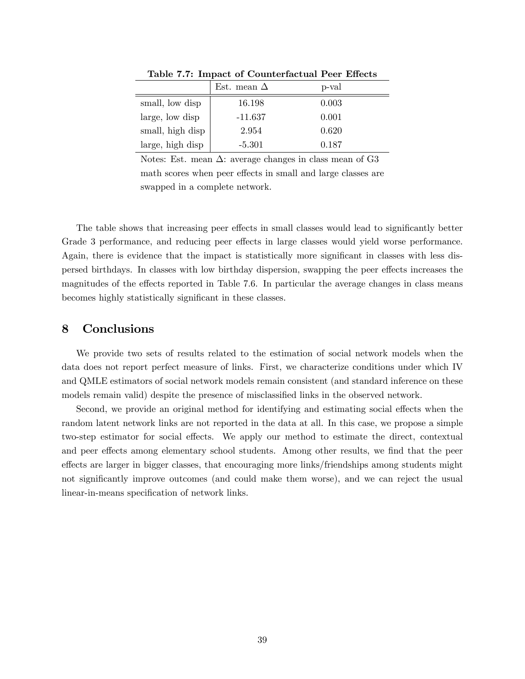|                  | Est. mean $\Delta$ | p-val |  |
|------------------|--------------------|-------|--|
| small, low disp  | 16.198             | 0.003 |  |
| large, low disp  | $-11.637$          | 0.001 |  |
| small, high disp | 2.954              | 0.620 |  |
| large, high disp | $-5.301$           | 0.187 |  |

Table 7.7: Impact of Counterfactual Peer Effects

Notes: Est. mean  $\Delta$ : average changes in class mean of G3 math scores when peer effects in small and large classes are swapped in a complete network.

The table shows that increasing peer effects in small classes would lead to significantly better Grade 3 performance, and reducing peer effects in large classes would yield worse performance. Again, there is evidence that the impact is statistically more significant in classes with less dispersed birthdays. In classes with low birthday dispersion, swapping the peer effects increases the magnitudes of the effects reported in Table 7.6. In particular the average changes in class means becomes highly statistically significant in these classes.

### 8 Conclusions

We provide two sets of results related to the estimation of social network models when the data does not report perfect measure of links. First, we characterize conditions under which IV and QMLE estimators of social network models remain consistent (and standard inference on these models remain valid) despite the presence of misclassified links in the observed network.

Second, we provide an original method for identifying and estimating social effects when the random latent network links are not reported in the data at all. In this case, we propose a simple two-step estimator for social effects. We apply our method to estimate the direct, contextual and peer effects among elementary school students. Among other results, we find that the peer effects are larger in bigger classes, that encouraging more links/friendships among students might not significantly improve outcomes (and could make them worse), and we can reject the usual linear-in-means specification of network links.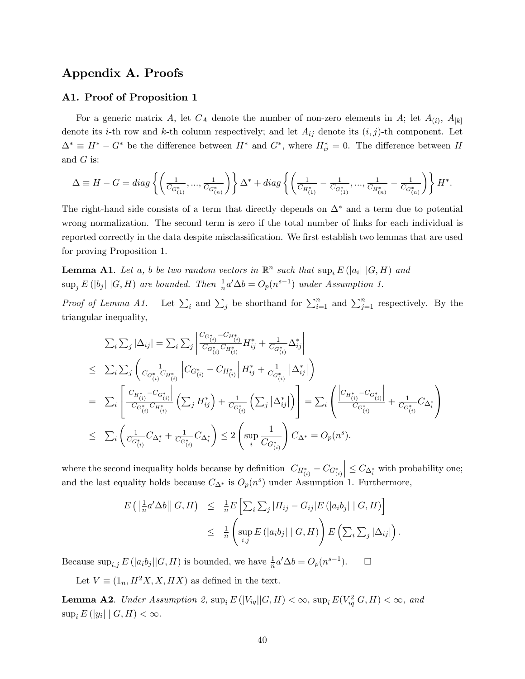## Appendix A. Proofs

### A1. Proof of Proposition 1

For a generic matrix A, let  $C_A$  denote the number of non-zero elements in A; let  $A_{(i)}$ ,  $A_{[k]}$ denote its *i*-th row and *k*-th column respectively; and let  $A_{ij}$  denote its  $(i, j)$ -th component. Let  $\Delta^* \equiv H^* - G^*$  be the difference between  $H^*$  and  $G^*$ , where  $H_{ii}^* = 0$ . The difference between H and  $G$  is:

$$
\Delta \equiv H - G = diag\left\{ \left( \frac{1}{C_{G_{(1)}^*}}, ..., \frac{1}{C_{G_{(n)}^*}} \right) \right\} \Delta^* + diag\left\{ \left( \frac{1}{C_{H_{(1)}^*}} - \frac{1}{C_{G_{(1)}^*}}, ..., \frac{1}{C_{H_{(n)}^*}} - \frac{1}{C_{G_{(n)}^*}} \right) \right\} H^*.
$$

The right-hand side consists of a term that directly depends on  $\Delta^*$  and a term due to potential wrong normalization. The second term is zero if the total number of links for each individual is reported correctly in the data despite misclassification. We first establish two lemmas that are used for proving Proposition 1.

**Lemma A1.** Let a, b be two random vectors in  $\mathbb{R}^n$  such that  $\sup_i E(|a_i| | G, H)$  and  $\sup_j E(|b_j| | G, H)$  are bounded. Then  $\frac{1}{n} a' \Delta b = O_p(n^{s-1})$  under Assumption 1.

Proof of Lemma A1. i and  $\sum_j$  be shorthand for  $\sum_{i=1}^n$  and  $\sum_{j=1}^n$  respectively. By the triangular inequality,

$$
\sum_{i} \sum_{j} |\Delta_{ij}| = \sum_{i} \sum_{j} \left| \frac{C_{G_{(i)}^* - C_{H_{(i)}^*}}{C_{G_{(i)}^* C_{H_{(i)}^*}}} H_{ij}^* + \frac{1}{C_{G_{(i)}^*}} \Delta_{ij}^* \right|
$$
\n
$$
\leq \sum_{i} \sum_{j} \left( \frac{1}{C_{G_{(i)}^* C_{H_{(i)}^*}} \left| C_{G_{(i)}^* - C_{H_{(i)}^*} \right|} H_{ij}^* + \frac{1}{C_{G_{(i)}^*}} \left| \Delta_{ij}^* \right| \right)
$$
\n
$$
= \sum_{i} \left[ \frac{C_{H_{(i)}^* - C_{G_{(i)}^*}}}{C_{G_{(i)}^* C_{H_{(i)}^*}} \left( \sum_{j} H_{ij}^* \right) + \frac{1}{C_{G_{(i)}^*}} \left( \sum_{j} |\Delta_{ij}^*| \right) \right] = \sum_{i} \left( \frac{C_{H_{(i)}^* - C_{G_{(i)}^*}}}{C_{G_{(i)}^*}} + \frac{1}{C_{G_{(i)}^* C_{G_{(i)}^*}} C_{G_{(i)}^*} \right)
$$
\n
$$
\leq \sum_{i} \left( \frac{1}{C_{G_{(i)}^* C_{H_{(i)}^* C_{H_{(i)}^*}} \left( \sum_{j} H_{ij}^* \right)} \right) \leq 2 \left( \sup_{i} \frac{1}{C_{G_{(i)}^*}} \right) C_{\Delta^*} = O_p(n^s).
$$

where the second inequality holds because by definition  $\left|C_{H_{(i)}^*} - C_{G_{(i)}^*}\right|$  $\vert \leq C_{\Delta_i^*}$  with probability one; and the last equality holds because  $C_{\Delta^*}$  is  $O_p(n^s)$  under Assumption 1. Furthermore,

$$
E\left(\left|\frac{1}{n}a'\Delta b\right|\right|G,H\right) \leq \frac{1}{n}E\left[\sum_{i}\sum_{j}|H_{ij}-G_{ij}|E\left(\left|a_{i}b_{j}\right|\right|G,H)\right]
$$

$$
\leq \frac{1}{n}\left(\sup_{i,j}E\left(\left|a_{i}b_{j}\right|\right|G,H)\right)E\left(\sum_{i}\sum_{j}|\Delta_{ij}|\right).
$$

Because  $\sup_{i,j} E(|a_i b_j| | G, H)$  is bounded, we have  $\frac{1}{n} a' \Delta b = O_p(n^{s-1})$  $\Box$ 

Let  $V \equiv (1_n, H^2 X, X, H X)$  as defined in the text.

**Lemma A2**. Under Assumption 2,  $\sup_i E(|V_{iq}||G,H) < \infty$ ,  $\sup_i E(V_{iq}^2|G,H) < \infty$ , and  $\sup_i E(|y_i| \mid G, H) < \infty.$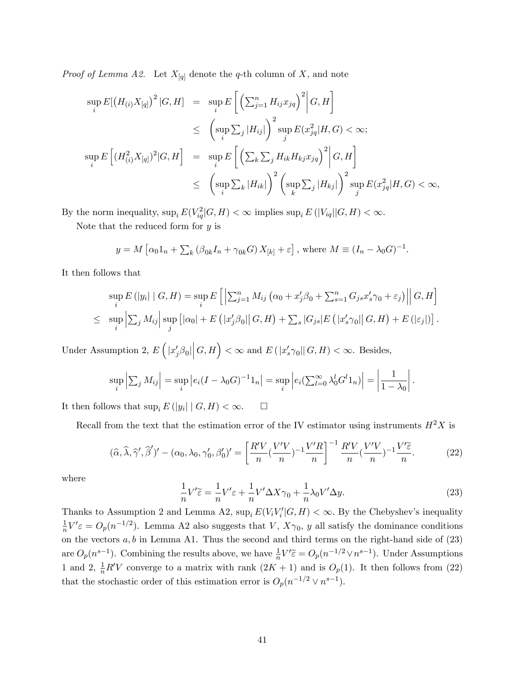*Proof of Lemma A2.* Let  $X_{[q]}$  denote the q-th column of X, and note

$$
\sup_{i} E[(H_{(i)}X_{[q]})^{2} | G, H] = \sup_{i} E\left[\left(\sum_{j=1}^{n} H_{ij}x_{jq}\right)^{2} | G, H\right]
$$
  
\n
$$
\leq \left(\sup_{i} \sum_{j} |H_{ij}|\right)^{2} \sup_{j} E(x_{jq}^{2} | H, G) < \infty;
$$
  
\n
$$
\sup_{i} E\left[(H_{(i)}^{2}X_{[q]})^{2} | G, H\right] = \sup_{i} E\left[\left(\sum_{k} \sum_{j} H_{ik} H_{kj}x_{jq}\right)^{2} | G, H\right]
$$
  
\n
$$
\leq \left(\sup_{i} \sum_{k} |H_{ik}|\right)^{2} \left(\sup_{k} \sum_{j} |H_{kj}|\right)^{2} \sup_{j} E(x_{jq}^{2} | H, G) < \infty,
$$

By the norm inequality,  $\sup_i E(V_{iq}^2|G, H) < \infty$  implies  $\sup_i E(|V_{iq}||G, H) < \infty$ .

Note that the reduced form for  $y$  is

$$
y = M\left[\alpha_0 1_n + \sum_k (\beta_{0k} I_n + \gamma_{0k} G) X_{[k]} + \varepsilon\right], \text{ where } M \equiv (I_n - \lambda_0 G)^{-1}.
$$

It then follows that

$$
\sup_{i} E\left(|y_{i}| \mid G, H\right) = \sup_{i} E\left[\left|\sum_{j=1}^{n} M_{ij} \left(\alpha_{0} + x_{j}'\beta_{0} + \sum_{s=1}^{n} G_{js}x_{s}'\gamma_{0} + \varepsilon_{j}\right)\right| \middle| G, H\right]
$$
  

$$
\leq \sup_{i} \left|\sum_{j} M_{ij}\right| \sup_{j} \left[|\alpha_{0}| + E\left(|x_{j}'\beta_{0}|\right| G, H\right) + \sum_{s} |G_{js}| E\left(|x_{s}'\gamma_{0}|\right| G, H\right) + E\left(|\varepsilon_{j}|\right) \right].
$$

Under Assumption 2,  $E\left(|x'_j\beta_0|\right)$  $|G,H\rangle < \infty$  and  $E(|x'_s \gamma_0||G,H) < \infty$ . Besides,

$$
\sup_{i}\left|\sum_{j}M_{ij}\right|=\sup_{i}\left|e_{i}(I-\lambda_{0}G)^{-1}1_{n}\right|=\sup_{i}\left|e_{i}\left(\sum_{l=0}^{\infty}\lambda_{0}^{l}G^{l}1_{n}\right)\right|=\left|\frac{1}{1-\lambda_{0}}\right|.
$$

It then follows that  $\sup_i E(|y_i| \mid G, H) < \infty.$   $\Box$ 

Recall from the text that the estimation error of the IV estimator using instruments  $H^2X$  is

$$
(\widehat{\alpha}, \widehat{\lambda}, \widehat{\gamma}', \widehat{\beta}')' - (\alpha_0, \lambda_0, \gamma'_0, \beta'_0)' = \left[ \frac{R'V}{n} (\frac{V'V}{n})^{-1} \frac{V'R}{n} \right]^{-1} \frac{R'V}{n} (\frac{V'V}{n})^{-1} \frac{V'\widetilde{\varepsilon}}{n}.
$$
 (22)

where

$$
\frac{1}{n}V'\tilde{\varepsilon} = \frac{1}{n}V'\varepsilon + \frac{1}{n}V'\Delta X\gamma_0 + \frac{1}{n}\lambda_0 V'\Delta y.
$$
\n(23)

Thanks to Assumption 2 and Lemma A2,  $\sup_i E(V_i V_i' | G, H) < \infty$ . By the Chebyshev's inequality 1  $\frac{1}{n}V' \varepsilon = O_p(n^{-1/2})$ . Lemma A2 also suggests that V,  $X\gamma_0$ , y all satisfy the dominance conditions on the vectors  $a, b$  in Lemma A1. Thus the second and third terms on the right-hand side of  $(23)$ are  $O_p(n^{s-1})$ . Combining the results above, we have  $\frac{1}{n}V'\tilde{\epsilon} = O_p(n^{-1/2} \vee n^{s-1})$ . Under Assumptions 1 and 2,  $\frac{1}{n}R'V$  converge to a matrix with rank  $(2K + 1)$  and is  $O_p(1)$ . It then follows from (22) that the stochastic order of this estimation error is  $O_p(n^{-1/2} \vee n^{s-1})$ .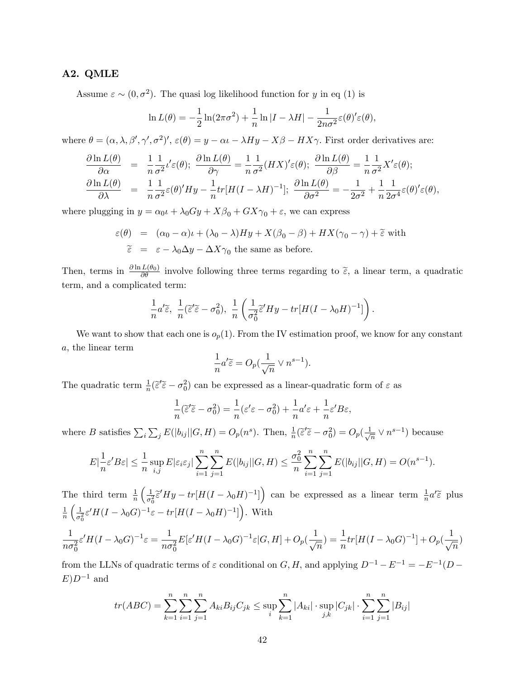### A2. QMLE

Assume  $\varepsilon \sim (0, \sigma^2)$ . The quasi log likelihood function for y in eq (1) is

$$
\ln L(\theta) = -\frac{1}{2}\ln(2\pi\sigma^2) + \frac{1}{n}\ln|I - \lambda H| - \frac{1}{2n\sigma^2}\varepsilon(\theta)'\varepsilon(\theta),
$$

where  $\theta = (\alpha, \lambda, \beta', \gamma', \sigma^2)', \varepsilon(\theta) = y - \alpha \iota - \lambda Hy - X\beta - HX\gamma.$  First order derivatives are:

$$
\frac{\partial \ln L(\theta)}{\partial \alpha} = \frac{1}{n} \frac{1}{\sigma^2} t' \varepsilon(\theta); \quad \frac{\partial \ln L(\theta)}{\partial \gamma} = \frac{1}{n} \frac{1}{\sigma^2} (HX)' \varepsilon(\theta); \quad \frac{\partial \ln L(\theta)}{\partial \beta} = \frac{1}{n} \frac{1}{\sigma^2} X' \varepsilon(\theta);
$$
\n
$$
\frac{\partial \ln L(\theta)}{\partial \lambda} = \frac{1}{n} \frac{1}{\sigma^2} \varepsilon(\theta)' Hy - \frac{1}{n} tr[H(I - \lambda H)^{-1}]; \quad \frac{\partial \ln L(\theta)}{\partial \sigma^2} = -\frac{1}{2\sigma^2} + \frac{1}{n} \frac{1}{2\sigma^4} \varepsilon(\theta)' \varepsilon(\theta),
$$

where plugging in  $y = \alpha_0 t + \lambda_0 Gy + X\beta_0 + GX\gamma_0 + \varepsilon$ , we can express

$$
\varepsilon(\theta) = (\alpha_0 - \alpha)\iota + (\lambda_0 - \lambda)Hy + X(\beta_0 - \beta) + HX(\gamma_0 - \gamma) + \tilde{\varepsilon}
$$
 with  
\n
$$
\tilde{\varepsilon} = \varepsilon - \lambda_0 \Delta y - \Delta X \gamma_0
$$
 the same as before.

Then, terms in  $\frac{\partial \ln L(\theta_0)}{\partial \theta}$  involve following three terms regarding to  $\tilde{\epsilon}$ , a linear term, a quadratic term, and a complicated term:

$$
\frac{1}{n}a'\widetilde{\varepsilon},\ \frac{1}{n}(\widetilde{\varepsilon}'\widetilde{\varepsilon}-\sigma_0^2),\ \frac{1}{n}\left(\frac{1}{\sigma_0^2}\widetilde{\varepsilon}'Hy-tr[H(I-\lambda_0H)^{-1}]\right).
$$

We want to show that each one is  $o_p(1)$ . From the IV estimation proof, we know for any constant a, the linear term

$$
\frac{1}{n}a'\widetilde{\varepsilon} = O_p(\frac{1}{\sqrt{n}} \vee n^{s-1}).
$$

The quadratic term  $\frac{1}{n}(\tilde{\epsilon}'\tilde{\epsilon} - \sigma_0^2)$  can be expressed as a linear-quadratic form of  $\epsilon$  as

$$
\frac{1}{n}(\tilde{\varepsilon}'\tilde{\varepsilon} - \sigma_0^2) = \frac{1}{n}(\varepsilon'\varepsilon - \sigma_0^2) + \frac{1}{n}a'\varepsilon + \frac{1}{n}\varepsilon'B\varepsilon,
$$

where B satisfies  $\sum_i \sum_j E(|b_{ij}||G, H) = O_p(n^s)$ . Then,  $\frac{1}{n}(\tilde{\epsilon}'\tilde{\epsilon} - \sigma_0^2) = O_p(\frac{1}{\sqrt{n}})$  $\frac{1}{n} \vee n^{s-1}$ ) because

$$
E\left|\frac{1}{n}\varepsilon' B\varepsilon\right| \leq \frac{1}{n} \sup_{i,j} E|\varepsilon_i \varepsilon_j| \sum_{i=1}^n \sum_{j=1}^n E(|b_{ij}| | G, H) \leq \frac{\sigma_0^2}{n} \sum_{i=1}^n \sum_{j=1}^n E(|b_{ij}| | G, H) = O(n^{s-1}).
$$

The third term  $\frac{1}{n}$  $\sqrt{1}$  $\frac{1}{\sigma_0^2} \tilde{\epsilon}' H y - tr[H(I - \lambda_0 H)^{-1}]\right)$  can be expressed as a linear term  $\frac{1}{n} a'^{\tilde{\epsilon}}$  plus 1  $\overline{n}$  $\sqrt{1}$  $\frac{1}{\sigma_0^2} \varepsilon' H(I - \lambda_0 G)^{-1} \varepsilon - tr[H(I - \lambda_0 H)^{-1}]\Big)$ . With 1  $n\sigma_0^2$  $\varepsilon' H (I-\lambda_0 G)^{-1} \varepsilon = \frac{1}{n g}$  $n\sigma_0^2$  $E[\varepsilon' H(I-\lambda_0 G)^{-1}\varepsilon|G,H] + O_p(\frac{1}{\sqrt{\varepsilon}}$  $\frac{1}{\sqrt{n}})=\frac{1}{n}tr[H(I-\lambda_0 G)^{-1}]+O_p(\frac{1}{\sqrt{n}})$  $\frac{1}{\sqrt{n}})$ 

from the LLNs of quadratic terms of  $\varepsilon$  conditional on  $G, H$ , and applying  $D^{-1} - E^{-1} = -E^{-1}(D E$ ) $D^{-1}$  and

$$
tr(ABC) = \sum_{k=1}^{n} \sum_{i=1}^{n} \sum_{j=1}^{n} A_{ki} B_{ij} C_{jk} \le \sup_{i} \sum_{k=1}^{n} |A_{ki}| \cdot \sup_{j,k} |C_{jk}| \cdot \sum_{i=1}^{n} \sum_{j=1}^{n} |B_{ij}|
$$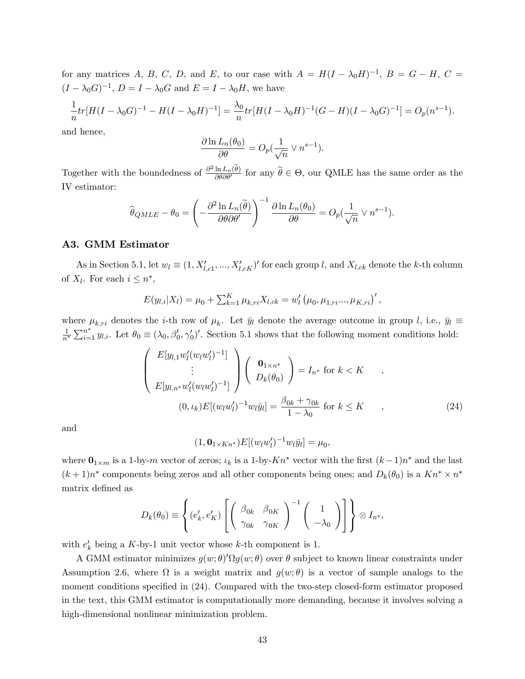for any matrices A, B, C, D, and E, to our case with  $A = H(I - \lambda_0 H)^{-1}$ ,  $B = G - H$ ,  $C =$  $(I - \lambda_0 G)^{-1}$ ,  $D = I - \lambda_0 G$  and  $E = I - \lambda_0 H$ , we have

$$
\frac{1}{n}tr[H(I-\lambda_0G)^{-1} - H(I-\lambda_0H)^{-1}] = \frac{\lambda_0}{n}tr[H(I-\lambda_0H)^{-1}(G-H)(I-\lambda_0G)^{-1}] = O_p(n^{s-1}).
$$

and hence,

$$
\frac{\partial \ln L_n(\theta_0)}{\partial \theta} = O_p(\frac{1}{\sqrt{n}} \vee n^{s-1}).
$$

Together with the boundedness of  $\frac{\partial^2 \ln L_n(\hat{\theta})}{\partial \theta \partial \theta'}$  for any  $\tilde{\theta} \in \Theta$ , our QMLE has the same order as the IV estimator:

$$
\widehat{\theta}_{QMLE} - \theta_0 = \left(-\frac{\partial^2 \ln L_n(\widetilde{\theta})}{\partial \theta \partial \theta'}\right)^{-1} \frac{\partial \ln L_n(\theta_0)}{\partial \theta} = O_p(\frac{1}{\sqrt{n}} \vee n^{s-1}).
$$

### A3. GMM Estimator

As in Section 5.1, let  $w_l \equiv (1, X'_{l,c1}, ..., X'_{l,cK})'$  for each group l, and  $X_{l,ck}$  denote the k-th column of  $X_l$ . For each  $i \leq n^*$ ,

$$
E(y_{l,i}|X_l) = \mu_0 + \sum_{k=1}^{K} \mu_{k,ri} X_{l,ck} = w'_l (\mu_0, \mu_{1,ri} \dots, \mu_{K,ri})',
$$

where  $\mu_{k,ri}$  denotes the *i*-th row of  $\mu_k$ . Let  $\bar{y}_l$  denote the average outcome in group *l*, i.e.,  $\bar{y}_l \equiv$ 1  $\frac{1}{n^*}\sum_{i=1}^{n^*} y_{l,i}$ . Let  $\theta_0 \equiv (\lambda_0, \beta'_0, \gamma'_0)'$ . Section 5.1 shows that the following moment conditions hold:

$$
\begin{pmatrix}\nE[y_{l,1}w'_l(w_lw'_l)^{-1}]\n\vdots\n\end{pmatrix}\n\begin{pmatrix}\n\mathbf{0}_{1\times n^*} \\
D_k(\theta_0)\n\end{pmatrix} = I_{n^*} \text{ for } k < K \quad ,
$$
\n
$$
E[y_{l,n^*}w'_l(w_lw'_l)^{-1}]\n\begin{pmatrix}\n0, \iota_k\n\end{pmatrix} E[(w_lw'_l)^{-1}w_l\bar{y}_l] = \frac{\beta_{0k} + \gamma_{0k}}{1 - \lambda_0} \text{ for } k \leq K \quad ,
$$
\n(24)

and

$$
(1, \mathbf{0}_{1 \times K n^*}) E[(w_l w_l')^{-1} w_l \bar{y}_l] = \mu_0,
$$

where  $\mathbf{0}_{1 \times m}$  is a 1-by-*m* vector of zeros;  $\iota_k$  is a 1-by- $Kn^*$  vector with the first  $(k-1)n^*$  and the last  $(k+1)n^*$  components being zeros and all other components being ones; and  $D_k(\theta_0)$  is a  $Kn^* \times n^*$ matrix defined as

$$
D_k(\theta_0) \equiv \left\{ (e'_k, e'_K) \left[ \begin{pmatrix} \beta_{0k} & \beta_{0K} \\ \gamma_{0k} & \gamma_{0K} \end{pmatrix}^{-1} \begin{pmatrix} 1 \\ -\lambda_0 \end{pmatrix} \right] \right\} \otimes I_{n^*},
$$

with  $e'_{k}$  being a K-by-1 unit vector whose k-th component is 1.

A GMM estimator minimizes  $g(w; \theta)' \Omega g(w; \theta)$  over  $\theta$  subject to known linear constraints under Assumption 2.6, where  $\Omega$  is a weight matrix and  $g(w; \theta)$  is a vector of sample analogs to the moment conditions specified in  $(24)$ . Compared with the two-step closed-form estimator proposed in the text, this GMM estimator is computationally more demanding, because it involves solving a high-dimensional nonlinear minimization problem.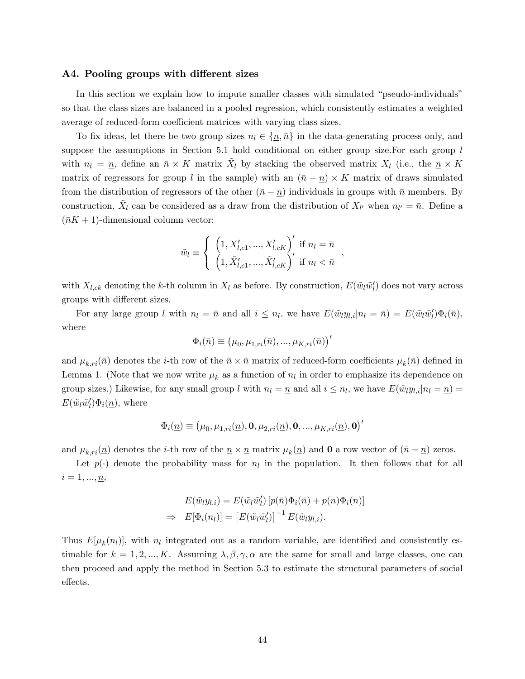#### A4. Pooling groups with different sizes

In this section we explain how to impute smaller classes with simulated "pseudo-individuals" so that the class sizes are balanced in a pooled regression, which consistently estimates a weighted average of reduced-form coefficient matrices with varying class sizes.

To fix ideas, let there be two group sizes  $n_l \in \{n, \bar{n}\}\$  in the data-generating process only, and suppose the assumptions in Section 5.1 hold conditional on either group size. For each group l with  $n_l = \underline{n}$ , define an  $\bar{n} \times K$  matrix  $\tilde{X}_l$  by stacking the observed matrix  $X_l$  (i.e., the  $\underline{n} \times K$ matrix of regressors for group l in the sample) with an  $(\bar{n} - \underline{n}) \times K$  matrix of draws simulated from the distribution of regressors of the other  $(\bar{n} - \underline{n})$  individuals in groups with  $\bar{n}$  members. By construction,  $\tilde{X}_l$  can be considered as a draw from the distribution of  $X_{l'}$  when  $n_{l'} = \bar{n}$ . Define a  $(\bar{n}K + 1)$ -dimensional column vector:

$$
\tilde{w}_l \equiv \left\{ \begin{array}{l} \left(1, X'_{l, c1}, ..., X'_{l, cK}\right)' \text{ if } n_l = \bar{n} \\ \left(1, \tilde{X}'_{l, c1}, ..., \tilde{X}'_{l, cK}\right)' \text{ if } n_l < \bar{n} \end{array} \right.
$$

,

with  $X_{l,ck}$  denoting the k-th column in  $X_l$  as before. By construction,  $E(\tilde{w}_l \tilde{w}'_l)$  does not vary across groups with different sizes.

For any large group l with  $n_l = \bar{n}$  and all  $i \leq n_l$ , we have  $E(\tilde{w}_l y_{l,i}|n_l = \bar{n}) = E(\tilde{w}_l \tilde{w}'_l) \Phi_i(\bar{n}),$ where

$$
\Phi_i(\bar{n}) \equiv (\mu_0, \mu_{1,ri}(\bar{n}), ..., \mu_{K,ri}(\bar{n}))'
$$

and  $\mu_{k,ri}(\bar{n})$  denotes the *i*-th row of the  $\bar{n} \times \bar{n}$  matrix of reduced-form coefficients  $\mu_k(\bar{n})$  defined in Lemma 1. (Note that we now write  $\mu_k$  as a function of  $n_l$  in order to emphasize its dependence on group sizes.) Likewise, for any small group l with  $n_l = \underline{n}$  and all  $i \leq n_l$ , we have  $E(\tilde{w}_l y_{l,i}|n_l = \underline{n}) =$  $E(\tilde{w}_l \tilde{w}'_l) \Phi_i(\underline{n}),$  where

$$
\Phi_i(\underline{n})\equiv\left(\mu_0,\mu_{1,ri}(\underline{n}),\mathbf{0},\mu_{2,ri}(\underline{n}),\mathbf{0},...,\mu_{K,ri}(\underline{n}),\mathbf{0}\right)'
$$

and  $\mu_{k,ri}(\underline{n})$  denotes the *i*-th row of the  $\underline{n} \times \underline{n}$  matrix  $\mu_k(\underline{n})$  and **0** a row vector of  $(\overline{n} - \underline{n})$  zeros.

Let  $p(\cdot)$  denote the probability mass for  $n_l$  in the population. It then follows that for all  $i=1,\ldots,\underline{n},$ 

$$
E(\tilde{w}_l y_{l,i}) = E(\tilde{w}_l \tilde{w}'_l) [p(\bar{n}) \Phi_i(\bar{n}) + p(\underline{n}) \Phi_i(\underline{n})]
$$
  
\n
$$
\Rightarrow E[\Phi_i(n_l)] = [E(\tilde{w}_l \tilde{w}'_l)]^{-1} E(\tilde{w}_l y_{l,i}).
$$

Thus  $E[\mu_k(n_l)]$ , with  $n_l$  integrated out as a random variable, are identified and consistently estimable for  $k = 1, 2, ..., K$ . Assuming  $\lambda, \beta, \gamma, \alpha$  are the same for small and large classes, one can then proceed and apply the method in Section 5.3 to estimate the structural parameters of social effects.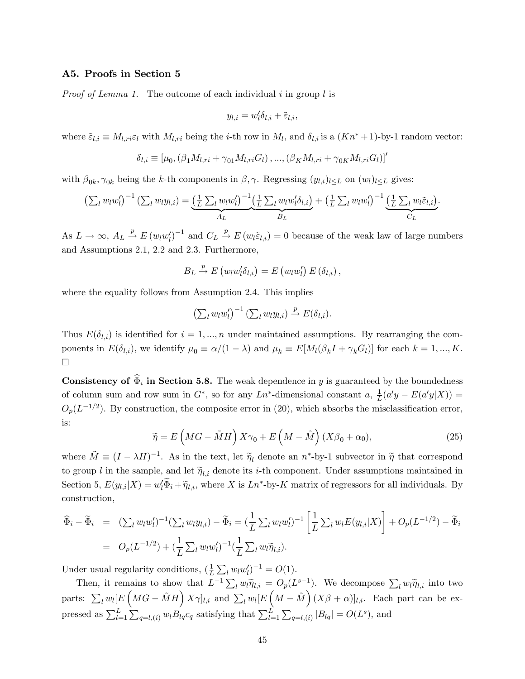#### A5. Proofs in Section 5

*Proof of Lemma 1.* The outcome of each individual  $i$  in group  $l$  is

$$
y_{l,i} = w'_l \delta_{l,i} + \tilde{\varepsilon}_{l,i},
$$

where  $\tilde{\varepsilon}_{l,i} \equiv M_{l,ri} \varepsilon_l$  with  $M_{l,ri}$  being the *i*-th row in  $M_l$ , and  $\delta_{l,i}$  is a  $(Kn^*+1)$ -by-1 random vector:

$$
\delta_{l,i} \equiv [\mu_0, (\beta_1 M_{l,ri} + \gamma_{01} M_{l,ri} G_l), ..., (\beta_K M_{l,ri} + \gamma_{0K} M_{l,ri} G_l)]'
$$

with  $\beta_{0k}, \gamma_{0k}$  being the k-th components in  $\beta, \gamma$ . Regressing  $(y_{l,i})_{l \leq L}$  on  $(w_l)_{l \leq L}$  gives:

$$
\left(\sum_l w_l w_l'\right)^{-1} \left(\sum_l w_l y_{l,i}\right) = \underbrace{\left(\frac{1}{L} \sum_l w_l w_l'\right)^{-1}}_{A_L} \underbrace{\left(\frac{1}{L} \sum_l w_l w_l' \delta_{l,i}\right)}_{B_L} + \left(\frac{1}{L} \sum_l w_l w_l'\right)^{-1} \underbrace{\left(\frac{1}{L} \sum_l w_l \tilde{\varepsilon}_{l,i}\right)}_{C_L}.
$$

As  $L \to \infty$ ,  $A_L \stackrel{p}{\to} E (w_l w_l')^{-1}$  and  $C_L \stackrel{p}{\to} E (w_l \tilde{\varepsilon}_{l,i}) = 0$  because of the weak law of large numbers and Assumptions 2.1, 2.2 and 2.3. Furthermore,

$$
B_L \xrightarrow{p} E (w_l w_l' \delta_{l,i}) = E (w_l w_l') E (\delta_{l,i}),
$$

where the equality follows from Assumption 2.4. This implies

$$
\left(\sum_{l} w_l w_l'\right)^{-1} \left(\sum_{l} w_l y_{l,i}\right) \xrightarrow{p} E(\delta_{l,i}).
$$

Thus  $E(\delta_{l,i})$  is identified for  $i = 1, ..., n$  under maintained assumptions. By rearranging the components in  $E(\delta_{l,i})$ , we identify  $\mu_0 \equiv \alpha/(1-\lambda)$  and  $\mu_k \equiv E[M_l(\beta_k I + \gamma_k G_l)]$  for each  $k = 1, ..., K$ .  $\Box$ 

**Consistency of**  $\hat{\Phi}_i$  **in Section 5.8.** The weak dependence in y is guaranteed by the boundedness of column sum and row sum in  $G^*$ , so for any  $Ln^*$ -dimensional constant  $a, \frac{1}{L}$  $\frac{1}{L}(a'y - E(a'y|X)) =$  $O_p(L^{-1/2})$ . By construction, the composite error in (20), which absorbs the misclassification error, is:

$$
\widetilde{\eta} = E\left(MG - \widetilde{M}H\right)X\gamma_0 + E\left(M - \widetilde{M}\right)(X\beta_0 + \alpha_0),\tag{25}
$$

where  $\tilde{M} \equiv (I - \lambda H)^{-1}$ . As in the text, let  $\tilde{\eta}_l$  denote an  $n^*$ -by-1 subvector in  $\tilde{\eta}$  that correspond to group l in the sample, and let  $\tilde{\eta}_{l,i}$  denote its i-th component. Under assumptions maintained in Section 5,  $E(y_{l,i}|X) = w'_l \Phi_i + \tilde{\eta}_{l,i}$ , where X is  $Ln^*$ -by-K matrix of regressors for all individuals. By construction,

$$
\begin{aligned}\n\widehat{\Phi}_i - \widetilde{\Phi}_i &= (\sum_l w_l w_l')^{-1} (\sum_l w_l y_{l,i}) - \widetilde{\Phi}_i \\
&= (\frac{1}{L} \sum_l w_l w_l')^{-1} \left[ \frac{1}{L} \sum_l w_l E(y_{l,i} | X) \right] + O_p(L^{-1/2}) - \widetilde{\Phi}_i \\
&= O_p(L^{-1/2}) + (\frac{1}{L} \sum_l w_l w_l')^{-1} (\frac{1}{L} \sum_l w_l \widetilde{\eta}_{l,i}).\n\end{aligned}
$$

Under usual regularity conditions,  $(\frac{1}{l})$  $\frac{1}{L} \sum_l w_l w'_l$ )<sup>-1</sup> = O(1).

Then, it remains to show that  $L^{-1}\sum_l w_l \tilde{\eta}_{l,i} = O_p(L^{s-1})$ . We decompose  $\sum_l w_l \tilde{\eta}_{l,i}$  into two parts:  $\sum_l w_l [E(MG - \tilde{M}H) X \gamma]_{l,i}$  and  $\sum_l w_l [E(M - \tilde{M}) (X \beta + \alpha)]_{l,i}$ . Each part can be expressed as  $\sum_{l=1}^{L} \sum_{q=l,(i)} w_l B_{lq} c_q$  satisfying that  $\sum_{l=1}^{L} \sum_{q=l,(i)} |B_{lq}| = O(L^s)$ , and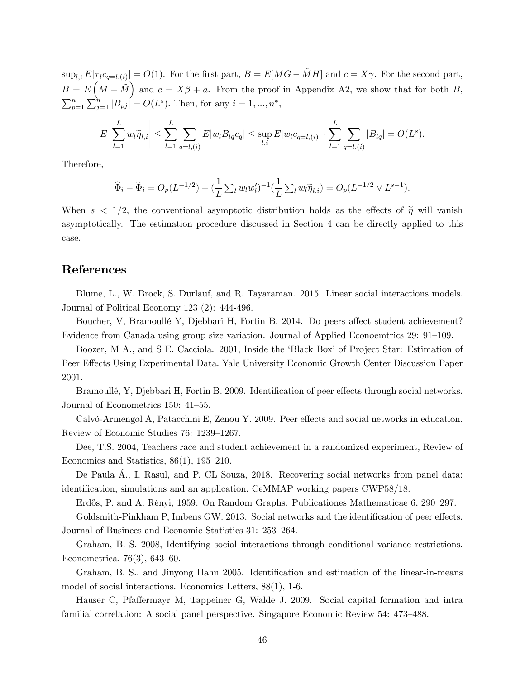$\sup_{l,i} E|\tau_l c_{q=l,(i)}| = O(1)$ . For the first part,  $B = E[MG - \tilde{M}H]$  and  $c = X\gamma$ . For the second part,  $B = E\left(M - \tilde{M}\right)$  and  $c = X\beta + a$ . From the proof in Appendix A2, we show that for both B,  $\sum_{p=1}^{n} \sum_{j=1}^{n} |B_{pj}| = O(L^{s}).$  Then, for any  $i = 1, ..., n^{*}$ ,

$$
E\left|\sum_{l=1}^{L} w_l \widetilde{\eta}_{l,i}\right| \leq \sum_{l=1}^{L} \sum_{q=l,(i)} E|w_l B_{lq} c_q| \leq \sup_{l,i} E|w_l c_{q=l,(i)}| \cdot \sum_{l=1}^{L} \sum_{q=l,(i)} |B_{lq}| = O(L^s).
$$

Therefore,

$$
\widehat{\Phi}_i - \widetilde{\Phi}_i = O_p(L^{-1/2}) + \left(\frac{1}{L} \sum_l w_l w_l'\right)^{-1} \left(\frac{1}{L} \sum_l w_l \widetilde{\eta}_{l,i}\right) = O_p(L^{-1/2} \vee L^{s-1}).
$$

When  $s < 1/2$ , the conventional asymptotic distribution holds as the effects of  $\tilde{\eta}$  will vanish asymptotically. The estimation procedure discussed in Section 4 can be directly applied to this case.

### References

Blume, L., W. Brock, S. Durlauf, and R. Tayaraman. 2015. Linear social interactions models. Journal of Political Economy 123 (2): 444-496.

Boucher, V, Bramoullé Y, Djebbari H, Fortin B. 2014. Do peers affect student achievement? Evidence from Canada using group size variation. Journal of Applied Econoemtrics 29: 91–109.

Boozer, M A., and S E. Cacciola. 2001, Inside the 'Black Box' of Project Star: Estimation of Peer Effects Using Experimental Data. Yale University Economic Growth Center Discussion Paper 2001.

Bramoullé, Y, Djebbari H, Fortin B. 2009. Identification of peer effects through social networks. Journal of Econometrics 150: 41–55.

Calvó-Armengol A, Patacchini E, Zenou Y. 2009. Peer effects and social networks in education. Review of Economic Studies 76: 1239–1267.

Dee, T.S. 2004, Teachers race and student achievement in a randomized experiment, Review of Economics and Statistics,  $86(1)$ ,  $195-210$ .

De Paula A., I. Rasul, and P. CL Souza, 2018. Recovering social networks from panel data: identification, simulations and an application, CeMMAP working papers CWP58/18.

Erdős, P. and A. Rényi, 1959. On Random Graphs. Publicationes Mathematicae 6, 290–297.

Goldsmith-Pinkham P, Imbens GW. 2013. Social networks and the identification of peer effects. Journal of Businees and Economic Statistics 31: 253–264.

Graham, B. S. 2008, Identifying social interactions through conditional variance restrictions. Econometrica,  $76(3)$ ,  $643-60$ .

Graham, B. S., and Jinyong Hahn 2005. Identification and estimation of the linear-in-means model of social interactions. Economics Letters, 88(1), 1-6.

Hauser C, Pfaffermayr M, Tappeiner G, Walde J. 2009. Social capital formation and intra familial correlation: A social panel perspective. Singapore Economic Review 54: 473–488.